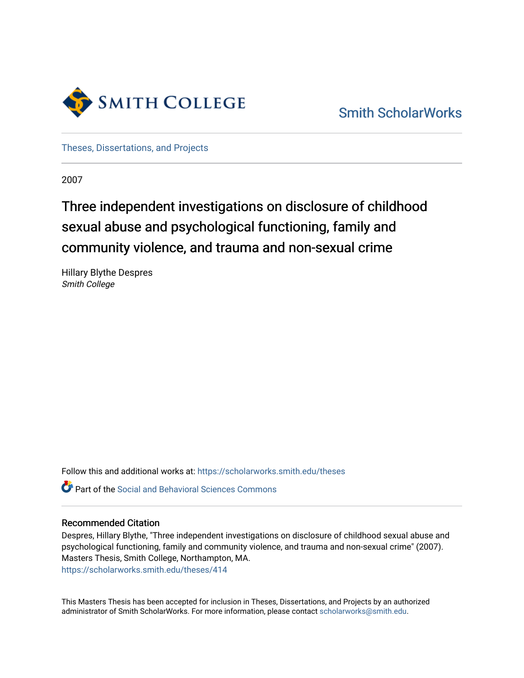

[Smith ScholarWorks](https://scholarworks.smith.edu/) 

[Theses, Dissertations, and Projects](https://scholarworks.smith.edu/theses) 

2007

# Three independent investigations on disclosure of childhood sexual abuse and psychological functioning, family and community violence, and trauma and non-sexual crime

Hillary Blythe Despres Smith College

Follow this and additional works at: [https://scholarworks.smith.edu/theses](https://scholarworks.smith.edu/theses?utm_source=scholarworks.smith.edu%2Ftheses%2F414&utm_medium=PDF&utm_campaign=PDFCoverPages) 

Part of the [Social and Behavioral Sciences Commons](http://network.bepress.com/hgg/discipline/316?utm_source=scholarworks.smith.edu%2Ftheses%2F414&utm_medium=PDF&utm_campaign=PDFCoverPages) 

#### Recommended Citation

Despres, Hillary Blythe, "Three independent investigations on disclosure of childhood sexual abuse and psychological functioning, family and community violence, and trauma and non-sexual crime" (2007). Masters Thesis, Smith College, Northampton, MA. [https://scholarworks.smith.edu/theses/414](https://scholarworks.smith.edu/theses/414?utm_source=scholarworks.smith.edu%2Ftheses%2F414&utm_medium=PDF&utm_campaign=PDFCoverPages) 

This Masters Thesis has been accepted for inclusion in Theses, Dissertations, and Projects by an authorized administrator of Smith ScholarWorks. For more information, please contact [scholarworks@smith.edu](mailto:scholarworks@smith.edu).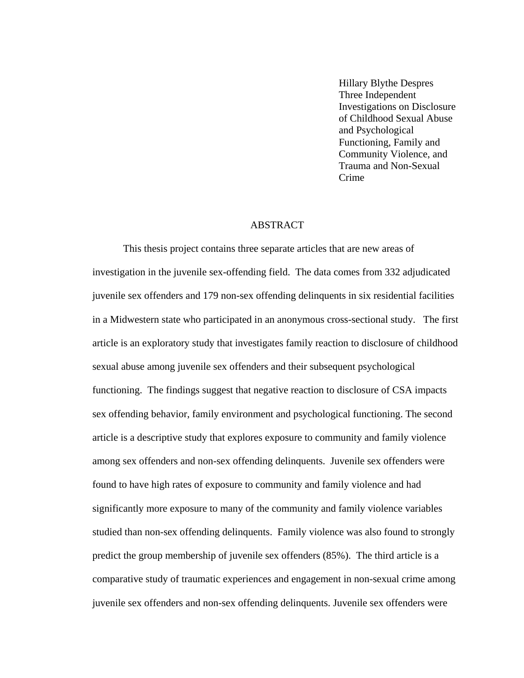Hillary Blythe Despres Three Independent Investigations on Disclosure of Childhood Sexual Abuse and Psychological Functioning, Family and Community Violence, and Trauma and Non-Sexual Crime

#### ABSTRACT

This thesis project contains three separate articles that are new areas of investigation in the juvenile sex-offending field. The data comes from 332 adjudicated juvenile sex offenders and 179 non-sex offending delinquents in six residential facilities in a Midwestern state who participated in an anonymous cross-sectional study. The first article is an exploratory study that investigates family reaction to disclosure of childhood sexual abuse among juvenile sex offenders and their subsequent psychological functioning. The findings suggest that negative reaction to disclosure of CSA impacts sex offending behavior, family environment and psychological functioning. The second article is a descriptive study that explores exposure to community and family violence among sex offenders and non-sex offending delinquents. Juvenile sex offenders were found to have high rates of exposure to community and family violence and had significantly more exposure to many of the community and family violence variables studied than non-sex offending delinquents. Family violence was also found to strongly predict the group membership of juvenile sex offenders (85%). The third article is a comparative study of traumatic experiences and engagement in non-sexual crime among juvenile sex offenders and non-sex offending delinquents. Juvenile sex offenders were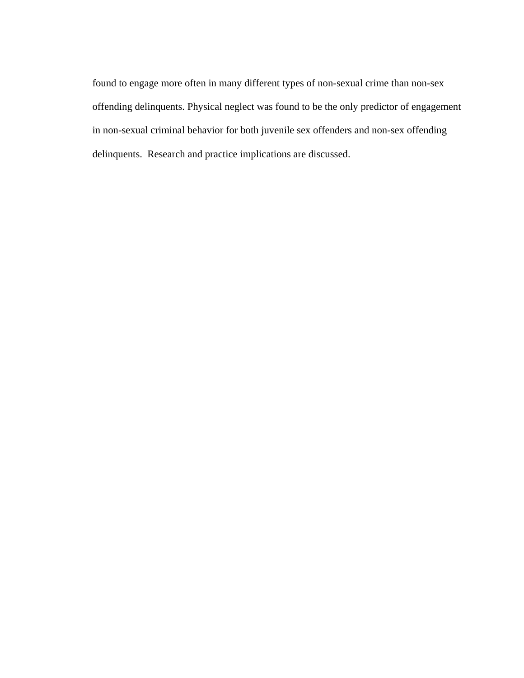found to engage more often in many different types of non-sexual crime than non-sex offending delinquents. Physical neglect was found to be the only predictor of engagement in non-sexual criminal behavior for both juvenile sex offenders and non-sex offending delinquents. Research and practice implications are discussed.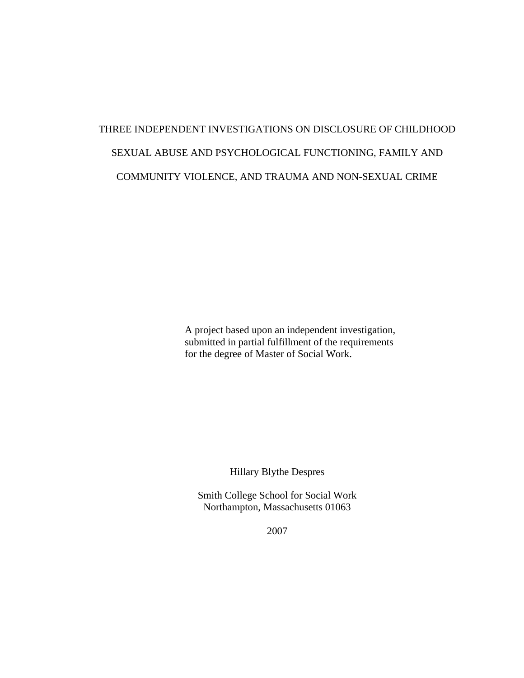# THREE INDEPENDENT INVESTIGATIONS ON DISCLOSURE OF CHILDHOOD SEXUAL ABUSE AND PSYCHOLOGICAL FUNCTIONING, FAMILY AND COMMUNITY VIOLENCE, AND TRAUMA AND NON-SEXUAL CRIME

 A project based upon an independent investigation, submitted in partial fulfillment of the requirements for the degree of Master of Social Work.

Hillary Blythe Despres

Smith College School for Social Work Northampton, Massachusetts 01063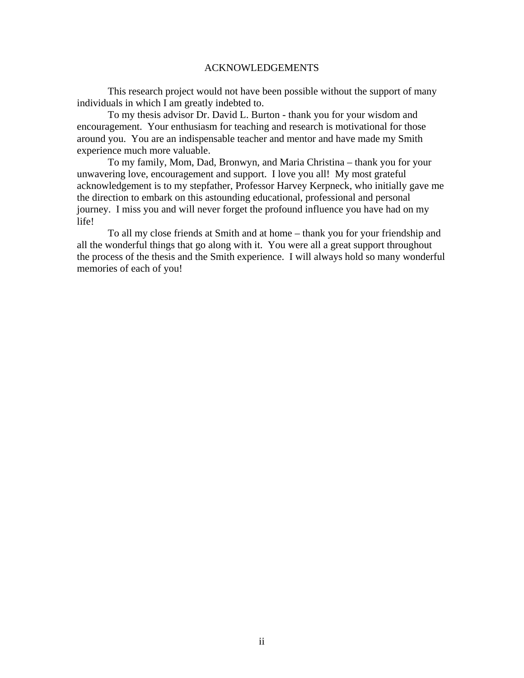#### ACKNOWLEDGEMENTS

This research project would not have been possible without the support of many individuals in which I am greatly indebted to.

To my thesis advisor Dr. David L. Burton - thank you for your wisdom and encouragement. Your enthusiasm for teaching and research is motivational for those around you. You are an indispensable teacher and mentor and have made my Smith experience much more valuable.

To my family, Mom, Dad, Bronwyn, and Maria Christina – thank you for your unwavering love, encouragement and support. I love you all! My most grateful acknowledgement is to my stepfather, Professor Harvey Kerpneck, who initially gave me the direction to embark on this astounding educational, professional and personal journey. I miss you and will never forget the profound influence you have had on my life!

To all my close friends at Smith and at home – thank you for your friendship and all the wonderful things that go along with it. You were all a great support throughout the process of the thesis and the Smith experience. I will always hold so many wonderful memories of each of you!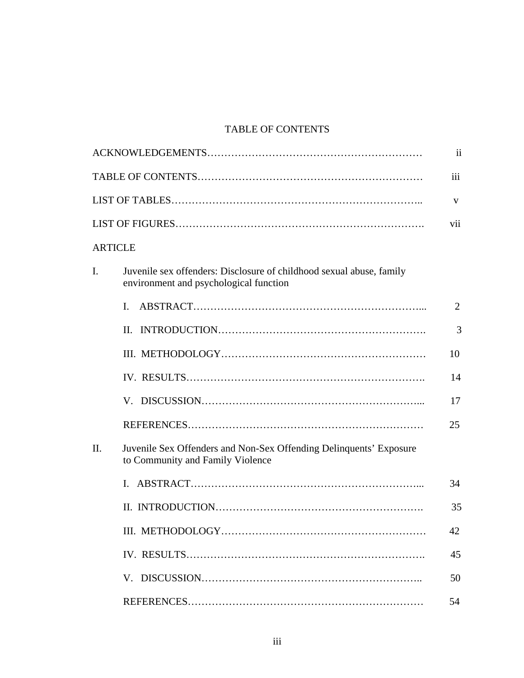## TABLE OF CONTENTS

|                |                                                                                                                | $\overline{\mathbf{u}}$ |
|----------------|----------------------------------------------------------------------------------------------------------------|-------------------------|
|                |                                                                                                                | iii                     |
|                |                                                                                                                | V                       |
|                |                                                                                                                | vii                     |
| <b>ARTICLE</b> |                                                                                                                |                         |
| $\mathbf{I}$ . | Juvenile sex offenders: Disclosure of childhood sexual abuse, family<br>environment and psychological function |                         |
|                | $\mathbf{L}$                                                                                                   | 2                       |
|                |                                                                                                                | 3                       |
|                |                                                                                                                | 10                      |
|                |                                                                                                                | 14                      |
|                |                                                                                                                | 17                      |
|                |                                                                                                                | 25                      |
| $\Pi$ .        | Juvenile Sex Offenders and Non-Sex Offending Delinquents' Exposure<br>to Community and Family Violence         |                         |
|                |                                                                                                                | 34                      |
|                |                                                                                                                | 35                      |
|                |                                                                                                                | 42                      |
|                |                                                                                                                | 45                      |
|                |                                                                                                                | 50                      |
|                |                                                                                                                | 54                      |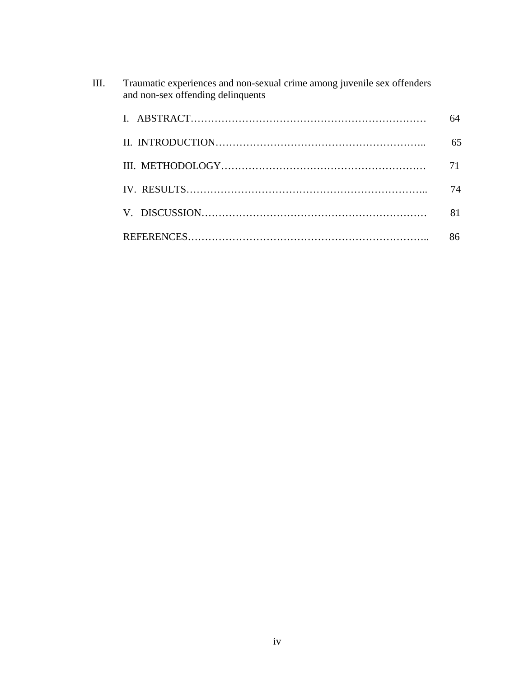| III. | Traumatic experiences and non-sexual crime among juvenile sex offenders<br>and non-sex offending delinquents |    |
|------|--------------------------------------------------------------------------------------------------------------|----|
|      |                                                                                                              | 64 |
|      |                                                                                                              | 65 |
|      |                                                                                                              |    |
|      |                                                                                                              | 74 |
|      |                                                                                                              | 81 |
|      |                                                                                                              | 86 |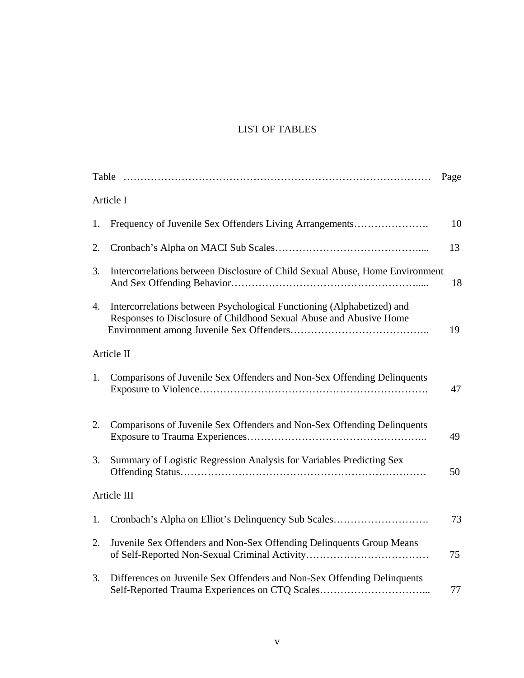## LIST OF TABLES

|    |                                                                                                                                              | Page |
|----|----------------------------------------------------------------------------------------------------------------------------------------------|------|
|    | Article I                                                                                                                                    |      |
| 1. | Frequency of Juvenile Sex Offenders Living Arrangements                                                                                      | 10   |
| 2. |                                                                                                                                              | 13   |
| 3. | Intercorrelations between Disclosure of Child Sexual Abuse, Home Environment                                                                 | 18   |
| 4. | Intercorrelations between Psychological Functioning (Alphabetized) and<br>Responses to Disclosure of Childhood Sexual Abuse and Abusive Home | 19   |
|    | Article II                                                                                                                                   |      |
| 1. | Comparisons of Juvenile Sex Offenders and Non-Sex Offending Delinquents                                                                      | 47   |
| 2. | Comparisons of Juvenile Sex Offenders and Non-Sex Offending Delinquents                                                                      | 49   |
| 3. | Summary of Logistic Regression Analysis for Variables Predicting Sex                                                                         | 50   |
|    | Article III                                                                                                                                  |      |
| 1. | Cronbach's Alpha on Elliot's Delinquency Sub Scales                                                                                          | 73   |
| 2. | Juvenile Sex Offenders and Non-Sex Offending Delinquents Group Means                                                                         | 75   |
| 3. | Differences on Juvenile Sex Offenders and Non-Sex Offending Delinquents<br>Self-Reported Trauma Experiences on CTQ Scales                    | 77   |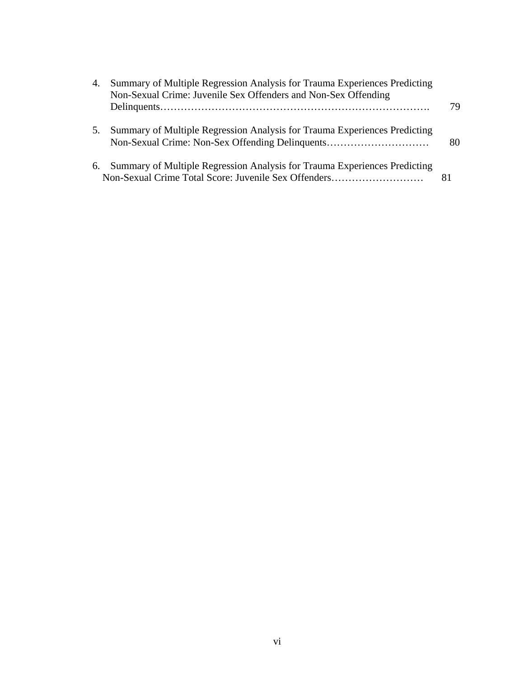| 4. | Summary of Multiple Regression Analysis for Trauma Experiences Predicting<br>Non-Sexual Crime: Juvenile Sex Offenders and Non-Sex Offending |    |
|----|---------------------------------------------------------------------------------------------------------------------------------------------|----|
|    |                                                                                                                                             | 79 |
| 5. | Summary of Multiple Regression Analysis for Trauma Experiences Predicting<br>Non-Sexual Crime: Non-Sex Offending Delinquents                | 80 |
| 6. | Summary of Multiple Regression Analysis for Trauma Experiences Predicting<br>Non-Sexual Crime Total Score: Juvenile Sex Offenders           | 81 |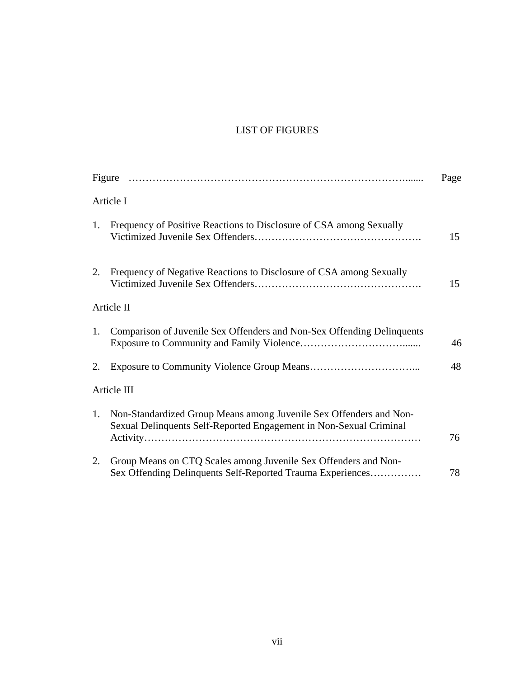## LIST OF FIGURES

|    |                                                                                                                                          | Page |
|----|------------------------------------------------------------------------------------------------------------------------------------------|------|
|    | Article I                                                                                                                                |      |
| 1. | Frequency of Positive Reactions to Disclosure of CSA among Sexually                                                                      | 15   |
|    | 2. Frequency of Negative Reactions to Disclosure of CSA among Sexually                                                                   | 15   |
|    | Article II                                                                                                                               |      |
| 1. | Comparison of Juvenile Sex Offenders and Non-Sex Offending Delinquents                                                                   | 46   |
| 2. |                                                                                                                                          | 48   |
|    | Article III                                                                                                                              |      |
| 1. | Non-Standardized Group Means among Juvenile Sex Offenders and Non-<br>Sexual Delinquents Self-Reported Engagement in Non-Sexual Criminal | 76   |
| 2. | Group Means on CTQ Scales among Juvenile Sex Offenders and Non-<br>Sex Offending Delinquents Self-Reported Trauma Experiences            | 78   |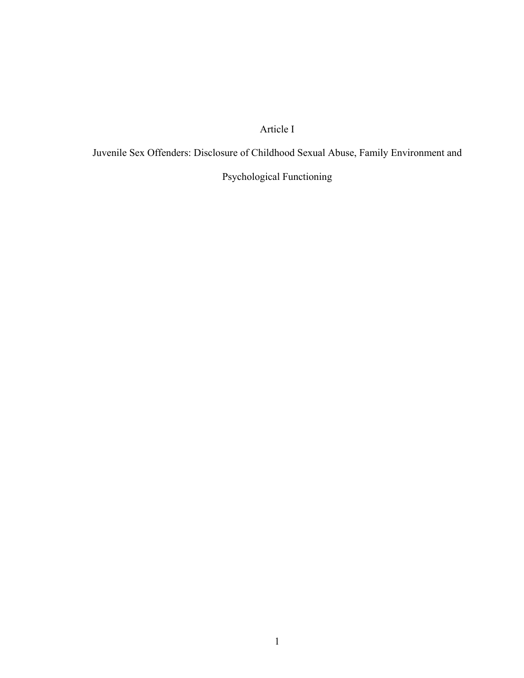## Article I

Juvenile Sex Offenders: Disclosure of Childhood Sexual Abuse, Family Environment and

Psychological Functioning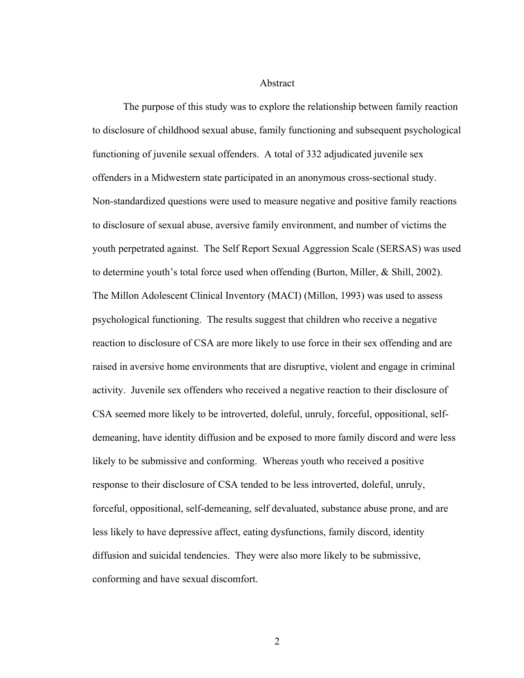Abstract

The purpose of this study was to explore the relationship between family reaction to disclosure of childhood sexual abuse, family functioning and subsequent psychological functioning of juvenile sexual offenders. A total of 332 adjudicated juvenile sex offenders in a Midwestern state participated in an anonymous cross-sectional study. Non-standardized questions were used to measure negative and positive family reactions to disclosure of sexual abuse, aversive family environment, and number of victims the youth perpetrated against. The Self Report Sexual Aggression Scale (SERSAS) was used to determine youth's total force used when offending (Burton, Miller, & Shill, 2002). The Millon Adolescent Clinical Inventory (MACI) (Millon, 1993) was used to assess psychological functioning. The results suggest that children who receive a negative reaction to disclosure of CSA are more likely to use force in their sex offending and are raised in aversive home environments that are disruptive, violent and engage in criminal activity. Juvenile sex offenders who received a negative reaction to their disclosure of CSA seemed more likely to be introverted, doleful, unruly, forceful, oppositional, selfdemeaning, have identity diffusion and be exposed to more family discord and were less likely to be submissive and conforming. Whereas youth who received a positive response to their disclosure of CSA tended to be less introverted, doleful, unruly, forceful, oppositional, self-demeaning, self devaluated, substance abuse prone, and are less likely to have depressive affect, eating dysfunctions, family discord, identity diffusion and suicidal tendencies. They were also more likely to be submissive, conforming and have sexual discomfort.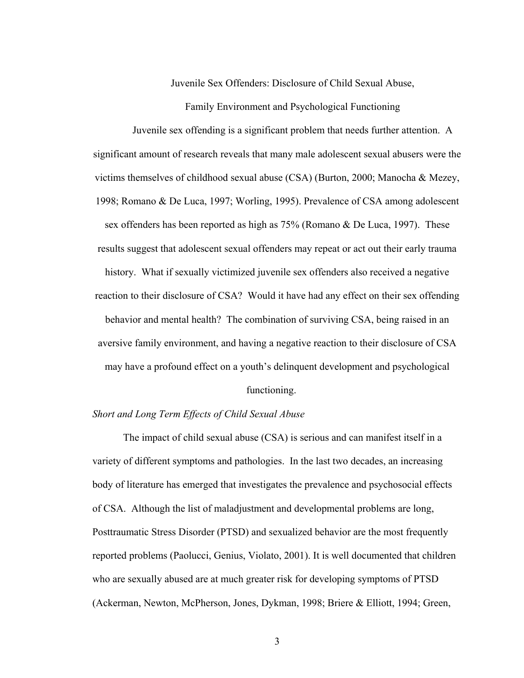Juvenile Sex Offenders: Disclosure of Child Sexual Abuse,

Family Environment and Psychological Functioning

Juvenile sex offending is a significant problem that needs further attention. A significant amount of research reveals that many male adolescent sexual abusers were the victims themselves of childhood sexual abuse (CSA) (Burton, 2000; Manocha & Mezey, 1998; Romano & De Luca, 1997; Worling, 1995). Prevalence of CSA among adolescent sex offenders has been reported as high as 75% (Romano & De Luca, 1997). These results suggest that adolescent sexual offenders may repeat or act out their early trauma history. What if sexually victimized juvenile sex offenders also received a negative reaction to their disclosure of CSA? Would it have had any effect on their sex offending behavior and mental health? The combination of surviving CSA, being raised in an aversive family environment, and having a negative reaction to their disclosure of CSA may have a profound effect on a youth's delinquent development and psychological

#### functioning.

#### *Short and Long Term Effects of Child Sexual Abuse*

The impact of child sexual abuse (CSA) is serious and can manifest itself in a variety of different symptoms and pathologies. In the last two decades, an increasing body of literature has emerged that investigates the prevalence and psychosocial effects of CSA. Although the list of maladjustment and developmental problems are long, Posttraumatic Stress Disorder (PTSD) and sexualized behavior are the most frequently reported problems (Paolucci, Genius, Violato, 2001). It is well documented that children who are sexually abused are at much greater risk for developing symptoms of PTSD (Ackerman, Newton, McPherson, Jones, Dykman, 1998; Briere & Elliott, 1994; Green,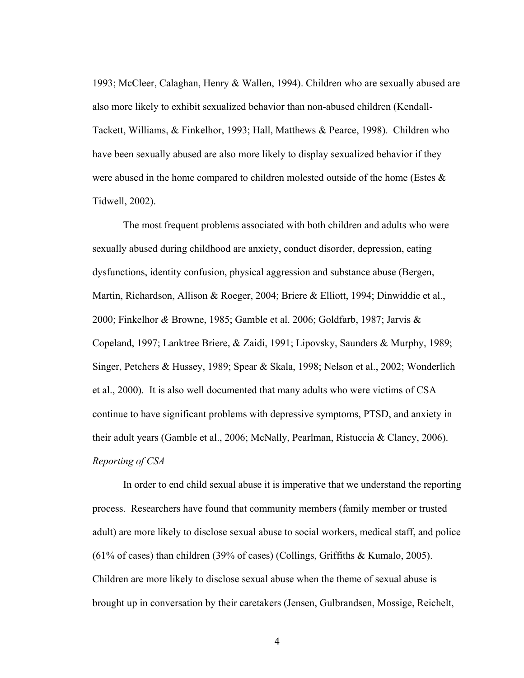1993; McCleer, Calaghan, Henry & Wallen, 1994). Children who are sexually abused are also more likely to exhibit sexualized behavior than non-abused children (Kendall-Tackett, Williams, & Finkelhor, 1993; Hall, Matthews & Pearce, 1998). Children who have been sexually abused are also more likely to display sexualized behavior if they were abused in the home compared to children molested outside of the home (Estes  $\&$ Tidwell, 2002).

The most frequent problems associated with both children and adults who were sexually abused during childhood are anxiety, conduct disorder, depression, eating dysfunctions, identity confusion, physical aggression and substance abuse (Bergen, Martin, Richardson, Allison & Roeger, 2004; Briere & Elliott, 1994; Dinwiddie et al., 2000; Finkelhor *&* Browne, 1985; Gamble et al. 2006; Goldfarb, 1987; Jarvis & Copeland, 1997; Lanktree Briere, & Zaidi, 1991; Lipovsky, Saunders & Murphy, 1989; Singer, Petchers & Hussey, 1989; Spear & Skala, 1998; Nelson et al., 2002; Wonderlich et al., 2000). It is also well documented that many adults who were victims of CSA continue to have significant problems with depressive symptoms, PTSD, and anxiety in their adult years (Gamble et al., 2006; McNally, Pearlman, Ristuccia & Clancy, 2006). *Reporting of CSA*

In order to end child sexual abuse it is imperative that we understand the reporting process. Researchers have found that community members (family member or trusted adult) are more likely to disclose sexual abuse to social workers, medical staff, and police (61% of cases) than children (39% of cases) (Collings, Griffiths & Kumalo, 2005). Children are more likely to disclose sexual abuse when the theme of sexual abuse is brought up in conversation by their caretakers (Jensen, Gulbrandsen, Mossige, Reichelt,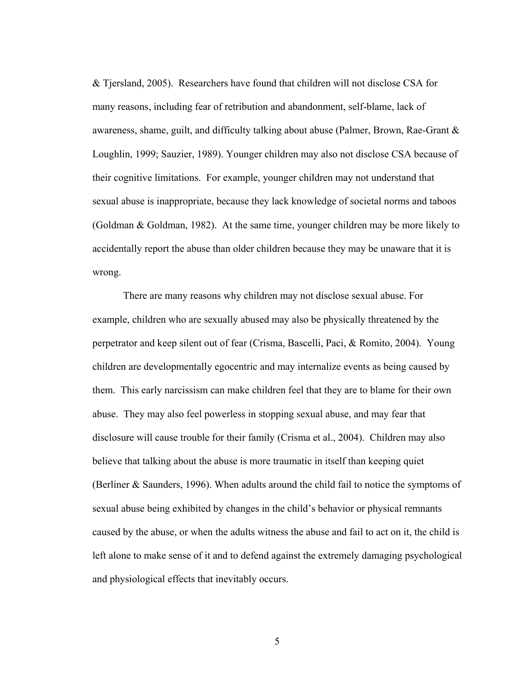& Tjersland, 2005). Researchers have found that children will not disclose CSA for many reasons, including fear of retribution and abandonment, self-blame, lack of awareness, shame, guilt, and difficulty talking about abuse (Palmer, Brown, Rae-Grant  $\&$ Loughlin, 1999; Sauzier, 1989). Younger children may also not disclose CSA because of their cognitive limitations. For example, younger children may not understand that sexual abuse is inappropriate, because they lack knowledge of societal norms and taboos (Goldman & Goldman, 1982). At the same time, younger children may be more likely to accidentally report the abuse than older children because they may be unaware that it is wrong.

There are many reasons why children may not disclose sexual abuse. For example, children who are sexually abused may also be physically threatened by the perpetrator and keep silent out of fear (Crisma, Bascelli, Paci, & Romito, 2004). Young children are developmentally egocentric and may internalize events as being caused by them. This early narcissism can make children feel that they are to blame for their own abuse. They may also feel powerless in stopping sexual abuse, and may fear that disclosure will cause trouble for their family (Crisma et al., 2004). Children may also believe that talking about the abuse is more traumatic in itself than keeping quiet (Berliner & Saunders, 1996). When adults around the child fail to notice the symptoms of sexual abuse being exhibited by changes in the child's behavior or physical remnants caused by the abuse, or when the adults witness the abuse and fail to act on it, the child is left alone to make sense of it and to defend against the extremely damaging psychological and physiological effects that inevitably occurs.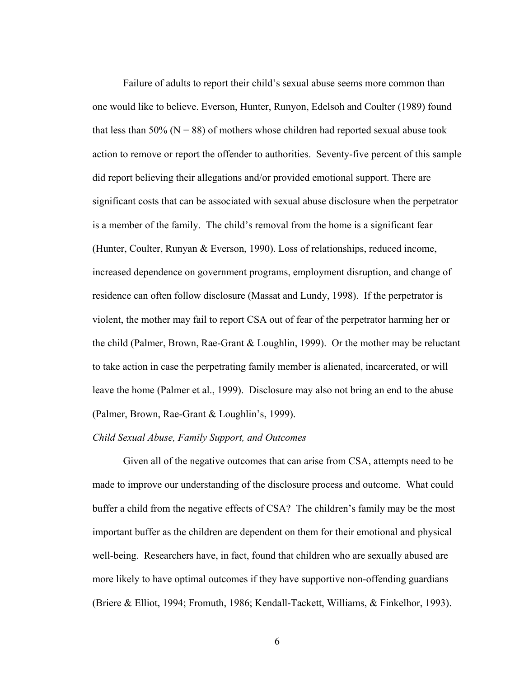Failure of adults to report their child's sexual abuse seems more common than one would like to believe. Everson, Hunter, Runyon, Edelsoh and Coulter (1989) found that less than 50% ( $N = 88$ ) of mothers whose children had reported sexual abuse took action to remove or report the offender to authorities. Seventy-five percent of this sample did report believing their allegations and/or provided emotional support. There are significant costs that can be associated with sexual abuse disclosure when the perpetrator is a member of the family. The child's removal from the home is a significant fear (Hunter, Coulter, Runyan & Everson, 1990). Loss of relationships, reduced income, increased dependence on government programs, employment disruption, and change of residence can often follow disclosure (Massat and Lundy, 1998). If the perpetrator is violent, the mother may fail to report CSA out of fear of the perpetrator harming her or the child (Palmer, Brown, Rae-Grant & Loughlin, 1999). Or the mother may be reluctant to take action in case the perpetrating family member is alienated, incarcerated, or will leave the home (Palmer et al., 1999). Disclosure may also not bring an end to the abuse (Palmer, Brown, Rae-Grant & Loughlin's, 1999).

#### *Child Sexual Abuse, Family Support, and Outcomes*

Given all of the negative outcomes that can arise from CSA, attempts need to be made to improve our understanding of the disclosure process and outcome. What could buffer a child from the negative effects of CSA? The children's family may be the most important buffer as the children are dependent on them for their emotional and physical well-being. Researchers have, in fact, found that children who are sexually abused are more likely to have optimal outcomes if they have supportive non-offending guardians (Briere & Elliot, 1994; Fromuth, 1986; Kendall-Tackett, Williams, & Finkelhor, 1993).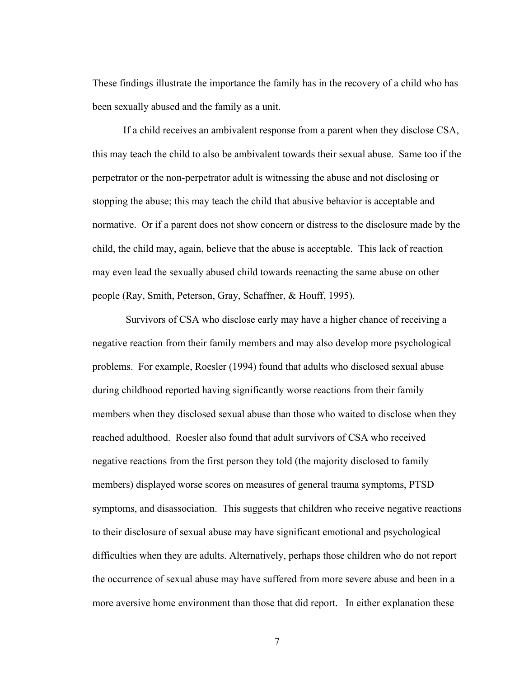These findings illustrate the importance the family has in the recovery of a child who has been sexually abused and the family as a unit.

If a child receives an ambivalent response from a parent when they disclose CSA, this may teach the child to also be ambivalent towards their sexual abuse. Same too if the perpetrator or the non-perpetrator adult is witnessing the abuse and not disclosing or stopping the abuse; this may teach the child that abusive behavior is acceptable and normative. Or if a parent does not show concern or distress to the disclosure made by the child, the child may, again, believe that the abuse is acceptable. This lack of reaction may even lead the sexually abused child towards reenacting the same abuse on other people (Ray, Smith, Peterson, Gray, Schaffner, & Houff, 1995).

 Survivors of CSA who disclose early may have a higher chance of receiving a negative reaction from their family members and may also develop more psychological problems. For example, Roesler (1994) found that adults who disclosed sexual abuse during childhood reported having significantly worse reactions from their family members when they disclosed sexual abuse than those who waited to disclose when they reached adulthood. Roesler also found that adult survivors of CSA who received negative reactions from the first person they told (the majority disclosed to family members) displayed worse scores on measures of general trauma symptoms, PTSD symptoms, and disassociation. This suggests that children who receive negative reactions to their disclosure of sexual abuse may have significant emotional and psychological difficulties when they are adults. Alternatively, perhaps those children who do not report the occurrence of sexual abuse may have suffered from more severe abuse and been in a more aversive home environment than those that did report. In either explanation these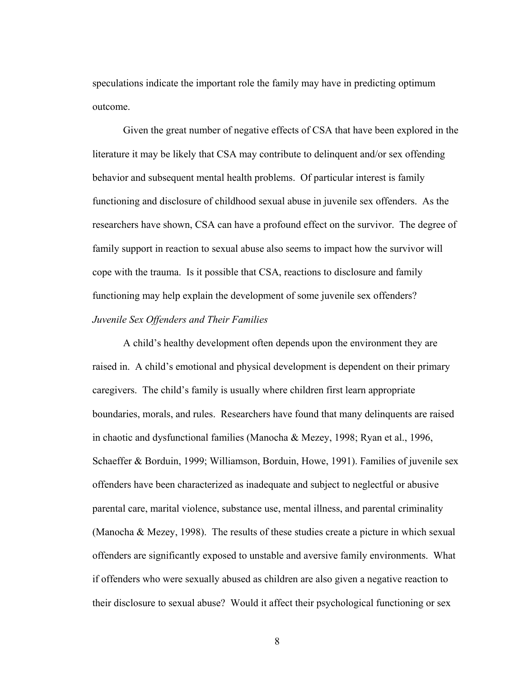speculations indicate the important role the family may have in predicting optimum outcome.

Given the great number of negative effects of CSA that have been explored in the literature it may be likely that CSA may contribute to delinquent and/or sex offending behavior and subsequent mental health problems. Of particular interest is family functioning and disclosure of childhood sexual abuse in juvenile sex offenders. As the researchers have shown, CSA can have a profound effect on the survivor. The degree of family support in reaction to sexual abuse also seems to impact how the survivor will cope with the trauma. Is it possible that CSA, reactions to disclosure and family functioning may help explain the development of some juvenile sex offenders? *Juvenile Sex Offenders and Their Families* 

A child's healthy development often depends upon the environment they are raised in. A child's emotional and physical development is dependent on their primary caregivers. The child's family is usually where children first learn appropriate boundaries, morals, and rules. Researchers have found that many delinquents are raised in chaotic and dysfunctional families (Manocha & Mezey, 1998; Ryan et al., 1996, Schaeffer & Borduin, 1999; Williamson, Borduin, Howe, 1991). Families of juvenile sex offenders have been characterized as inadequate and subject to neglectful or abusive parental care, marital violence, substance use, mental illness, and parental criminality (Manocha & Mezey, 1998). The results of these studies create a picture in which sexual offenders are significantly exposed to unstable and aversive family environments. What if offenders who were sexually abused as children are also given a negative reaction to their disclosure to sexual abuse? Would it affect their psychological functioning or sex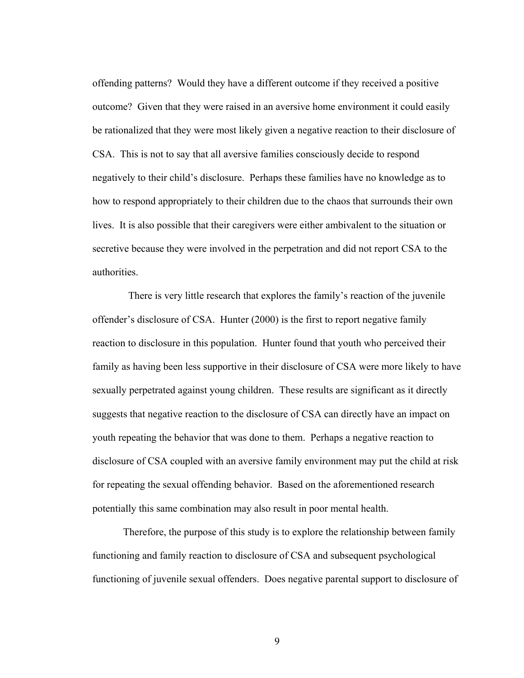offending patterns? Would they have a different outcome if they received a positive outcome? Given that they were raised in an aversive home environment it could easily be rationalized that they were most likely given a negative reaction to their disclosure of CSA. This is not to say that all aversive families consciously decide to respond negatively to their child's disclosure. Perhaps these families have no knowledge as to how to respond appropriately to their children due to the chaos that surrounds their own lives. It is also possible that their caregivers were either ambivalent to the situation or secretive because they were involved in the perpetration and did not report CSA to the authorities.

 There is very little research that explores the family's reaction of the juvenile offender's disclosure of CSA. Hunter (2000) is the first to report negative family reaction to disclosure in this population. Hunter found that youth who perceived their family as having been less supportive in their disclosure of CSA were more likely to have sexually perpetrated against young children. These results are significant as it directly suggests that negative reaction to the disclosure of CSA can directly have an impact on youth repeating the behavior that was done to them. Perhaps a negative reaction to disclosure of CSA coupled with an aversive family environment may put the child at risk for repeating the sexual offending behavior. Based on the aforementioned research potentially this same combination may also result in poor mental health.

Therefore, the purpose of this study is to explore the relationship between family functioning and family reaction to disclosure of CSA and subsequent psychological functioning of juvenile sexual offenders. Does negative parental support to disclosure of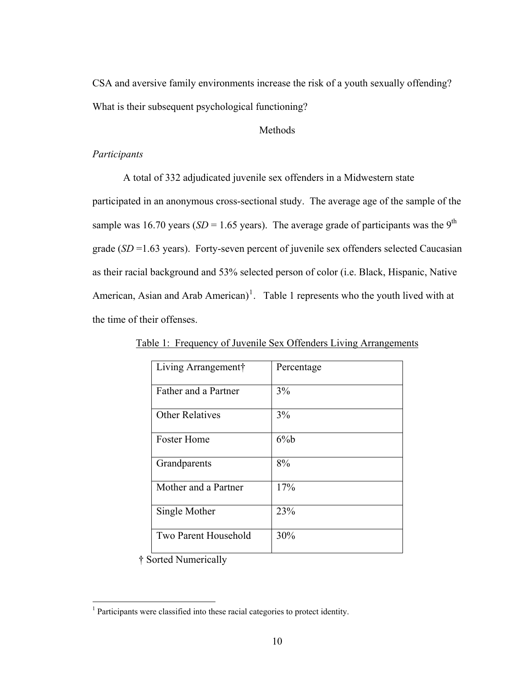CSA and aversive family environments increase the risk of a youth sexually offending? What is their subsequent psychological functioning?

#### **Methods**

#### *Participants*

A total of 332 adjudicated juvenile sex offenders in a Midwestern state participated in an anonymous cross-sectional study. The average age of the sample of the sample was 16.70 years ( $SD = 1.65$  years). The average grade of participants was the 9<sup>th</sup> grade (*SD* =1.63 years). Forty-seven percent of juvenile sex offenders selected Caucasian as their racial background and 53% selected person of color (i.e. Black, Hispanic, Native American, Asian and Arab American)<sup>[1](#page-19-0)</sup>. Table 1 represents who the youth lived with at the time of their offenses.

| Living Arrangement†    | Percentage |
|------------------------|------------|
| Father and a Partner   | 3%         |
| <b>Other Relatives</b> | 3%         |
| <b>Foster Home</b>     | $6\%$      |
| Grandparents           | 8%         |
| Mother and a Partner   | 17%        |
| Single Mother          | 23%        |
| Two Parent Household   | 30%        |

Table 1: Frequency of Juvenile Sex Offenders Living Arrangements

† Sorted Numerically

 $\overline{a}$ 

<span id="page-19-0"></span><sup>&</sup>lt;sup>1</sup> Participants were classified into these racial categories to protect identity.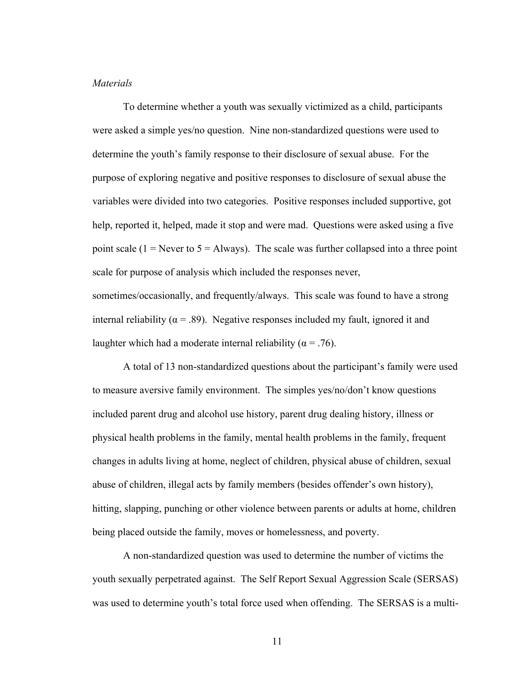#### *Materials*

To determine whether a youth was sexually victimized as a child, participants were asked a simple yes/no question. Nine non-standardized questions were used to determine the youth's family response to their disclosure of sexual abuse. For the purpose of exploring negative and positive responses to disclosure of sexual abuse the variables were divided into two categories. Positive responses included supportive, got help, reported it, helped, made it stop and were mad. Questions were asked using a five point scale (1 = Never to  $5 =$  Always). The scale was further collapsed into a three point scale for purpose of analysis which included the responses never,

sometimes/occasionally, and frequently/always. This scale was found to have a strong internal reliability ( $\alpha$  = .89). Negative responses included my fault, ignored it and laughter which had a moderate internal reliability ( $\alpha$  = .76).

A total of 13 non-standardized questions about the participant's family were used to measure aversive family environment. The simples yes/no/don't know questions included parent drug and alcohol use history, parent drug dealing history, illness or physical health problems in the family, mental health problems in the family, frequent changes in adults living at home, neglect of children, physical abuse of children, sexual abuse of children, illegal acts by family members (besides offender's own history), hitting, slapping, punching or other violence between parents or adults at home, children being placed outside the family, moves or homelessness, and poverty.

A non-standardized question was used to determine the number of victims the youth sexually perpetrated against. The Self Report Sexual Aggression Scale (SERSAS) was used to determine youth's total force used when offending. The SERSAS is a multi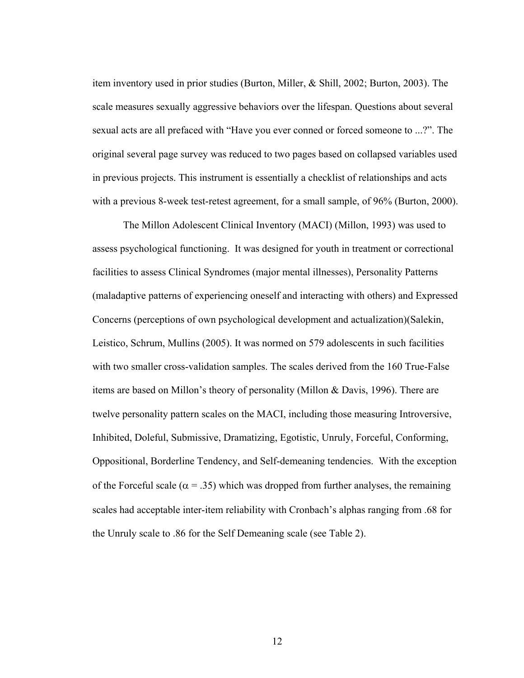item inventory used in prior studies (Burton, Miller, & Shill, 2002; Burton, 2003). The scale measures sexually aggressive behaviors over the lifespan. Questions about several sexual acts are all prefaced with "Have you ever conned or forced someone to ...?". The original several page survey was reduced to two pages based on collapsed variables used in previous projects. This instrument is essentially a checklist of relationships and acts with a previous 8-week test-retest agreement, for a small sample, of 96% (Burton, 2000).

The Millon Adolescent Clinical Inventory (MACI) (Millon, 1993) was used to assess psychological functioning. It was designed for youth in treatment or correctional facilities to assess Clinical Syndromes (major mental illnesses), Personality Patterns (maladaptive patterns of experiencing oneself and interacting with others) and Expressed Concerns (perceptions of own psychological development and actualization)(Salekin, Leistico, Schrum, Mullins (2005). It was normed on 579 adolescents in such facilities with two smaller cross-validation samples. The scales derived from the 160 True-False items are based on Millon's theory of personality (Millon & Davis, 1996). There are twelve personality pattern scales on the MACI, including those measuring Introversive, Inhibited, Doleful, Submissive, Dramatizing, Egotistic, Unruly, Forceful, Conforming, Oppositional, Borderline Tendency, and Self-demeaning tendencies. With the exception of the Forceful scale ( $\alpha$  = .35) which was dropped from further analyses, the remaining scales had acceptable inter-item reliability with Cronbach's alphas ranging from .68 for the Unruly scale to .86 for the Self Demeaning scale (see Table 2).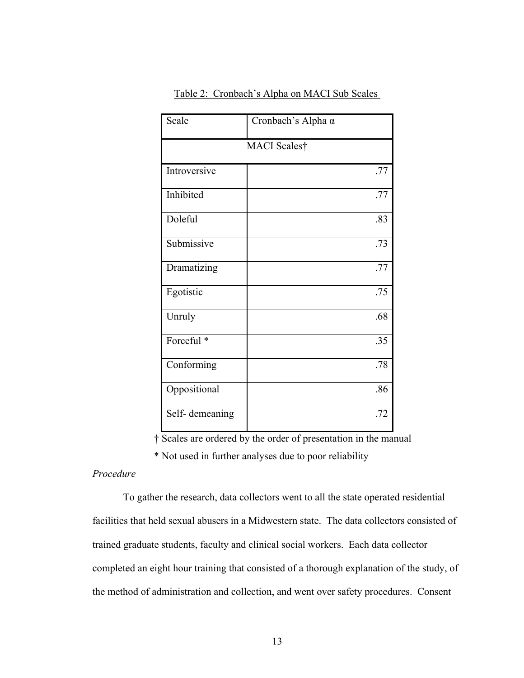| Scale          | Cronbach's Alpha α |  |  |
|----------------|--------------------|--|--|
| MACI Scales†   |                    |  |  |
| Introversive   | .77                |  |  |
| Inhibited      | .77                |  |  |
| Doleful        | .83                |  |  |
| Submissive     | .73                |  |  |
| Dramatizing    | .77                |  |  |
| Egotistic      | .75                |  |  |
| Unruly         | .68                |  |  |
| Forceful *     | .35                |  |  |
| Conforming     | .78                |  |  |
| Oppositional   | .86                |  |  |
| Self-demeaning | .72                |  |  |

Table 2: Cronbach's Alpha on MACI Sub Scales

† Scales are ordered by the order of presentation in the manual

\* Not used in further analyses due to poor reliability

#### *Procedure*

 To gather the research, data collectors went to all the state operated residential facilities that held sexual abusers in a Midwestern state. The data collectors consisted of trained graduate students, faculty and clinical social workers. Each data collector completed an eight hour training that consisted of a thorough explanation of the study, of the method of administration and collection, and went over safety procedures. Consent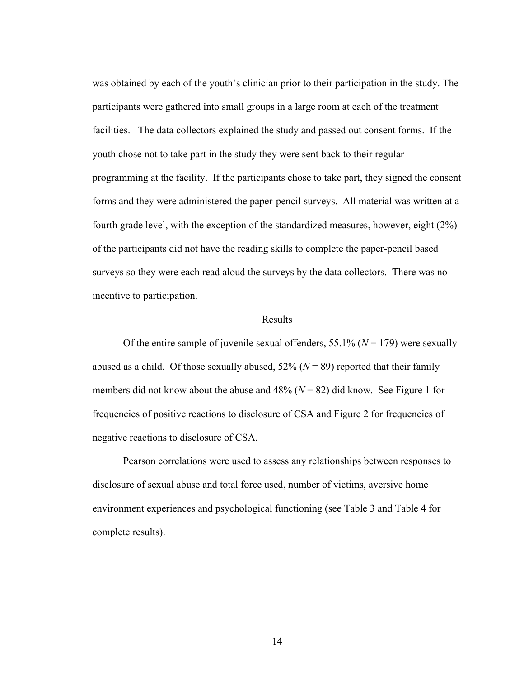was obtained by each of the youth's clinician prior to their participation in the study. The participants were gathered into small groups in a large room at each of the treatment facilities. The data collectors explained the study and passed out consent forms. If the youth chose not to take part in the study they were sent back to their regular programming at the facility. If the participants chose to take part, they signed the consent forms and they were administered the paper-pencil surveys. All material was written at a fourth grade level, with the exception of the standardized measures, however, eight (2%) of the participants did not have the reading skills to complete the paper-pencil based surveys so they were each read aloud the surveys by the data collectors. There was no incentive to participation.

#### Results

Of the entire sample of juvenile sexual offenders, 55.1% ( $N = 179$ ) were sexually abused as a child. Of those sexually abused,  $52\%$  ( $N = 89$ ) reported that their family members did not know about the abuse and  $48\%$  ( $N = 82$ ) did know. See Figure 1 for frequencies of positive reactions to disclosure of CSA and Figure 2 for frequencies of negative reactions to disclosure of CSA.

Pearson correlations were used to assess any relationships between responses to disclosure of sexual abuse and total force used, number of victims, aversive home environment experiences and psychological functioning (see Table 3 and Table 4 for complete results).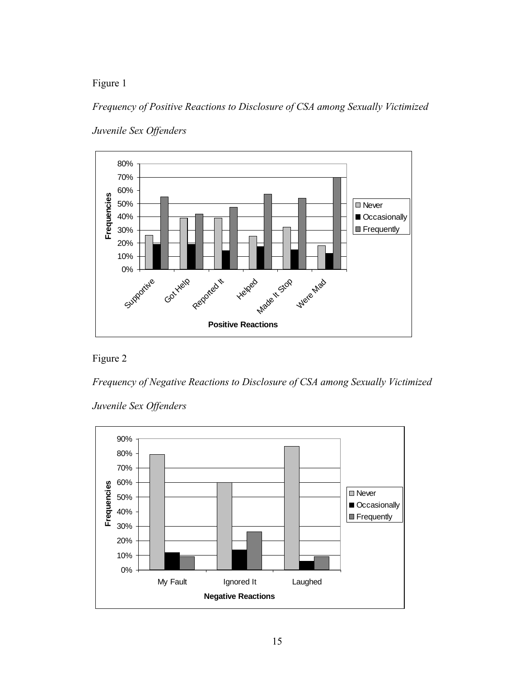Figure 1

*Frequency of Positive Reactions to Disclosure of CSA among Sexually Victimized* 



*Juvenile Sex Offenders* 

## Figure 2

*Frequency of Negative Reactions to Disclosure of CSA among Sexually Victimized* 

*Juvenile Sex Offenders* 

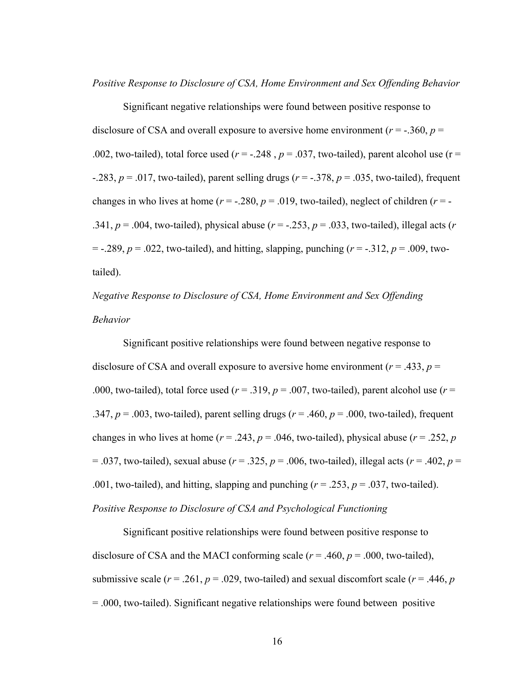*Positive Response to Disclosure of CSA, Home Environment and Sex Offending Behavior* 

Significant negative relationships were found between positive response to disclosure of CSA and overall exposure to aversive home environment ( $r = -0.360$ ,  $p =$ .002, two-tailed), total force used ( $r = -0.248$ ,  $p = 0.037$ , two-tailed), parent alcohol use ( $r =$  $-283$ ,  $p = .017$ , two-tailed), parent selling drugs ( $r = -.378$ ,  $p = .035$ , two-tailed), frequent changes in who lives at home  $(r = -.280, p = .019,$  two-tailed), neglect of children  $(r = -$ .341,  $p = .004$ , two-tailed), physical abuse ( $r = -.253$ ,  $p = .033$ , two-tailed), illegal acts ( $r = .253$  $= -.289, p = .022$ , two-tailed), and hitting, slapping, punching ( $r = -.312, p = .009$ , twotailed).

## *Negative Response to Disclosure of CSA, Home Environment and Sex Offending Behavior*

Significant positive relationships were found between negative response to disclosure of CSA and overall exposure to aversive home environment ( $r = .433$ ,  $p =$ .000, two-tailed), total force used ( $r = .319$ ,  $p = .007$ , two-tailed), parent alcohol use ( $r =$ .347,  $p = .003$ , two-tailed), parent selling drugs ( $r = .460$ ,  $p = .000$ , two-tailed), frequent changes in who lives at home ( $r = .243$ ,  $p = .046$ , two-tailed), physical abuse ( $r = .252$ ,  $p = .046$ )  $= .037$ , two-tailed), sexual abuse ( $r = .325$ ,  $p = .006$ , two-tailed), illegal acts ( $r = .402$ ,  $p =$ .001, two-tailed), and hitting, slapping and punching  $(r = .253, p = .037,$  two-tailed). *Positive Response to Disclosure of CSA and Psychological Functioning* 

Significant positive relationships were found between positive response to disclosure of CSA and the MACI conforming scale  $(r = .460, p = .000,$  two-tailed), submissive scale ( $r = .261$ ,  $p = .029$ , two-tailed) and sexual discomfort scale ( $r = .446$ ,  $p = .029$ ) = .000, two-tailed). Significant negative relationships were found between positive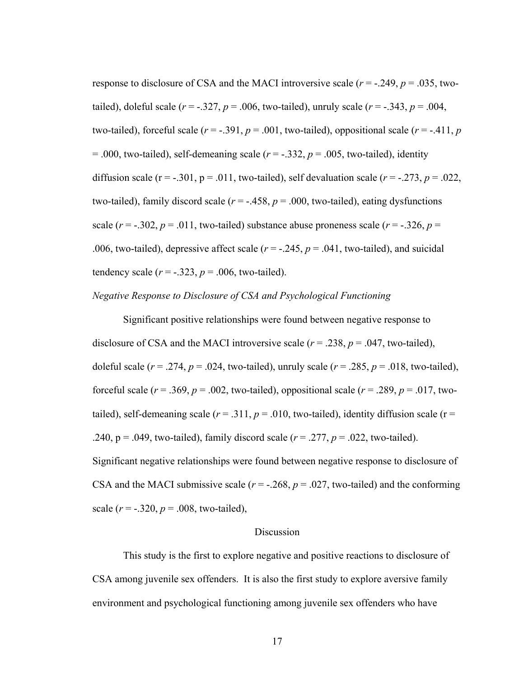response to disclosure of CSA and the MACI introversive scale  $(r = -0.249, p = 0.035,$  twotailed), doleful scale  $(r = -.327, p = .006,$  two-tailed), unruly scale  $(r = -.343, p = .004,$ two-tailed), forceful scale  $(r = -0.391, p = 0.001,$  two-tailed), oppositional scale  $(r = -0.411, p = 0.01, p = 0.01,$  $= .000$ , two-tailed), self-demeaning scale ( $r = -.332$ ,  $p = .005$ , two-tailed), identity diffusion scale ( $r = -.301$ ,  $p = .011$ , two-tailed), self devaluation scale ( $r = -.273$ ,  $p = .022$ , two-tailed), family discord scale  $(r = -0.458, p = 0.00,$  two-tailed), eating dysfunctions scale  $(r = -.302, p = .011,$  two-tailed) substance abuse proneness scale  $(r = -.326, p =$ .006, two-tailed), depressive affect scale  $(r = -.245, p = .041,$  two-tailed), and suicidal tendency scale  $(r = -.323, p = .006,$  two-tailed).

#### *Negative Response to Disclosure of CSA and Psychological Functioning*

Significant positive relationships were found between negative response to disclosure of CSA and the MACI introversive scale  $(r = .238, p = .047,$  two-tailed), doleful scale ( $r = .274$ ,  $p = .024$ , two-tailed), unruly scale ( $r = .285$ ,  $p = .018$ , two-tailed), forceful scale ( $r = .369$ ,  $p = .002$ , two-tailed), oppositional scale ( $r = .289$ ,  $p = .017$ , twotailed), self-demeaning scale ( $r = .311$ ,  $p = .010$ , two-tailed), identity diffusion scale ( $r =$ .240,  $p = .049$ , two-tailed), family discord scale ( $r = .277$ ,  $p = .022$ , two-tailed). Significant negative relationships were found between negative response to disclosure of CSA and the MACI submissive scale  $(r = -.268, p = .027,$  two-tailed) and the conforming scale  $(r = -.320, p = .008,$  two-tailed),

#### Discussion

This study is the first to explore negative and positive reactions to disclosure of CSA among juvenile sex offenders. It is also the first study to explore aversive family environment and psychological functioning among juvenile sex offenders who have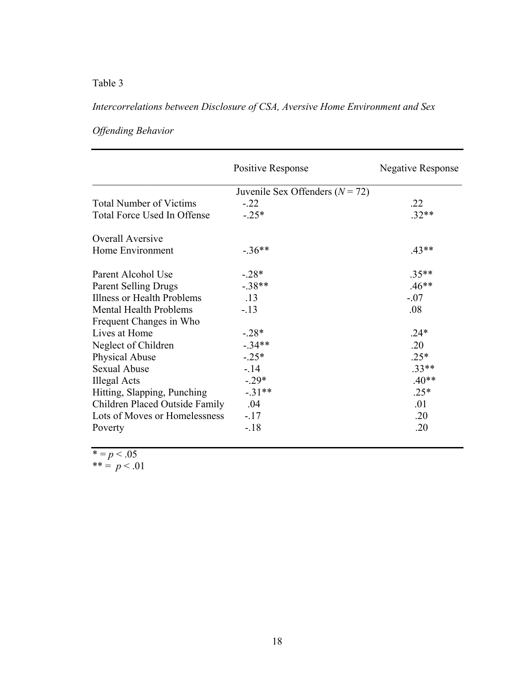## Table 3

## *Intercorrelations between Disclosure of CSA, Aversive Home Environment and Sex*

|                                | Positive Response                   | <b>Negative Response</b> |
|--------------------------------|-------------------------------------|--------------------------|
|                                | Juvenile Sex Offenders ( $N = 72$ ) |                          |
| <b>Total Number of Victims</b> | $-.22$                              | .22                      |
| Total Force Used In Offense    | $-.25*$                             | $.32**$                  |
| <b>Overall Aversive</b>        |                                     |                          |
| Home Environment               | $-36**$                             | $.43**$                  |
| Parent Alcohol Use             | $-.28*$                             | $.35**$                  |
| <b>Parent Selling Drugs</b>    | $-.38**$                            | $.46**$                  |
| Illness or Health Problems     | .13                                 | $-.07$                   |
| <b>Mental Health Problems</b>  | $-.13$                              | .08                      |
| Frequent Changes in Who        |                                     |                          |
| Lives at Home                  | $-.28*$                             | $.24*$                   |
| Neglect of Children            | $-34**$                             | .20                      |
| Physical Abuse                 | $-.25*$                             | $.25*$                   |
| <b>Sexual Abuse</b>            | $-14$                               | $.33**$                  |
| Illegal Acts                   | $-.29*$                             | $.40**$                  |
| Hitting, Slapping, Punching    | $-.31**$                            | $.25*$                   |
| Children Placed Outside Family | .04                                 | .01                      |
| Lots of Moves or Homelessness  | $-17$                               | .20                      |
| Poverty                        | $-18$                               | .20                      |

## *Offending Behavior*

 $* = p < .05$ 

\*\* =  $p < .01$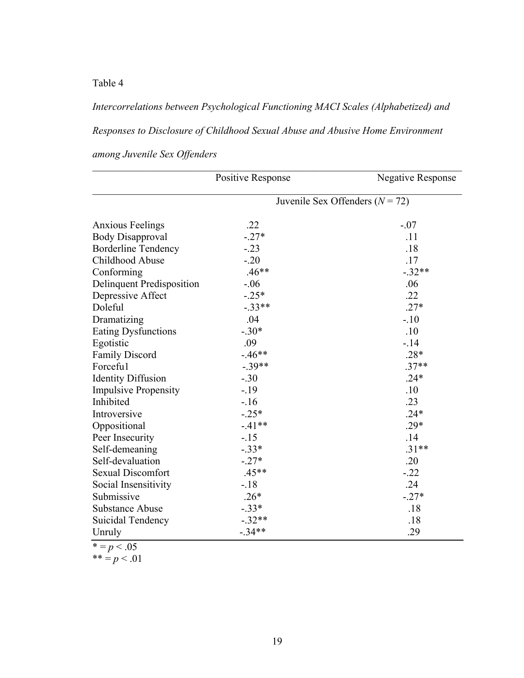Table 4

# *Intercorrelations between Psychological Functioning MACI Scales (Alphabetized) and Responses to Disclosure of Childhood Sexual Abuse and Abusive Home Environment*

|                                  | Positive Response                   | <b>Negative Response</b> |
|----------------------------------|-------------------------------------|--------------------------|
|                                  | Juvenile Sex Offenders ( $N = 72$ ) |                          |
| <b>Anxious Feelings</b>          | .22                                 | $-.07$                   |
| <b>Body Disapproval</b>          | $-.27*$                             | .11                      |
| <b>Borderline Tendency</b>       | $-.23$                              | .18                      |
| Childhood Abuse                  | $-.20$                              | .17                      |
| Conforming                       | $.46**$                             | $-.32**$                 |
| <b>Delinquent Predisposition</b> | $-0.06$                             | .06                      |
| Depressive Affect                | $-.25*$                             | .22                      |
| Doleful                          | $-.33**$                            | $.27*$                   |
| Dramatizing                      | .04                                 | $-.10$                   |
| Eating Dysfunctions              | $-.30*$                             | .10                      |
| Egotistic                        | .09                                 | $-14$                    |
| <b>Family Discord</b>            | $-46**$                             | $.28*$                   |
| Forcefu1                         | $-39**$                             | $.37**$                  |
| <b>Identity Diffusion</b>        | $-.30$                              | $.24*$                   |
| <b>Impulsive Propensity</b>      | $-.19$                              | .10                      |
| Inhibited                        | $-16$                               | .23                      |
| Introversive                     | $-.25*$                             | $.24*$                   |
| Oppositional                     | $-41**$                             | $.29*$                   |
| Peer Insecurity                  | $-.15$                              | .14                      |
| Self-demeaning                   | $-.33*$                             | $.31**$                  |
| Self-devaluation                 | $-.27*$                             | .20                      |
| <b>Sexual Discomfort</b>         | $.45**$                             | $-.22$                   |
| Social Insensitivity             | $-18$                               | .24                      |
| Submissive                       | $.26*$                              | $-.27*$                  |
| <b>Substance Abuse</b>           | $-.33*$                             | .18                      |
| Suicidal Tendency                | $-.32**$                            | .18                      |
| Unruly                           | $-34**$                             | .29                      |

## *among Juvenile Sex Offenders*

 $* = p < .05$ 

 $*** = p < .01$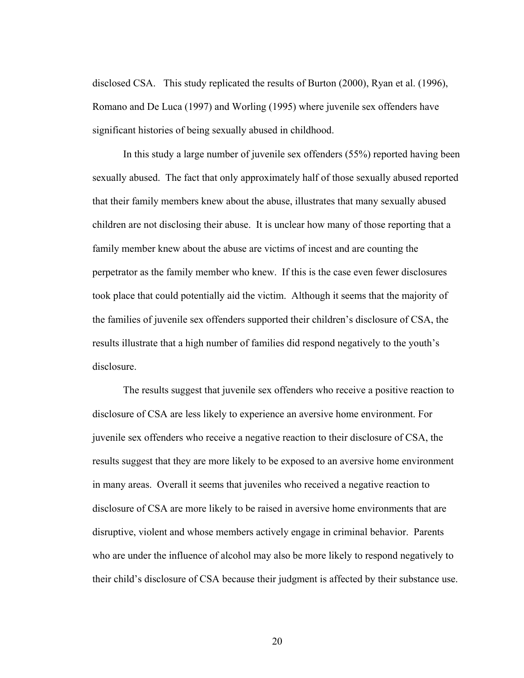disclosed CSA. This study replicated the results of Burton (2000), Ryan et al. (1996), Romano and De Luca (1997) and Worling (1995) where juvenile sex offenders have significant histories of being sexually abused in childhood.

In this study a large number of juvenile sex offenders (55%) reported having been sexually abused. The fact that only approximately half of those sexually abused reported that their family members knew about the abuse, illustrates that many sexually abused children are not disclosing their abuse. It is unclear how many of those reporting that a family member knew about the abuse are victims of incest and are counting the perpetrator as the family member who knew. If this is the case even fewer disclosures took place that could potentially aid the victim. Although it seems that the majority of the families of juvenile sex offenders supported their children's disclosure of CSA, the results illustrate that a high number of families did respond negatively to the youth's disclosure.

The results suggest that juvenile sex offenders who receive a positive reaction to disclosure of CSA are less likely to experience an aversive home environment. For juvenile sex offenders who receive a negative reaction to their disclosure of CSA, the results suggest that they are more likely to be exposed to an aversive home environment in many areas. Overall it seems that juveniles who received a negative reaction to disclosure of CSA are more likely to be raised in aversive home environments that are disruptive, violent and whose members actively engage in criminal behavior. Parents who are under the influence of alcohol may also be more likely to respond negatively to their child's disclosure of CSA because their judgment is affected by their substance use.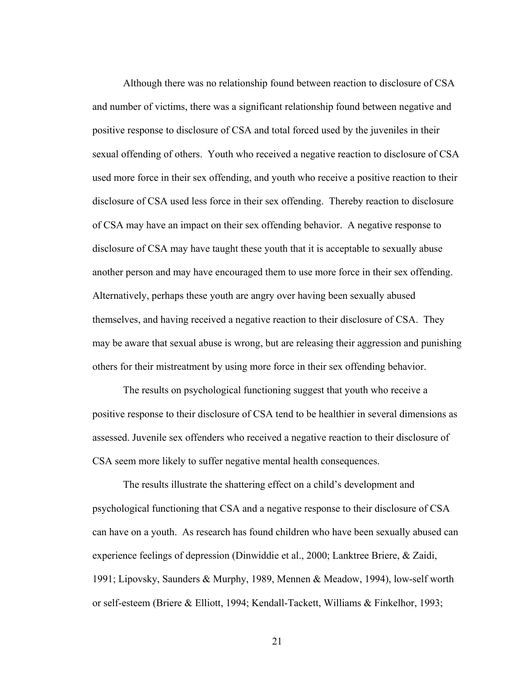Although there was no relationship found between reaction to disclosure of CSA and number of victims, there was a significant relationship found between negative and positive response to disclosure of CSA and total forced used by the juveniles in their sexual offending of others. Youth who received a negative reaction to disclosure of CSA used more force in their sex offending, and youth who receive a positive reaction to their disclosure of CSA used less force in their sex offending. Thereby reaction to disclosure of CSA may have an impact on their sex offending behavior. A negative response to disclosure of CSA may have taught these youth that it is acceptable to sexually abuse another person and may have encouraged them to use more force in their sex offending. Alternatively, perhaps these youth are angry over having been sexually abused themselves, and having received a negative reaction to their disclosure of CSA. They may be aware that sexual abuse is wrong, but are releasing their aggression and punishing others for their mistreatment by using more force in their sex offending behavior.

The results on psychological functioning suggest that youth who receive a positive response to their disclosure of CSA tend to be healthier in several dimensions as assessed. Juvenile sex offenders who received a negative reaction to their disclosure of CSA seem more likely to suffer negative mental health consequences.

The results illustrate the shattering effect on a child's development and psychological functioning that CSA and a negative response to their disclosure of CSA can have on a youth. As research has found children who have been sexually abused can experience feelings of depression (Dinwiddie et al., 2000; Lanktree Briere, & Zaidi, 1991; Lipovsky, Saunders & Murphy, 1989, Mennen & Meadow, 1994), low-self worth or self-esteem (Briere & Elliott, 1994; Kendall-Tackett, Williams & Finkelhor, 1993;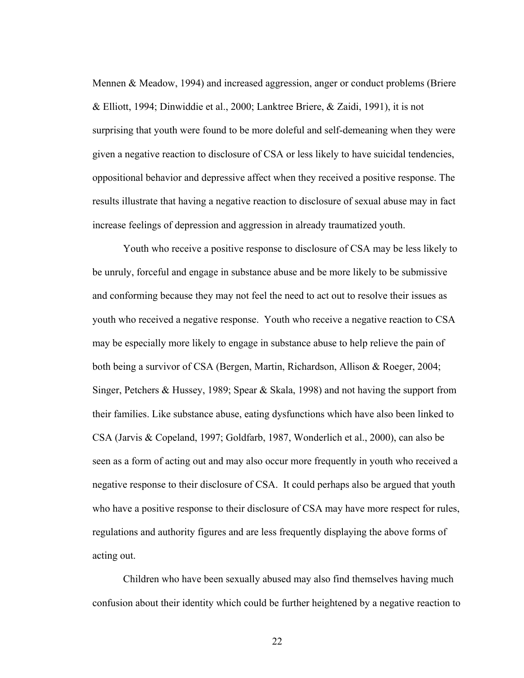Mennen & Meadow, 1994) and increased aggression, anger or conduct problems (Briere & Elliott, 1994; Dinwiddie et al., 2000; Lanktree Briere, & Zaidi, 1991), it is not surprising that youth were found to be more doleful and self-demeaning when they were given a negative reaction to disclosure of CSA or less likely to have suicidal tendencies, oppositional behavior and depressive affect when they received a positive response. The results illustrate that having a negative reaction to disclosure of sexual abuse may in fact increase feelings of depression and aggression in already traumatized youth.

Youth who receive a positive response to disclosure of CSA may be less likely to be unruly, forceful and engage in substance abuse and be more likely to be submissive and conforming because they may not feel the need to act out to resolve their issues as youth who received a negative response. Youth who receive a negative reaction to CSA may be especially more likely to engage in substance abuse to help relieve the pain of both being a survivor of CSA (Bergen, Martin, Richardson, Allison & Roeger, 2004; Singer, Petchers & Hussey, 1989; Spear & Skala, 1998) and not having the support from their families. Like substance abuse, eating dysfunctions which have also been linked to CSA (Jarvis & Copeland, 1997; Goldfarb, 1987, Wonderlich et al., 2000), can also be seen as a form of acting out and may also occur more frequently in youth who received a negative response to their disclosure of CSA. It could perhaps also be argued that youth who have a positive response to their disclosure of CSA may have more respect for rules, regulations and authority figures and are less frequently displaying the above forms of acting out.

Children who have been sexually abused may also find themselves having much confusion about their identity which could be further heightened by a negative reaction to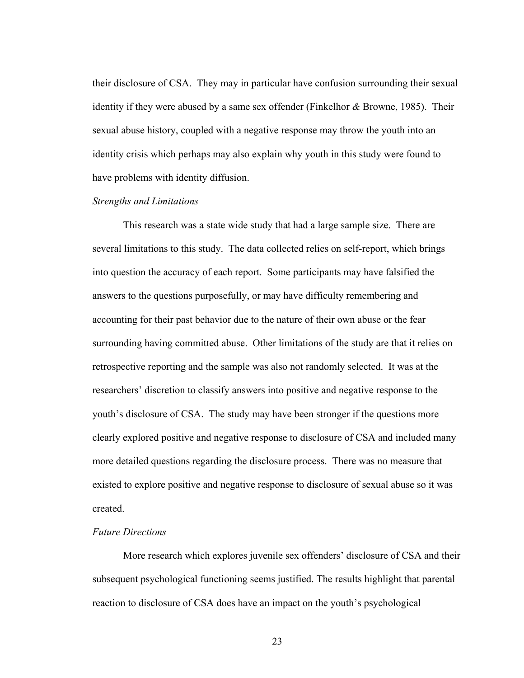their disclosure of CSA. They may in particular have confusion surrounding their sexual identity if they were abused by a same sex offender (Finkelhor *&* Browne, 1985). Their sexual abuse history, coupled with a negative response may throw the youth into an identity crisis which perhaps may also explain why youth in this study were found to have problems with identity diffusion.

#### *Strengths and Limitations*

This research was a state wide study that had a large sample size. There are several limitations to this study. The data collected relies on self-report, which brings into question the accuracy of each report. Some participants may have falsified the answers to the questions purposefully, or may have difficulty remembering and accounting for their past behavior due to the nature of their own abuse or the fear surrounding having committed abuse. Other limitations of the study are that it relies on retrospective reporting and the sample was also not randomly selected. It was at the researchers' discretion to classify answers into positive and negative response to the youth's disclosure of CSA. The study may have been stronger if the questions more clearly explored positive and negative response to disclosure of CSA and included many more detailed questions regarding the disclosure process. There was no measure that existed to explore positive and negative response to disclosure of sexual abuse so it was created.

#### *Future Directions*

More research which explores juvenile sex offenders' disclosure of CSA and their subsequent psychological functioning seems justified. The results highlight that parental reaction to disclosure of CSA does have an impact on the youth's psychological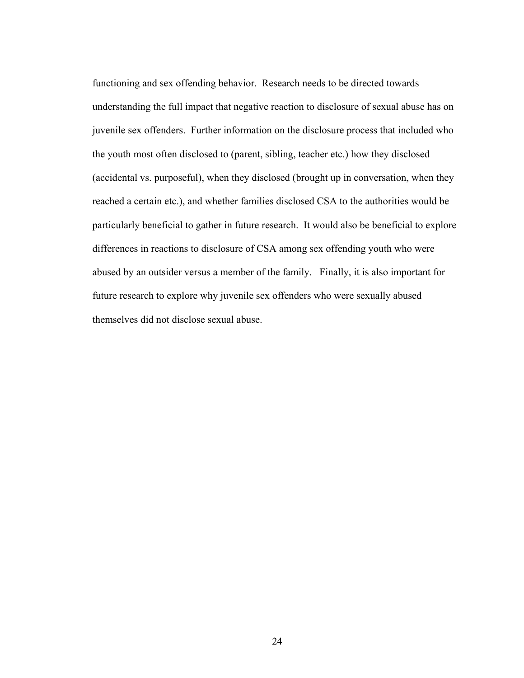functioning and sex offending behavior. Research needs to be directed towards understanding the full impact that negative reaction to disclosure of sexual abuse has on juvenile sex offenders. Further information on the disclosure process that included who the youth most often disclosed to (parent, sibling, teacher etc.) how they disclosed (accidental vs. purposeful), when they disclosed (brought up in conversation, when they reached a certain etc.), and whether families disclosed CSA to the authorities would be particularly beneficial to gather in future research. It would also be beneficial to explore differences in reactions to disclosure of CSA among sex offending youth who were abused by an outsider versus a member of the family. Finally, it is also important for future research to explore why juvenile sex offenders who were sexually abused themselves did not disclose sexual abuse.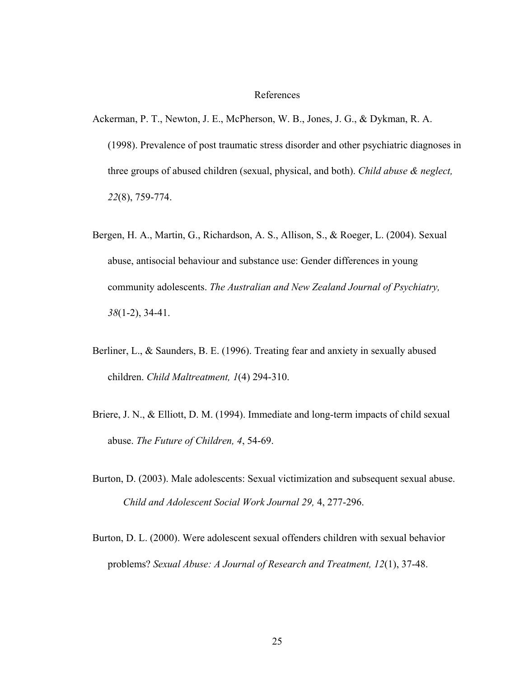#### References

- Ackerman, P. T., Newton, J. E., McPherson, W. B., Jones, J. G., & Dykman, R. A. (1998). Prevalence of post traumatic stress disorder and other psychiatric diagnoses in three groups of abused children (sexual, physical, and both). *Child abuse & neglect, 22*(8), 759-774.
- Bergen, H. A., Martin, G., Richardson, A. S., Allison, S., & Roeger, L. (2004). Sexual abuse, antisocial behaviour and substance use: Gender differences in young community adolescents. *The Australian and New Zealand Journal of Psychiatry, 38*(1-2), 34-41.
- Berliner, L., & Saunders, B. E. (1996). Treating fear and anxiety in sexually abused children. *Child Maltreatment, 1*(4) 294-310.
- Briere, J. N., & Elliott, D. M. (1994). Immediate and long-term impacts of child sexual abuse. *The Future of Children, 4*, 54-69.
- Burton, D. (2003). Male adolescents: Sexual victimization and subsequent sexual abuse. *Child and Adolescent Social Work Journal 29,* 4, 277-296.
- Burton, D. L. (2000). Were adolescent sexual offenders children with sexual behavior problems? *Sexual Abuse: A Journal of Research and Treatment, 12*(1), 37-48.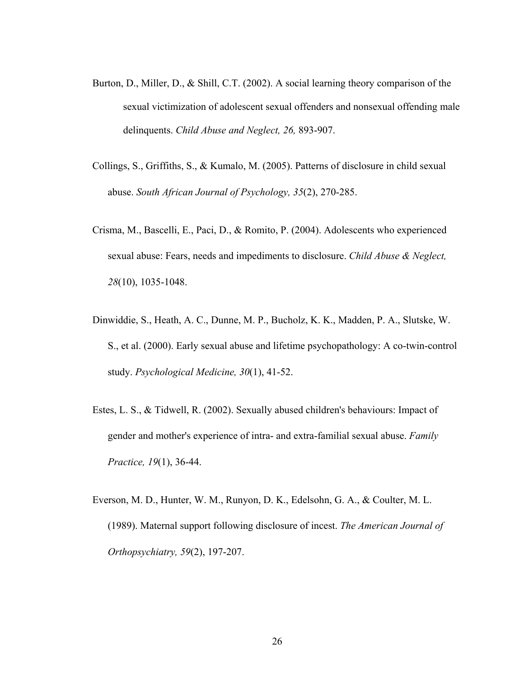- Burton, D., Miller, D., & Shill, C.T. (2002). A social learning theory comparison of the sexual victimization of adolescent sexual offenders and nonsexual offending male delinquents. *Child Abuse and Neglect, 26,* 893-907.
- Collings, S., Griffiths, S., & Kumalo, M. (2005). Patterns of disclosure in child sexual abuse. *South African Journal of Psychology, 35*(2), 270-285.
- Crisma, M., Bascelli, E., Paci, D., & Romito, P. (2004). Adolescents who experienced sexual abuse: Fears, needs and impediments to disclosure. *Child Abuse & Neglect, 28*(10), 1035-1048.
- Dinwiddie, S., Heath, A. C., Dunne, M. P., Bucholz, K. K., Madden, P. A., Slutske, W. S., et al. (2000). Early sexual abuse and lifetime psychopathology: A co-twin-control study. *Psychological Medicine, 30*(1), 41-52.
- Estes, L. S., & Tidwell, R. (2002). Sexually abused children's behaviours: Impact of gender and mother's experience of intra- and extra-familial sexual abuse. *Family Practice, 19*(1), 36-44.
- Everson, M. D., Hunter, W. M., Runyon, D. K., Edelsohn, G. A., & Coulter, M. L. (1989). Maternal support following disclosure of incest. *The American Journal of Orthopsychiatry, 59*(2), 197-207.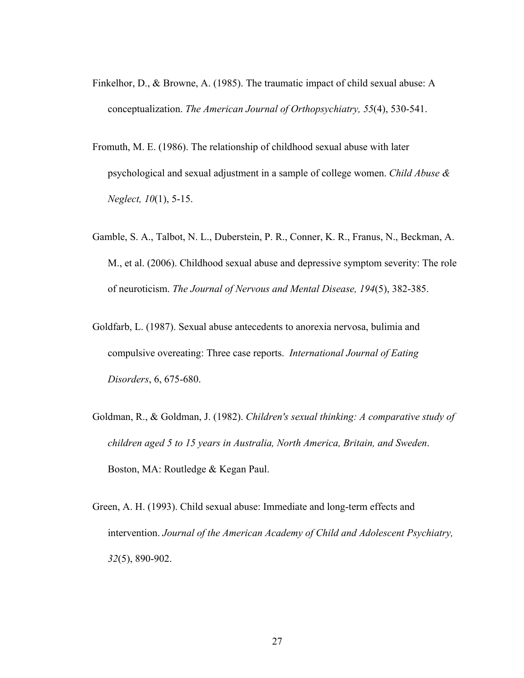- Finkelhor, D., & Browne, A. (1985). The traumatic impact of child sexual abuse: A conceptualization. *The American Journal of Orthopsychiatry, 55*(4), 530-541.
- Fromuth, M. E. (1986). The relationship of childhood sexual abuse with later psychological and sexual adjustment in a sample of college women. *Child Abuse & Neglect, 10*(1), 5-15.
- Gamble, S. A., Talbot, N. L., Duberstein, P. R., Conner, K. R., Franus, N., Beckman, A. M., et al. (2006). Childhood sexual abuse and depressive symptom severity: The role of neuroticism. *The Journal of Nervous and Mental Disease, 194*(5), 382-385.
- Goldfarb, L. (1987). Sexual abuse antecedents to anorexia nervosa, bulimia and compulsive overeating: Three case reports. *International Journal of Eating Disorders*, 6, 675-680.
- Goldman, R., & Goldman, J. (1982). *Children's sexual thinking: A comparative study of children aged 5 to 15 years in Australia, North America, Britain, and Sweden*. Boston, MA: Routledge & Kegan Paul.
- Green, A. H. (1993). Child sexual abuse: Immediate and long-term effects and intervention. *Journal of the American Academy of Child and Adolescent Psychiatry, 32*(5), 890-902.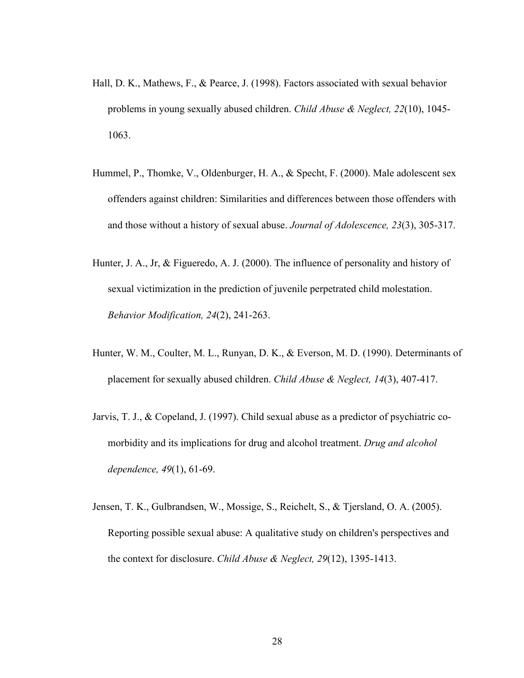- Hall, D. K., Mathews, F., & Pearce, J. (1998). Factors associated with sexual behavior problems in young sexually abused children. *Child Abuse & Neglect, 22*(10), 1045- 1063.
- Hummel, P., Thomke, V., Oldenburger, H. A., & Specht, F. (2000). Male adolescent sex offenders against children: Similarities and differences between those offenders with and those without a history of sexual abuse. *Journal of Adolescence, 23*(3), 305-317.
- Hunter, J. A., Jr, & Figueredo, A. J. (2000). The influence of personality and history of sexual victimization in the prediction of juvenile perpetrated child molestation. *Behavior Modification, 24*(2), 241-263.
- Hunter, W. M., Coulter, M. L., Runyan, D. K., & Everson, M. D. (1990). Determinants of placement for sexually abused children. *Child Abuse & Neglect, 14*(3), 407-417.
- Jarvis, T. J., & Copeland, J. (1997). Child sexual abuse as a predictor of psychiatric comorbidity and its implications for drug and alcohol treatment. *Drug and alcohol dependence, 49*(1), 61-69.
- Jensen, T. K., Gulbrandsen, W., Mossige, S., Reichelt, S., & Tjersland, O. A. (2005). Reporting possible sexual abuse: A qualitative study on children's perspectives and the context for disclosure. *Child Abuse & Neglect, 29*(12), 1395-1413.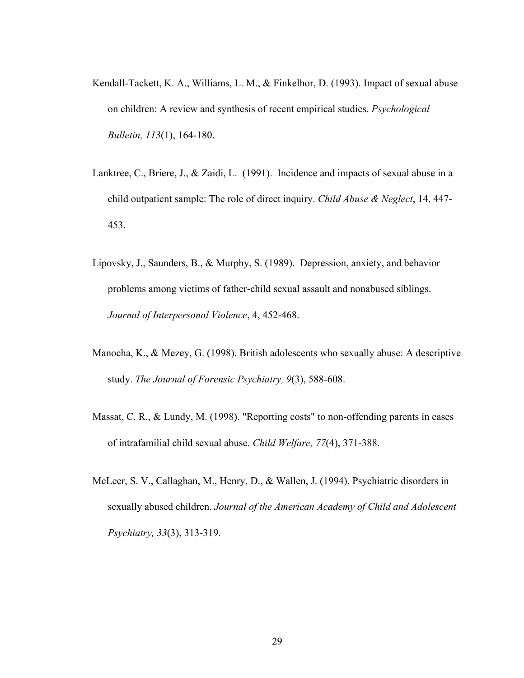- Kendall-Tackett, K. A., Williams, L. M., & Finkelhor, D. (1993). Impact of sexual abuse on children: A review and synthesis of recent empirical studies. *Psychological Bulletin, 113*(1), 164-180.
- Lanktree, C., Briere, J., & Zaidi, L. (1991). Incidence and impacts of sexual abuse in a child outpatient sample: The role of direct inquiry. *Child Abuse & Neglect*, 14, 447- 453.
- Lipovsky, J., Saunders, B., & Murphy, S. (1989). Depression, anxiety, and behavior problems among victims of father-child sexual assault and nonabused siblings. *Journal of Interpersonal Violence*, 4, 452-468.
- Manocha, K., & Mezey, G. (1998). British adolescents who sexually abuse: A descriptive study. *The Journal of Forensic Psychiatry, 9*(3), 588-608.
- Massat, C. R., & Lundy, M. (1998). "Reporting costs" to non-offending parents in cases of intrafamilial child sexual abuse. *Child Welfare, 77*(4), 371-388.
- McLeer, S. V., Callaghan, M., Henry, D., & Wallen, J. (1994). Psychiatric disorders in sexually abused children. *Journal of the American Academy of Child and Adolescent Psychiatry, 33*(3), 313-319.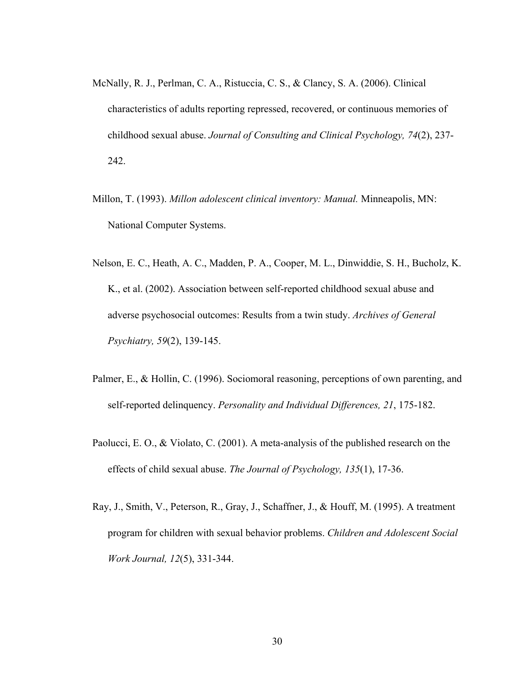- McNally, R. J., Perlman, C. A., Ristuccia, C. S., & Clancy, S. A. (2006). Clinical characteristics of adults reporting repressed, recovered, or continuous memories of childhood sexual abuse. *Journal of Consulting and Clinical Psychology, 74*(2), 237- 242.
- Millon, T. (1993). *Millon adolescent clinical inventory: Manual.* Minneapolis, MN: National Computer Systems.
- Nelson, E. C., Heath, A. C., Madden, P. A., Cooper, M. L., Dinwiddie, S. H., Bucholz, K. K., et al. (2002). Association between self-reported childhood sexual abuse and adverse psychosocial outcomes: Results from a twin study. *Archives of General Psychiatry, 59*(2), 139-145.
- Palmer, E., & Hollin, C. (1996). Sociomoral reasoning, perceptions of own parenting, and self-reported delinquency. *Personality and Individual Differences, 21*, 175-182.
- Paolucci, E. O., & Violato, C. (2001). A meta-analysis of the published research on the effects of child sexual abuse. *The Journal of Psychology, 135*(1), 17-36.
- Ray, J., Smith, V., Peterson, R., Gray, J., Schaffner, J., & Houff, M. (1995). A treatment program for children with sexual behavior problems. *Children and Adolescent Social Work Journal, 12*(5), 331-344.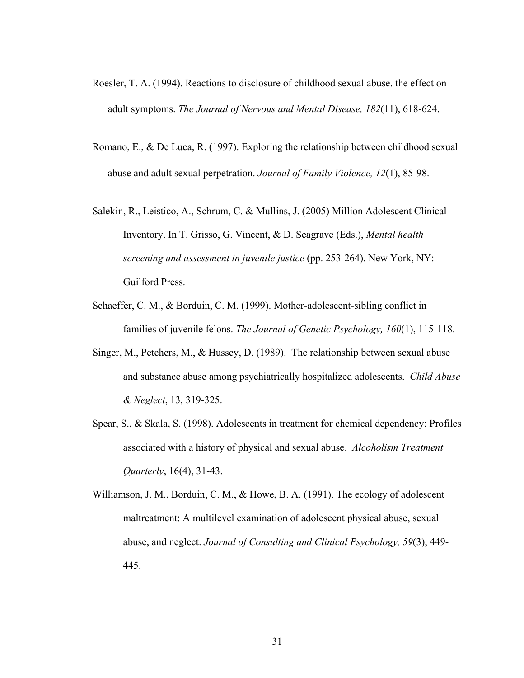- Roesler, T. A. (1994). Reactions to disclosure of childhood sexual abuse. the effect on adult symptoms. *The Journal of Nervous and Mental Disease, 182*(11), 618-624.
- Romano, E., & De Luca, R. (1997). Exploring the relationship between childhood sexual abuse and adult sexual perpetration. *Journal of Family Violence, 12*(1), 85-98.
- Salekin, R., Leistico, A., Schrum, C. & Mullins, J. (2005) Million Adolescent Clinical Inventory. In T. Grisso, G. Vincent, & D. Seagrave (Eds.), *Mental health screening and assessment in juvenile justice* (pp. 253-264). New York, NY: Guilford Press.
- Schaeffer, C. M., & Borduin, C. M. (1999). Mother-adolescent-sibling conflict in families of juvenile felons. *The Journal of Genetic Psychology, 160*(1), 115-118.
- Singer, M., Petchers, M., & Hussey, D. (1989). The relationship between sexual abuse and substance abuse among psychiatrically hospitalized adolescents. *Child Abuse & Neglect*, 13, 319-325.
- Spear, S., & Skala, S. (1998). Adolescents in treatment for chemical dependency: Profiles associated with a history of physical and sexual abuse. *Alcoholism Treatment Quarterly*, 16(4), 31-43.
- Williamson, J. M., Borduin, C. M., & Howe, B. A. (1991). The ecology of adolescent maltreatment: A multilevel examination of adolescent physical abuse, sexual abuse, and neglect. *Journal of Consulting and Clinical Psychology, 59*(3), 449- 445.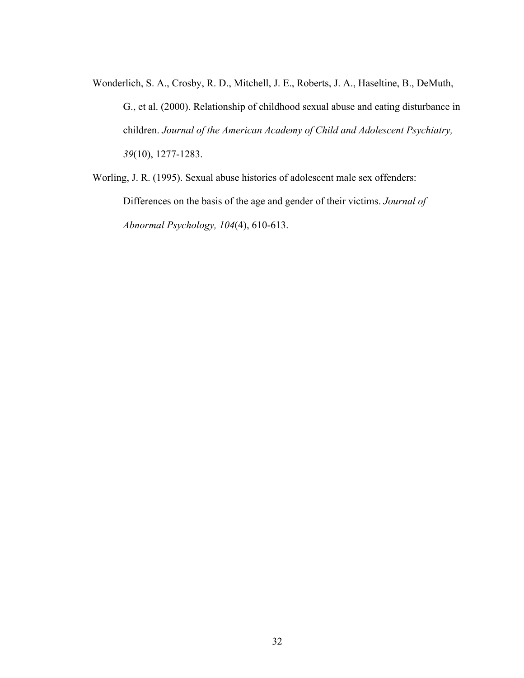Wonderlich, S. A., Crosby, R. D., Mitchell, J. E., Roberts, J. A., Haseltine, B., DeMuth, G., et al. (2000). Relationship of childhood sexual abuse and eating disturbance in children. *Journal of the American Academy of Child and Adolescent Psychiatry, 39*(10), 1277-1283.

Worling, J. R. (1995). Sexual abuse histories of adolescent male sex offenders: Differences on the basis of the age and gender of their victims. *Journal of Abnormal Psychology, 104*(4), 610-613.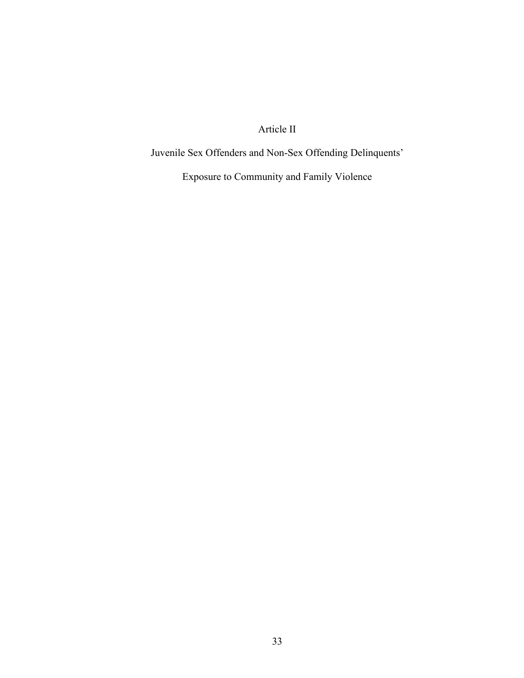Article II

Juvenile Sex Offenders and Non-Sex Offending Delinquents'

Exposure to Community and Family Violence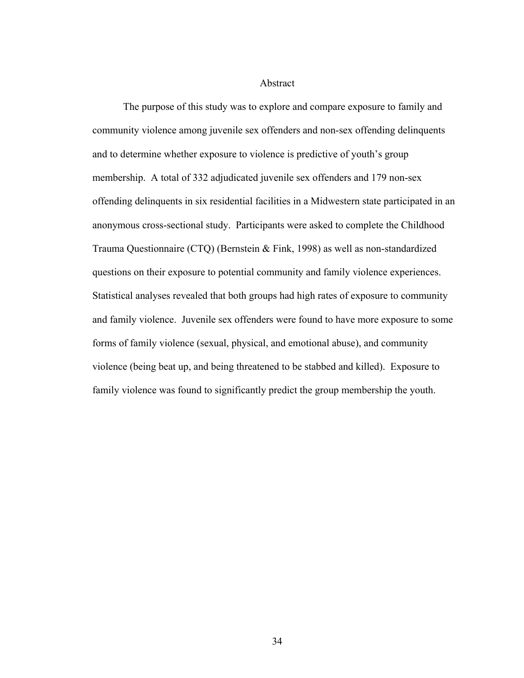Abstract

The purpose of this study was to explore and compare exposure to family and community violence among juvenile sex offenders and non-sex offending delinquents and to determine whether exposure to violence is predictive of youth's group membership. A total of 332 adjudicated juvenile sex offenders and 179 non-sex offending delinquents in six residential facilities in a Midwestern state participated in an anonymous cross-sectional study. Participants were asked to complete the Childhood Trauma Questionnaire (CTQ) (Bernstein & Fink, 1998) as well as non-standardized questions on their exposure to potential community and family violence experiences. Statistical analyses revealed that both groups had high rates of exposure to community and family violence. Juvenile sex offenders were found to have more exposure to some forms of family violence (sexual, physical, and emotional abuse), and community violence (being beat up, and being threatened to be stabbed and killed). Exposure to family violence was found to significantly predict the group membership the youth.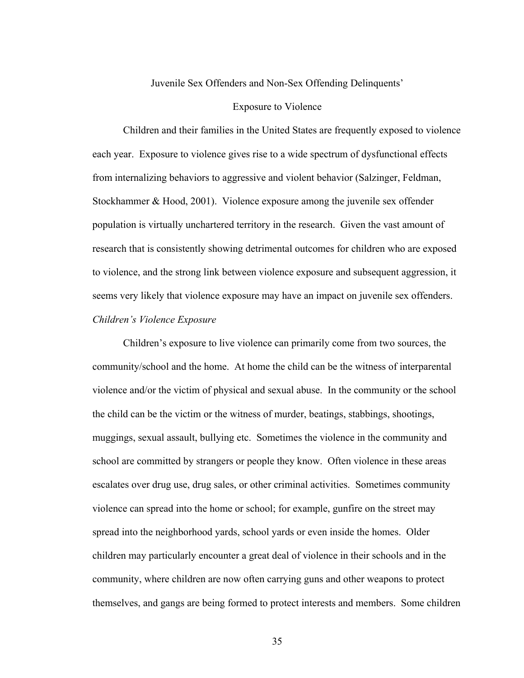## Juvenile Sex Offenders and Non-Sex Offending Delinquents'

#### Exposure to Violence

Children and their families in the United States are frequently exposed to violence each year. Exposure to violence gives rise to a wide spectrum of dysfunctional effects from internalizing behaviors to aggressive and violent behavior (Salzinger, Feldman, Stockhammer & Hood, 2001). Violence exposure among the juvenile sex offender population is virtually unchartered territory in the research. Given the vast amount of research that is consistently showing detrimental outcomes for children who are exposed to violence, and the strong link between violence exposure and subsequent aggression, it seems very likely that violence exposure may have an impact on juvenile sex offenders. *Children's Violence Exposure* 

Children's exposure to live violence can primarily come from two sources, the community/school and the home. At home the child can be the witness of interparental violence and/or the victim of physical and sexual abuse. In the community or the school the child can be the victim or the witness of murder, beatings, stabbings, shootings, muggings, sexual assault, bullying etc. Sometimes the violence in the community and school are committed by strangers or people they know. Often violence in these areas escalates over drug use, drug sales, or other criminal activities. Sometimes community violence can spread into the home or school; for example, gunfire on the street may spread into the neighborhood yards, school yards or even inside the homes. Older children may particularly encounter a great deal of violence in their schools and in the community, where children are now often carrying guns and other weapons to protect themselves, and gangs are being formed to protect interests and members. Some children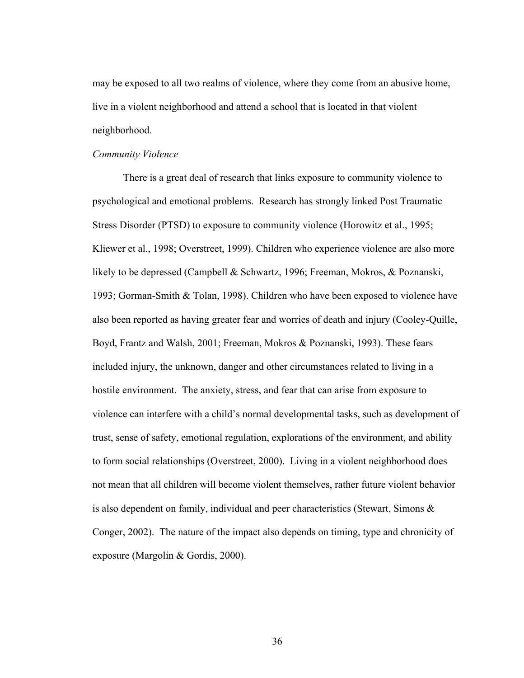may be exposed to all two realms of violence, where they come from an abusive home, live in a violent neighborhood and attend a school that is located in that violent neighborhood.

## *Community Violence*

There is a great deal of research that links exposure to community violence to psychological and emotional problems. Research has strongly linked Post Traumatic Stress Disorder (PTSD) to exposure to community violence (Horowitz et al., 1995; Kliewer et al., 1998; Overstreet, 1999). Children who experience violence are also more likely to be depressed (Campbell & Schwartz, 1996; Freeman, Mokros, & Poznanski, 1993; Gorman-Smith & Tolan, 1998). Children who have been exposed to violence have also been reported as having greater fear and worries of death and injury (Cooley-Quille, Boyd, Frantz and Walsh, 2001; Freeman, Mokros & Poznanski, 1993). These fears included injury, the unknown, danger and other circumstances related to living in a hostile environment. The anxiety, stress, and fear that can arise from exposure to violence can interfere with a child's normal developmental tasks, such as development of trust, sense of safety, emotional regulation, explorations of the environment, and ability to form social relationships (Overstreet, 2000). Living in a violent neighborhood does not mean that all children will become violent themselves, rather future violent behavior is also dependent on family, individual and peer characteristics (Stewart, Simons & Conger, 2002). The nature of the impact also depends on timing, type and chronicity of exposure (Margolin & Gordis, 2000).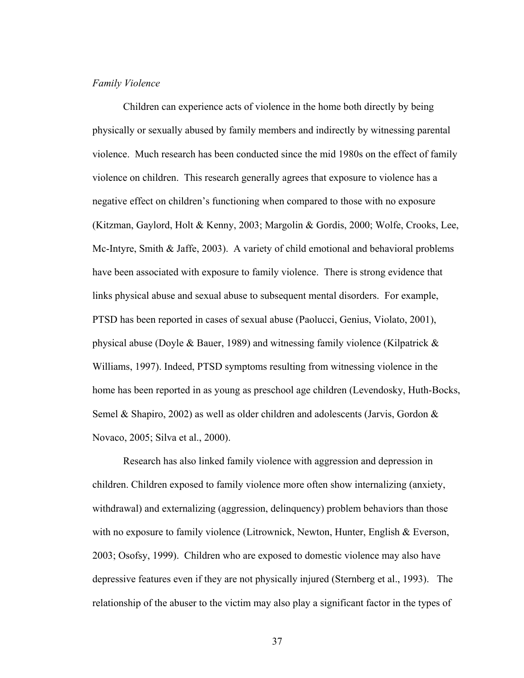#### *Family Violence*

Children can experience acts of violence in the home both directly by being physically or sexually abused by family members and indirectly by witnessing parental violence. Much research has been conducted since the mid 1980s on the effect of family violence on children. This research generally agrees that exposure to violence has a negative effect on children's functioning when compared to those with no exposure (Kitzman, Gaylord, Holt & Kenny, 2003; Margolin & Gordis, 2000; Wolfe, Crooks, Lee, Mc-Intyre, Smith & Jaffe, 2003). A variety of child emotional and behavioral problems have been associated with exposure to family violence. There is strong evidence that links physical abuse and sexual abuse to subsequent mental disorders. For example, PTSD has been reported in cases of sexual abuse (Paolucci, Genius, Violato, 2001), physical abuse (Doyle & Bauer, 1989) and witnessing family violence (Kilpatrick  $\&$ Williams, 1997). Indeed, PTSD symptoms resulting from witnessing violence in the home has been reported in as young as preschool age children (Levendosky, Huth-Bocks, Semel & Shapiro, 2002) as well as older children and adolescents (Jarvis, Gordon & Novaco, 2005; Silva et al., 2000).

Research has also linked family violence with aggression and depression in children. Children exposed to family violence more often show internalizing (anxiety, withdrawal) and externalizing (aggression, delinquency) problem behaviors than those with no exposure to family violence (Litrownick, Newton, Hunter, English & Everson, 2003; Osofsy, 1999). Children who are exposed to domestic violence may also have depressive features even if they are not physically injured (Sternberg et al., 1993). The relationship of the abuser to the victim may also play a significant factor in the types of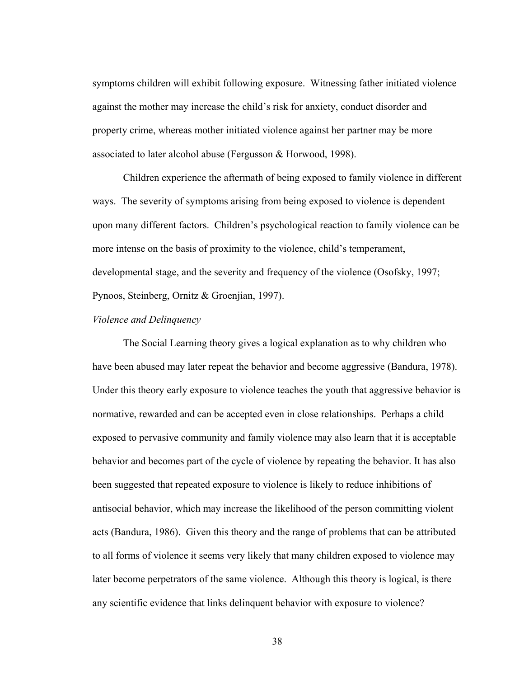symptoms children will exhibit following exposure. Witnessing father initiated violence against the mother may increase the child's risk for anxiety, conduct disorder and property crime, whereas mother initiated violence against her partner may be more associated to later alcohol abuse (Fergusson & Horwood, 1998).

Children experience the aftermath of being exposed to family violence in different ways. The severity of symptoms arising from being exposed to violence is dependent upon many different factors. Children's psychological reaction to family violence can be more intense on the basis of proximity to the violence, child's temperament, developmental stage, and the severity and frequency of the violence (Osofsky, 1997; Pynoos, Steinberg, Ornitz & Groenjian, 1997).

# *Violence and Delinquency*

The Social Learning theory gives a logical explanation as to why children who have been abused may later repeat the behavior and become aggressive (Bandura, 1978). Under this theory early exposure to violence teaches the youth that aggressive behavior is normative, rewarded and can be accepted even in close relationships. Perhaps a child exposed to pervasive community and family violence may also learn that it is acceptable behavior and becomes part of the cycle of violence by repeating the behavior. It has also been suggested that repeated exposure to violence is likely to reduce inhibitions of antisocial behavior, which may increase the likelihood of the person committing violent acts (Bandura, 1986). Given this theory and the range of problems that can be attributed to all forms of violence it seems very likely that many children exposed to violence may later become perpetrators of the same violence. Although this theory is logical, is there any scientific evidence that links delinquent behavior with exposure to violence?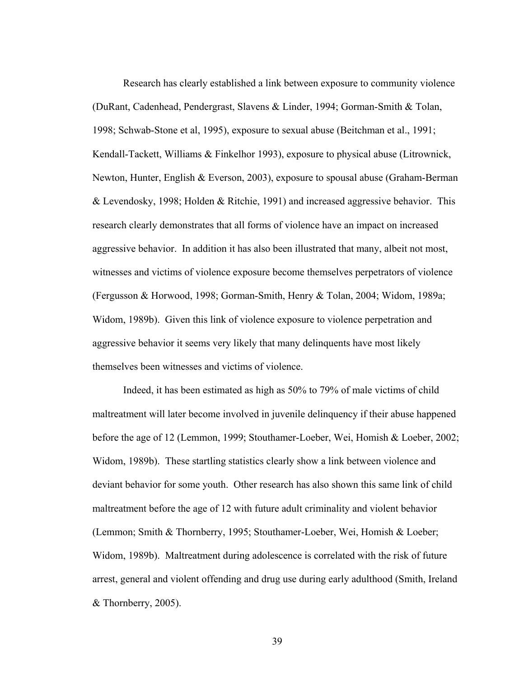Research has clearly established a link between exposure to community violence (DuRant, Cadenhead, Pendergrast, Slavens & Linder, 1994; Gorman-Smith & Tolan, 1998; Schwab-Stone et al, 1995), exposure to sexual abuse (Beitchman et al., 1991; Kendall-Tackett, Williams & Finkelhor 1993), exposure to physical abuse (Litrownick, Newton, Hunter, English & Everson, 2003), exposure to spousal abuse (Graham-Berman & Levendosky, 1998; Holden & Ritchie, 1991) and increased aggressive behavior. This research clearly demonstrates that all forms of violence have an impact on increased aggressive behavior. In addition it has also been illustrated that many, albeit not most, witnesses and victims of violence exposure become themselves perpetrators of violence (Fergusson & Horwood, 1998; Gorman-Smith, Henry & Tolan, 2004; Widom, 1989a; Widom, 1989b). Given this link of violence exposure to violence perpetration and aggressive behavior it seems very likely that many delinquents have most likely themselves been witnesses and victims of violence.

Indeed, it has been estimated as high as 50% to 79% of male victims of child maltreatment will later become involved in juvenile delinquency if their abuse happened before the age of 12 (Lemmon, 1999; Stouthamer-Loeber, Wei, Homish & Loeber, 2002; Widom, 1989b). These startling statistics clearly show a link between violence and deviant behavior for some youth. Other research has also shown this same link of child maltreatment before the age of 12 with future adult criminality and violent behavior (Lemmon; Smith & Thornberry, 1995; Stouthamer-Loeber, Wei, Homish & Loeber; Widom, 1989b). Maltreatment during adolescence is correlated with the risk of future arrest, general and violent offending and drug use during early adulthood (Smith, Ireland & Thornberry, 2005).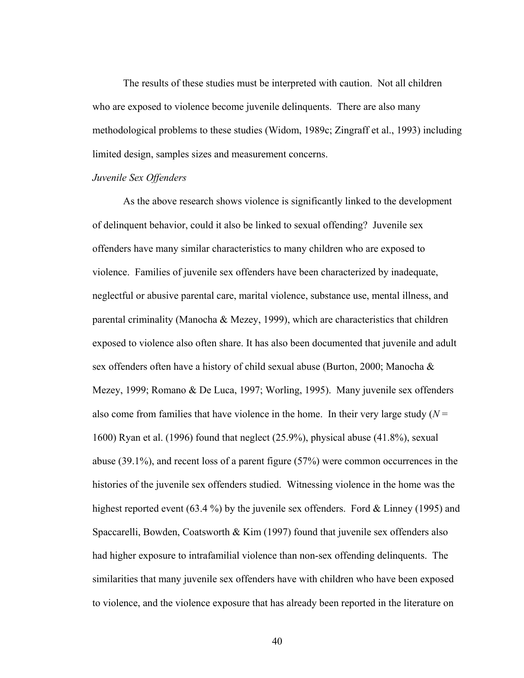The results of these studies must be interpreted with caution. Not all children who are exposed to violence become juvenile delinquents. There are also many methodological problems to these studies (Widom, 1989c; Zingraff et al., 1993) including limited design, samples sizes and measurement concerns.

# *Juvenile Sex Offenders*

 As the above research shows violence is significantly linked to the development of delinquent behavior, could it also be linked to sexual offending? Juvenile sex offenders have many similar characteristics to many children who are exposed to violence. Families of juvenile sex offenders have been characterized by inadequate, neglectful or abusive parental care, marital violence, substance use, mental illness, and parental criminality (Manocha & Mezey, 1999), which are characteristics that children exposed to violence also often share. It has also been documented that juvenile and adult sex offenders often have a history of child sexual abuse (Burton, 2000; Manocha & Mezey, 1999; Romano & De Luca, 1997; Worling, 1995). Many juvenile sex offenders also come from families that have violence in the home. In their very large study  $(N =$ 1600) Ryan et al. (1996) found that neglect (25.9%), physical abuse (41.8%), sexual abuse (39.1%), and recent loss of a parent figure (57%) were common occurrences in the histories of the juvenile sex offenders studied. Witnessing violence in the home was the highest reported event (63.4 %) by the juvenile sex offenders. Ford & Linney (1995) and Spaccarelli, Bowden, Coatsworth & Kim (1997) found that juvenile sex offenders also had higher exposure to intrafamilial violence than non-sex offending delinquents. The similarities that many juvenile sex offenders have with children who have been exposed to violence, and the violence exposure that has already been reported in the literature on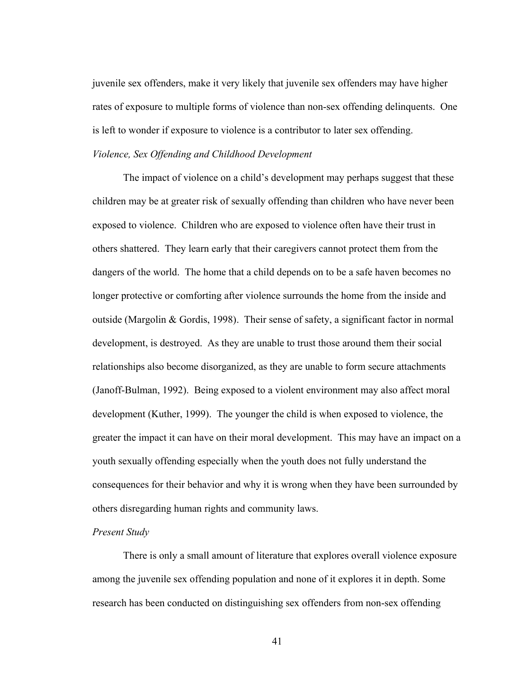juvenile sex offenders, make it very likely that juvenile sex offenders may have higher rates of exposure to multiple forms of violence than non-sex offending delinquents. One is left to wonder if exposure to violence is a contributor to later sex offending.

## *Violence, Sex Offending and Childhood Development*

The impact of violence on a child's development may perhaps suggest that these children may be at greater risk of sexually offending than children who have never been exposed to violence. Children who are exposed to violence often have their trust in others shattered. They learn early that their caregivers cannot protect them from the dangers of the world. The home that a child depends on to be a safe haven becomes no longer protective or comforting after violence surrounds the home from the inside and outside (Margolin & Gordis, 1998). Their sense of safety, a significant factor in normal development, is destroyed. As they are unable to trust those around them their social relationships also become disorganized, as they are unable to form secure attachments (Janoff-Bulman, 1992). Being exposed to a violent environment may also affect moral development (Kuther, 1999). The younger the child is when exposed to violence, the greater the impact it can have on their moral development. This may have an impact on a youth sexually offending especially when the youth does not fully understand the consequences for their behavior and why it is wrong when they have been surrounded by others disregarding human rights and community laws.

# *Present Study*

There is only a small amount of literature that explores overall violence exposure among the juvenile sex offending population and none of it explores it in depth. Some research has been conducted on distinguishing sex offenders from non-sex offending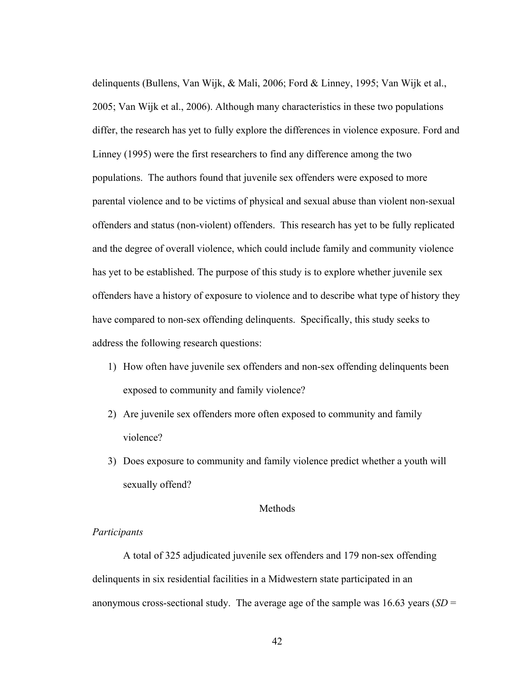delinquents (Bullens, Van Wijk, & Mali, 2006; Ford & Linney, 1995; Van Wijk et al., 2005; Van Wijk et al., 2006). Although many characteristics in these two populations differ, the research has yet to fully explore the differences in violence exposure. Ford and Linney (1995) were the first researchers to find any difference among the two populations. The authors found that juvenile sex offenders were exposed to more parental violence and to be victims of physical and sexual abuse than violent non-sexual offenders and status (non-violent) offenders. This research has yet to be fully replicated and the degree of overall violence, which could include family and community violence has yet to be established. The purpose of this study is to explore whether juvenile sex offenders have a history of exposure to violence and to describe what type of history they have compared to non-sex offending delinquents. Specifically, this study seeks to address the following research questions:

- 1) How often have juvenile sex offenders and non-sex offending delinquents been exposed to community and family violence?
- 2) Are juvenile sex offenders more often exposed to community and family violence?
- 3) Does exposure to community and family violence predict whether a youth will sexually offend?

# Methods

# *Participants*

A total of 325 adjudicated juvenile sex offenders and 179 non-sex offending delinquents in six residential facilities in a Midwestern state participated in an anonymous cross-sectional study. The average age of the sample was 16.63 years (*SD* =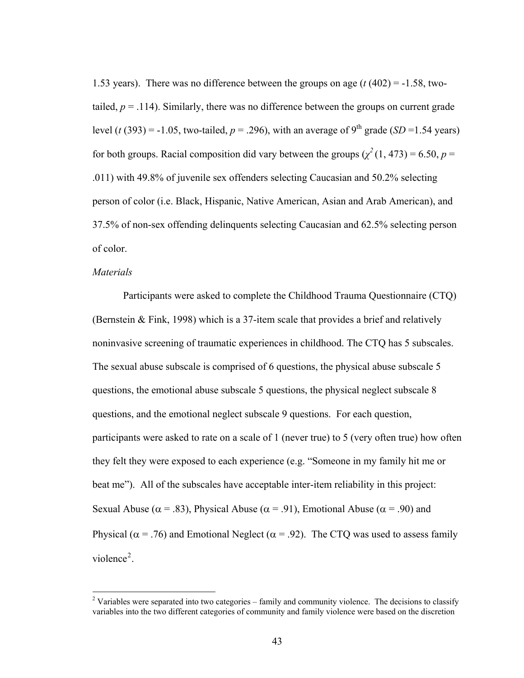1.53 years). There was no difference between the groups on age (*t* (402) = -1.58, twotailed,  $p = .114$ ). Similarly, there was no difference between the groups on current grade level (*t* (393) = -1.05, two-tailed,  $p = .296$ ), with an average of 9<sup>th</sup> grade (*SD* = 1.54 years) for both groups. Racial composition did vary between the groups  $(\chi^2(1, 473) = 6.50, p =$ .011) with 49.8% of juvenile sex offenders selecting Caucasian and 50.2% selecting person of color (i.e. Black, Hispanic, Native American, Asian and Arab American), and 37.5% of non-sex offending delinquents selecting Caucasian and 62.5% selecting person of color.

## *Materials*

Participants were asked to complete the Childhood Trauma Questionnaire (CTQ) (Bernstein & Fink, 1998) which is a 37-item scale that provides a brief and relatively noninvasive screening of traumatic experiences in childhood. The CTQ has 5 subscales. The sexual abuse subscale is comprised of 6 questions, the physical abuse subscale 5 questions, the emotional abuse subscale 5 questions, the physical neglect subscale 8 questions, and the emotional neglect subscale 9 questions. For each question, participants were asked to rate on a scale of 1 (never true) to 5 (very often true) how often they felt they were exposed to each experience (e.g. "Someone in my family hit me or beat me"). All of the subscales have acceptable inter-item reliability in this project: Sexual Abuse ( $\alpha$  = .83), Physical Abuse ( $\alpha$  = .91), Emotional Abuse ( $\alpha$  = .90) and Physical ( $\alpha$  = .76) and Emotional Neglect ( $\alpha$  = .92). The CTQ was used to assess family violence<sup>[2](#page-52-0)</sup>.

<span id="page-52-0"></span><sup>&</sup>lt;sup>2</sup> Variables were separated into two categories – family and community violence. The decisions to classify variables into the two different categories of community and family violence were based on the discretion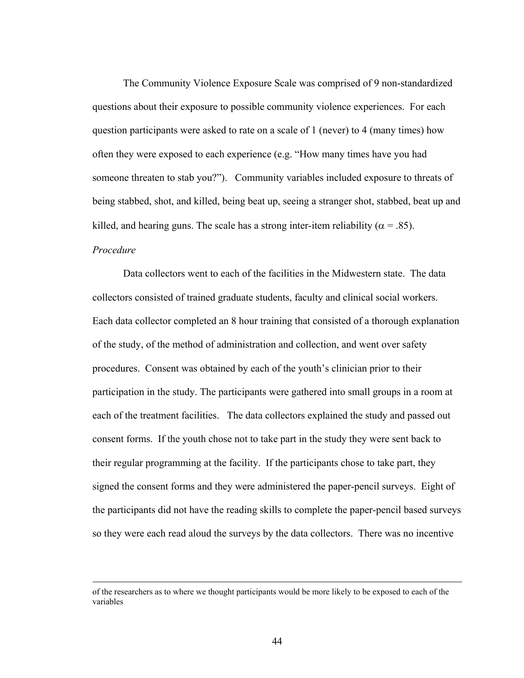The Community Violence Exposure Scale was comprised of 9 non-standardized questions about their exposure to possible community violence experiences. For each question participants were asked to rate on a scale of 1 (never) to 4 (many times) how often they were exposed to each experience (e.g. "How many times have you had someone threaten to stab you?"). Community variables included exposure to threats of being stabbed, shot, and killed, being beat up, seeing a stranger shot, stabbed, beat up and killed, and hearing guns. The scale has a strong inter-item reliability ( $\alpha$  = .85).

# *Procedure*

 Data collectors went to each of the facilities in the Midwestern state. The data collectors consisted of trained graduate students, faculty and clinical social workers. Each data collector completed an 8 hour training that consisted of a thorough explanation of the study, of the method of administration and collection, and went over safety procedures. Consent was obtained by each of the youth's clinician prior to their participation in the study. The participants were gathered into small groups in a room at each of the treatment facilities. The data collectors explained the study and passed out consent forms. If the youth chose not to take part in the study they were sent back to their regular programming at the facility. If the participants chose to take part, they signed the consent forms and they were administered the paper-pencil surveys. Eight of the participants did not have the reading skills to complete the paper-pencil based surveys so they were each read aloud the surveys by the data collectors. There was no incentive

of the researchers as to where we thought participants would be more likely to be exposed to each of the variables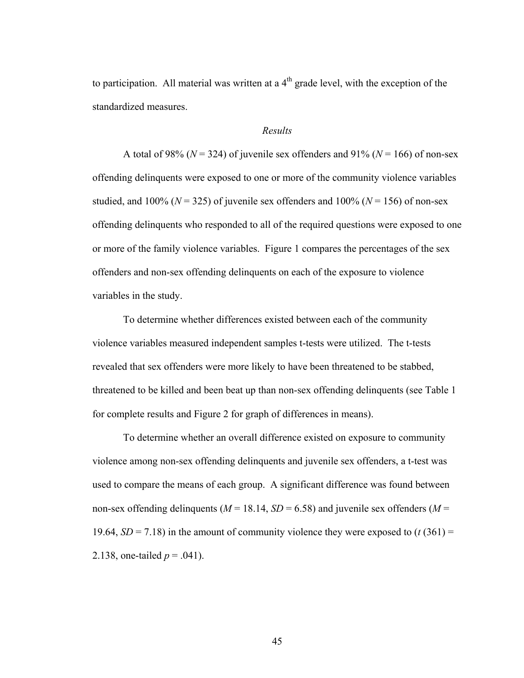to participation. All material was written at a  $4<sup>th</sup>$  grade level, with the exception of the standardized measures.

### *Results*

A total of 98% ( $N = 324$ ) of juvenile sex offenders and 91% ( $N = 166$ ) of non-sex offending delinquents were exposed to one or more of the community violence variables studied, and  $100\%$  ( $N = 325$ ) of juvenile sex offenders and  $100\%$  ( $N = 156$ ) of non-sex offending delinquents who responded to all of the required questions were exposed to one or more of the family violence variables. Figure 1 compares the percentages of the sex offenders and non-sex offending delinquents on each of the exposure to violence variables in the study.

To determine whether differences existed between each of the community violence variables measured independent samples t-tests were utilized. The t-tests revealed that sex offenders were more likely to have been threatened to be stabbed, threatened to be killed and been beat up than non-sex offending delinquents (see Table 1 for complete results and Figure 2 for graph of differences in means).

To determine whether an overall difference existed on exposure to community violence among non-sex offending delinquents and juvenile sex offenders, a t-test was used to compare the means of each group. A significant difference was found between non-sex offending delinquents ( $M = 18.14$ ,  $SD = 6.58$ ) and juvenile sex offenders ( $M =$ 19.64,  $SD = 7.18$ ) in the amount of community violence they were exposed to  $(t (361) =$ 2.138, one-tailed  $p = .041$ ).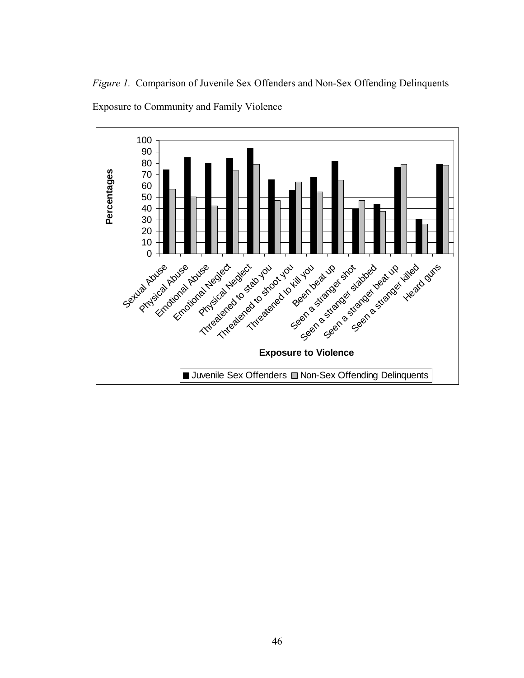*Figure 1.* Comparison of Juvenile Sex Offenders and Non-Sex Offending Delinquents



Exposure to Community and Family Violence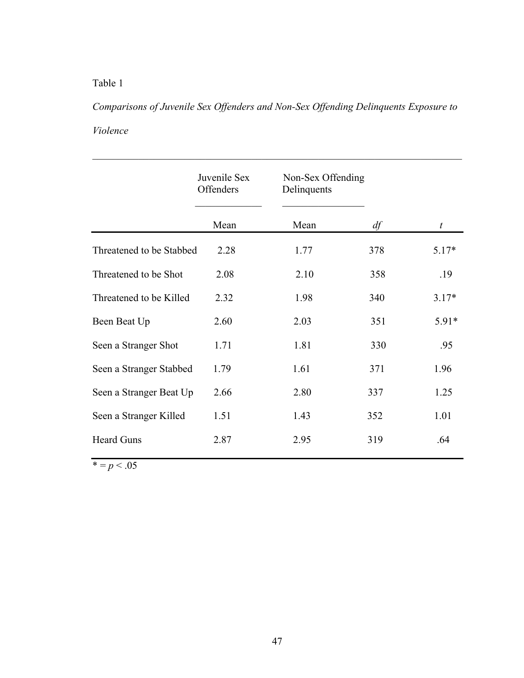# Table 1

*Comparisons of Juvenile Sex Offenders and Non-Sex Offending Delinquents Exposure to Violence* 

 $\mathcal{L}_\text{max}$  , and the contribution of the contribution of the contribution of the contribution of the contribution of the contribution of the contribution of the contribution of the contribution of the contribution of t

|                          | Juvenile Sex<br>Offenders | Non-Sex Offending<br>Delinquents |     |                  |
|--------------------------|---------------------------|----------------------------------|-----|------------------|
|                          | Mean                      | Mean                             | df  | $\boldsymbol{t}$ |
| Threatened to be Stabbed | 2.28                      | 1.77                             | 378 | $5.17*$          |
| Threatened to be Shot    | 2.08                      | 2.10                             | 358 | .19              |
| Threatened to be Killed  | 2.32                      | 1.98                             | 340 | $3.17*$          |
| Been Beat Up             | 2.60                      | 2.03                             | 351 | $5.91*$          |
| Seen a Stranger Shot     | 1.71                      | 1.81                             | 330 | .95              |
| Seen a Stranger Stabbed  | 1.79                      | 1.61                             | 371 | 1.96             |
| Seen a Stranger Beat Up  | 2.66                      | 2.80                             | 337 | 1.25             |
| Seen a Stranger Killed   | 1.51                      | 1.43                             | 352 | 1.01             |
| <b>Heard Guns</b>        | 2.87                      | 2.95                             | 319 | .64              |

 $\bar{x} = p < .05$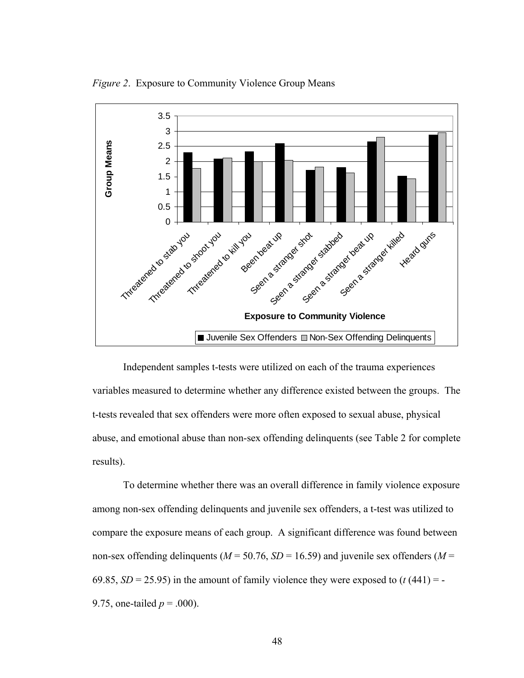*Figure 2*. Exposure to Community Violence Group Means



Independent samples t-tests were utilized on each of the trauma experiences variables measured to determine whether any difference existed between the groups. The t-tests revealed that sex offenders were more often exposed to sexual abuse, physical abuse, and emotional abuse than non-sex offending delinquents (see Table 2 for complete results).

To determine whether there was an overall difference in family violence exposure among non-sex offending delinquents and juvenile sex offenders, a t-test was utilized to compare the exposure means of each group. A significant difference was found between non-sex offending delinquents ( $M = 50.76$ ,  $SD = 16.59$ ) and juvenile sex offenders ( $M =$ 69.85,  $SD = 25.95$ ) in the amount of family violence they were exposed to  $(t (441) = -$ 9.75, one-tailed  $p = .000$ ).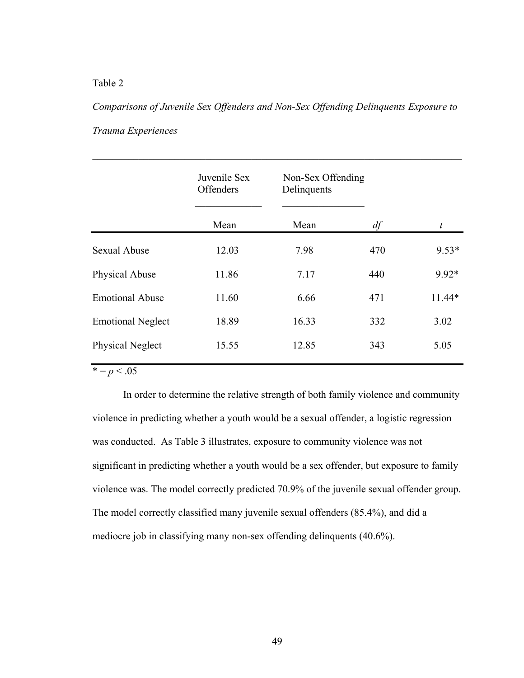# Table 2

*Comparisons of Juvenile Sex Offenders and Non-Sex Offending Delinquents Exposure to Trauma Experiences* 

 $\mathcal{L}_\text{max}$  , and the contribution of the contribution of the contribution of the contribution of the contribution of the contribution of the contribution of the contribution of the contribution of the contribution of t

|                          | Juvenile Sex<br>Offenders | Non-Sex Offending<br>Delinquents |     |                  |
|--------------------------|---------------------------|----------------------------------|-----|------------------|
|                          | Mean                      | Mean                             | df  | $\boldsymbol{t}$ |
| <b>Sexual Abuse</b>      | 12.03                     | 7.98                             | 470 | $9.53*$          |
| Physical Abuse           | 11.86                     | 7.17                             | 440 | 9.92*            |
| <b>Emotional Abuse</b>   | 11.60                     | 6.66                             | 471 | 11.44*           |
| <b>Emotional Neglect</b> | 18.89                     | 16.33                            | 332 | 3.02             |
| Physical Neglect         | 15.55                     | 12.85                            | 343 | 5.05             |
|                          |                           |                                  |     |                  |

 $* = p < .05$ 

In order to determine the relative strength of both family violence and community violence in predicting whether a youth would be a sexual offender, a logistic regression was conducted. As Table 3 illustrates, exposure to community violence was not significant in predicting whether a youth would be a sex offender, but exposure to family violence was. The model correctly predicted 70.9% of the juvenile sexual offender group. The model correctly classified many juvenile sexual offenders (85.4%), and did a mediocre job in classifying many non-sex offending delinquents (40.6%).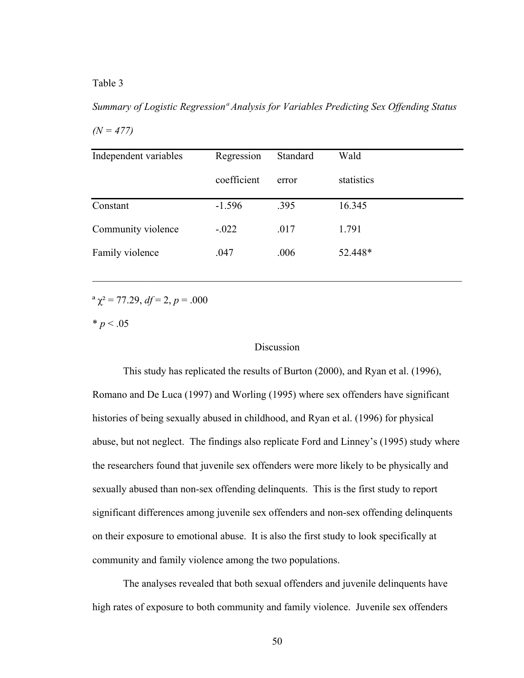## Table 3

*Summary of Logistic Regressionª Analysis for Variables Predicting Sex Offending Status*   $(N = 477)$ 

| Independent variables | Regression  | Standard | Wald       |
|-----------------------|-------------|----------|------------|
|                       | coefficient | error    | statistics |
| Constant              | $-1.596$    | .395     | 16.345     |
| Community violence    | $-.022$     | .017     | 1.791      |
| Family violence       | .047        | .006     | 52.448*    |

 $\mathcal{L}_\text{max} = \mathcal{L}_\text{max} = \mathcal{L}_\text{max} = \mathcal{L}_\text{max} = \mathcal{L}_\text{max} = \mathcal{L}_\text{max} = \mathcal{L}_\text{max} = \mathcal{L}_\text{max} = \mathcal{L}_\text{max} = \mathcal{L}_\text{max} = \mathcal{L}_\text{max} = \mathcal{L}_\text{max} = \mathcal{L}_\text{max} = \mathcal{L}_\text{max} = \mathcal{L}_\text{max} = \mathcal{L}_\text{max} = \mathcal{L}_\text{max} = \mathcal{L}_\text{max} = \mathcal{$ 

<sup>a</sup>  $\chi^2$  = 77.29, *df* = 2, *p* = .000

 $* p < .05$ 

# **Discussion**

This study has replicated the results of Burton (2000), and Ryan et al. (1996), Romano and De Luca (1997) and Worling (1995) where sex offenders have significant histories of being sexually abused in childhood, and Ryan et al. (1996) for physical abuse, but not neglect. The findings also replicate Ford and Linney's (1995) study where the researchers found that juvenile sex offenders were more likely to be physically and sexually abused than non-sex offending delinquents. This is the first study to report significant differences among juvenile sex offenders and non-sex offending delinquents on their exposure to emotional abuse. It is also the first study to look specifically at community and family violence among the two populations.

The analyses revealed that both sexual offenders and juvenile delinquents have high rates of exposure to both community and family violence. Juvenile sex offenders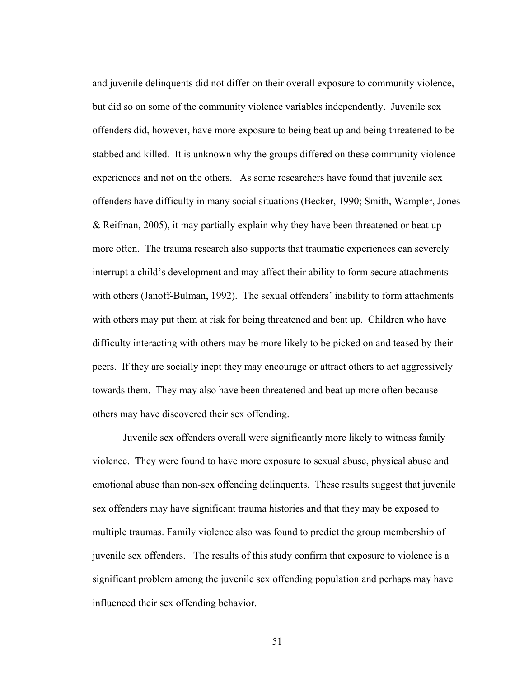and juvenile delinquents did not differ on their overall exposure to community violence, but did so on some of the community violence variables independently. Juvenile sex offenders did, however, have more exposure to being beat up and being threatened to be stabbed and killed. It is unknown why the groups differed on these community violence experiences and not on the others. As some researchers have found that juvenile sex offenders have difficulty in many social situations (Becker, 1990; Smith, Wampler, Jones & Reifman, 2005), it may partially explain why they have been threatened or beat up more often. The trauma research also supports that traumatic experiences can severely interrupt a child's development and may affect their ability to form secure attachments with others (Janoff-Bulman, 1992). The sexual offenders' inability to form attachments with others may put them at risk for being threatened and beat up. Children who have difficulty interacting with others may be more likely to be picked on and teased by their peers. If they are socially inept they may encourage or attract others to act aggressively towards them. They may also have been threatened and beat up more often because others may have discovered their sex offending.

Juvenile sex offenders overall were significantly more likely to witness family violence. They were found to have more exposure to sexual abuse, physical abuse and emotional abuse than non-sex offending delinquents. These results suggest that juvenile sex offenders may have significant trauma histories and that they may be exposed to multiple traumas. Family violence also was found to predict the group membership of juvenile sex offenders. The results of this study confirm that exposure to violence is a significant problem among the juvenile sex offending population and perhaps may have influenced their sex offending behavior.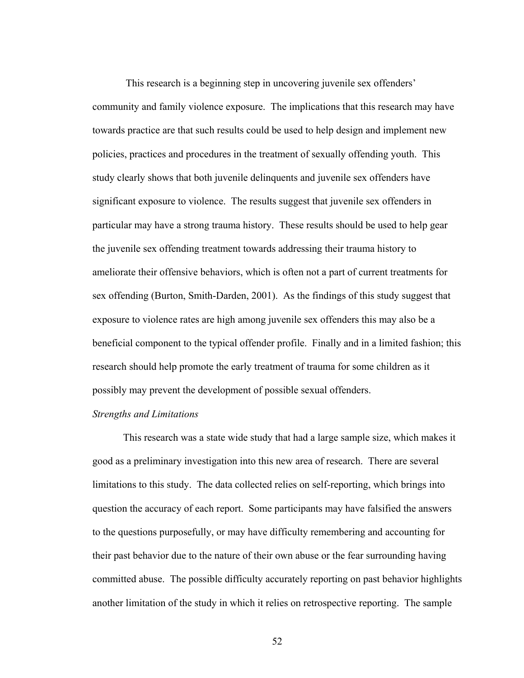This research is a beginning step in uncovering juvenile sex offenders' community and family violence exposure. The implications that this research may have towards practice are that such results could be used to help design and implement new policies, practices and procedures in the treatment of sexually offending youth. This study clearly shows that both juvenile delinquents and juvenile sex offenders have significant exposure to violence. The results suggest that juvenile sex offenders in particular may have a strong trauma history. These results should be used to help gear the juvenile sex offending treatment towards addressing their trauma history to ameliorate their offensive behaviors, which is often not a part of current treatments for sex offending (Burton, Smith-Darden, 2001). As the findings of this study suggest that exposure to violence rates are high among juvenile sex offenders this may also be a beneficial component to the typical offender profile. Finally and in a limited fashion; this research should help promote the early treatment of trauma for some children as it possibly may prevent the development of possible sexual offenders.

#### *Strengths and Limitations*

This research was a state wide study that had a large sample size, which makes it good as a preliminary investigation into this new area of research. There are several limitations to this study. The data collected relies on self-reporting, which brings into question the accuracy of each report. Some participants may have falsified the answers to the questions purposefully, or may have difficulty remembering and accounting for their past behavior due to the nature of their own abuse or the fear surrounding having committed abuse. The possible difficulty accurately reporting on past behavior highlights another limitation of the study in which it relies on retrospective reporting. The sample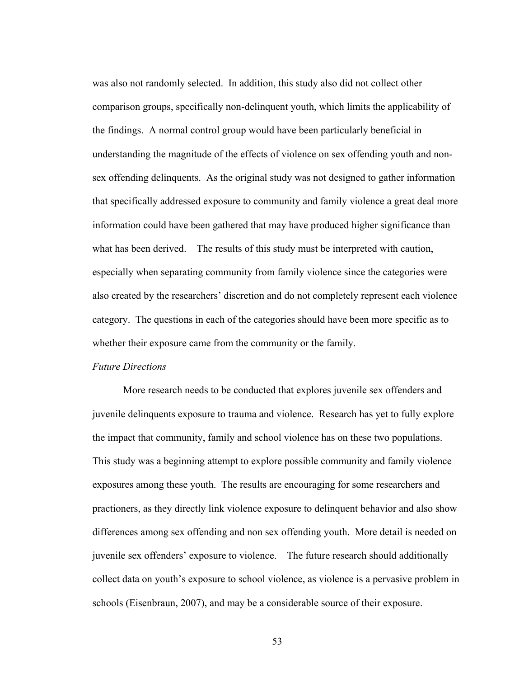was also not randomly selected. In addition, this study also did not collect other comparison groups, specifically non-delinquent youth, which limits the applicability of the findings. A normal control group would have been particularly beneficial in understanding the magnitude of the effects of violence on sex offending youth and nonsex offending delinquents. As the original study was not designed to gather information that specifically addressed exposure to community and family violence a great deal more information could have been gathered that may have produced higher significance than what has been derived. The results of this study must be interpreted with caution, especially when separating community from family violence since the categories were also created by the researchers' discretion and do not completely represent each violence category. The questions in each of the categories should have been more specific as to whether their exposure came from the community or the family.

# *Future Directions*

More research needs to be conducted that explores juvenile sex offenders and juvenile delinquents exposure to trauma and violence. Research has yet to fully explore the impact that community, family and school violence has on these two populations. This study was a beginning attempt to explore possible community and family violence exposures among these youth. The results are encouraging for some researchers and practioners, as they directly link violence exposure to delinquent behavior and also show differences among sex offending and non sex offending youth. More detail is needed on juvenile sex offenders' exposure to violence. The future research should additionally collect data on youth's exposure to school violence, as violence is a pervasive problem in schools (Eisenbraun, 2007), and may be a considerable source of their exposure.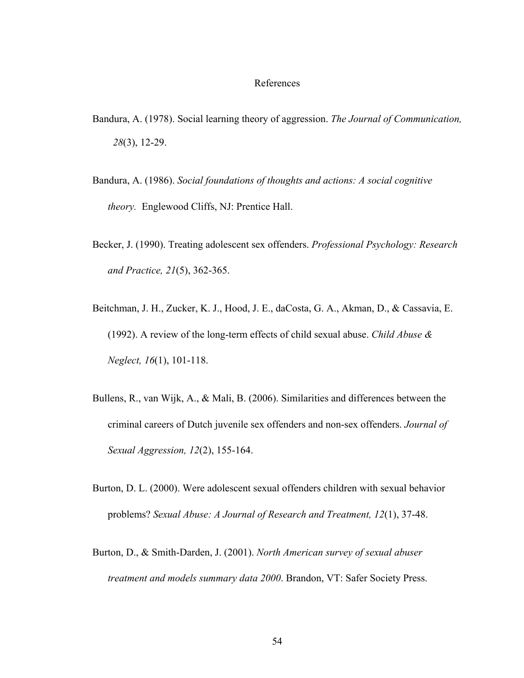#### References

- Bandura, A. (1978). Social learning theory of aggression. *The Journal of Communication, 28*(3), 12-29.
- Bandura, A. (1986). *Social foundations of thoughts and actions: A social cognitive theory.* Englewood Cliffs, NJ: Prentice Hall.
- Becker, J. (1990). Treating adolescent sex offenders. *Professional Psychology: Research and Practice, 21*(5), 362-365.
- Beitchman, J. H., Zucker, K. J., Hood, J. E., daCosta, G. A., Akman, D., & Cassavia, E. (1992). A review of the long-term effects of child sexual abuse. *Child Abuse & Neglect, 16*(1), 101-118.
- Bullens, R., van Wijk, A., & Mali, B. (2006). Similarities and differences between the criminal careers of Dutch juvenile sex offenders and non-sex offenders. *Journal of Sexual Aggression, 12*(2), 155-164.
- Burton, D. L. (2000). Were adolescent sexual offenders children with sexual behavior problems? *Sexual Abuse: A Journal of Research and Treatment, 12*(1), 37-48.
- Burton, D., & Smith-Darden, J. (2001). *North American survey of sexual abuser treatment and models summary data 2000*. Brandon, VT: Safer Society Press.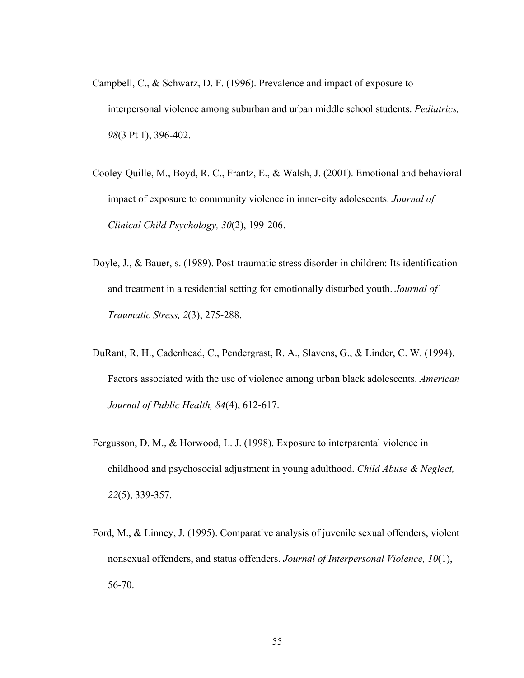- Campbell, C., & Schwarz, D. F. (1996). Prevalence and impact of exposure to interpersonal violence among suburban and urban middle school students. *Pediatrics, 98*(3 Pt 1), 396-402.
- Cooley-Quille, M., Boyd, R. C., Frantz, E., & Walsh, J. (2001). Emotional and behavioral impact of exposure to community violence in inner-city adolescents. *Journal of Clinical Child Psychology, 30*(2), 199-206.
- Doyle, J., & Bauer, s. (1989). Post-traumatic stress disorder in children: Its identification and treatment in a residential setting for emotionally disturbed youth. *Journal of Traumatic Stress, 2*(3), 275-288.
- DuRant, R. H., Cadenhead, C., Pendergrast, R. A., Slavens, G., & Linder, C. W. (1994). Factors associated with the use of violence among urban black adolescents. *American Journal of Public Health, 84*(4), 612-617.
- Fergusson, D. M., & Horwood, L. J. (1998). Exposure to interparental violence in childhood and psychosocial adjustment in young adulthood. *Child Abuse & Neglect, 22*(5), 339-357.
- Ford, M., & Linney, J. (1995). Comparative analysis of juvenile sexual offenders, violent nonsexual offenders, and status offenders. *Journal of Interpersonal Violence, 10*(1), 56-70.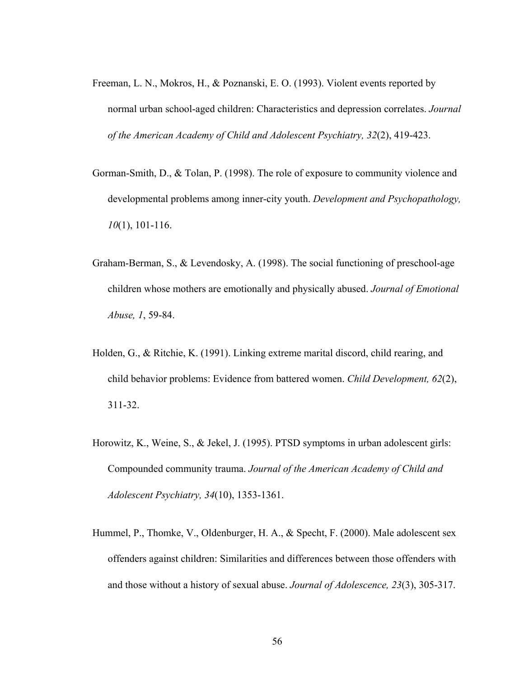- Freeman, L. N., Mokros, H., & Poznanski, E. O. (1993). Violent events reported by normal urban school-aged children: Characteristics and depression correlates. *Journal of the American Academy of Child and Adolescent Psychiatry, 32*(2), 419-423.
- Gorman-Smith, D., & Tolan, P. (1998). The role of exposure to community violence and developmental problems among inner-city youth. *Development and Psychopathology, 10*(1), 101-116.
- Graham-Berman, S., & Levendosky, A. (1998). The social functioning of preschool-age children whose mothers are emotionally and physically abused. *Journal of Emotional Abuse, 1*, 59-84.
- Holden, G., & Ritchie, K. (1991). Linking extreme marital discord, child rearing, and child behavior problems: Evidence from battered women. *Child Development, 62*(2), 311-32.
- Horowitz, K., Weine, S., & Jekel, J. (1995). PTSD symptoms in urban adolescent girls: Compounded community trauma. *Journal of the American Academy of Child and Adolescent Psychiatry, 34*(10), 1353-1361.
- Hummel, P., Thomke, V., Oldenburger, H. A., & Specht, F. (2000). Male adolescent sex offenders against children: Similarities and differences between those offenders with and those without a history of sexual abuse. *Journal of Adolescence, 23*(3), 305-317.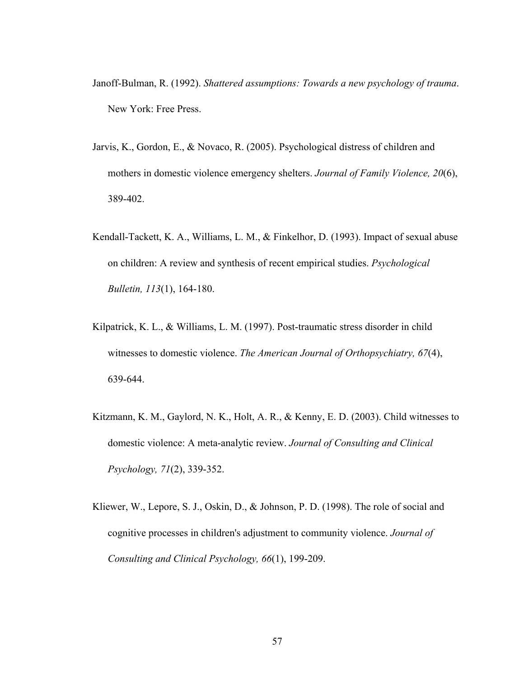- Janoff-Bulman, R. (1992). *Shattered assumptions: Towards a new psychology of trauma*. New York: Free Press.
- Jarvis, K., Gordon, E., & Novaco, R. (2005). Psychological distress of children and mothers in domestic violence emergency shelters. *Journal of Family Violence, 20*(6), 389-402.
- Kendall-Tackett, K. A., Williams, L. M., & Finkelhor, D. (1993). Impact of sexual abuse on children: A review and synthesis of recent empirical studies. *Psychological Bulletin, 113*(1), 164-180.
- Kilpatrick, K. L., & Williams, L. M. (1997). Post-traumatic stress disorder in child witnesses to domestic violence. *The American Journal of Orthopsychiatry, 67*(4), 639-644.
- Kitzmann, K. M., Gaylord, N. K., Holt, A. R., & Kenny, E. D. (2003). Child witnesses to domestic violence: A meta-analytic review. *Journal of Consulting and Clinical Psychology, 71*(2), 339-352.
- Kliewer, W., Lepore, S. J., Oskin, D., & Johnson, P. D. (1998). The role of social and cognitive processes in children's adjustment to community violence. *Journal of Consulting and Clinical Psychology, 66*(1), 199-209.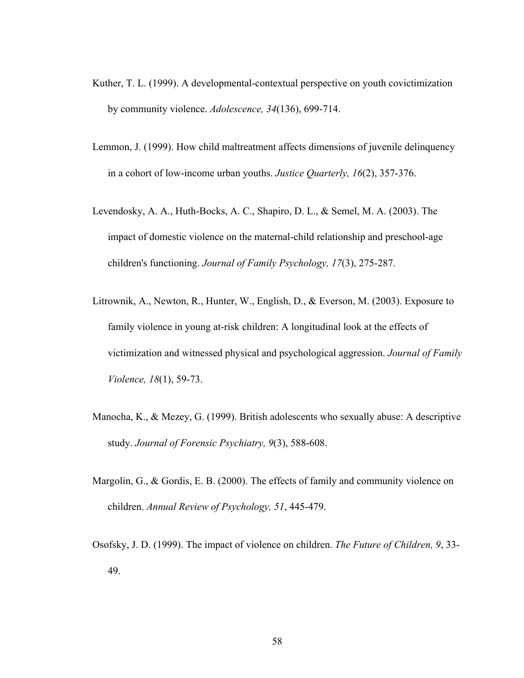- Kuther, T. L. (1999). A developmental-contextual perspective on youth covictimization by community violence. *Adolescence, 34*(136), 699-714.
- Lemmon, J. (1999). How child maltreatment affects dimensions of juvenile delinquency in a cohort of low-income urban youths. *Justice Quarterly, 16*(2), 357-376.
- Levendosky, A. A., Huth-Bocks, A. C., Shapiro, D. L., & Semel, M. A. (2003). The impact of domestic violence on the maternal-child relationship and preschool-age children's functioning. *Journal of Family Psychology, 17*(3), 275-287.
- Litrownik, A., Newton, R., Hunter, W., English, D., & Everson, M. (2003). Exposure to family violence in young at-risk children: A longitudinal look at the effects of victimization and witnessed physical and psychological aggression. *Journal of Family Violence, 18*(1), 59-73.
- Manocha, K., & Mezey, G. (1999). British adolescents who sexually abuse: A descriptive study. *Journal of Forensic Psychiatry, 9*(3), 588-608.
- Margolin, G., & Gordis, E. B. (2000). The effects of family and community violence on children. *Annual Review of Psychology, 51*, 445-479.
- Osofsky, J. D. (1999). The impact of violence on children. *The Future of Children, 9*, 33- 49.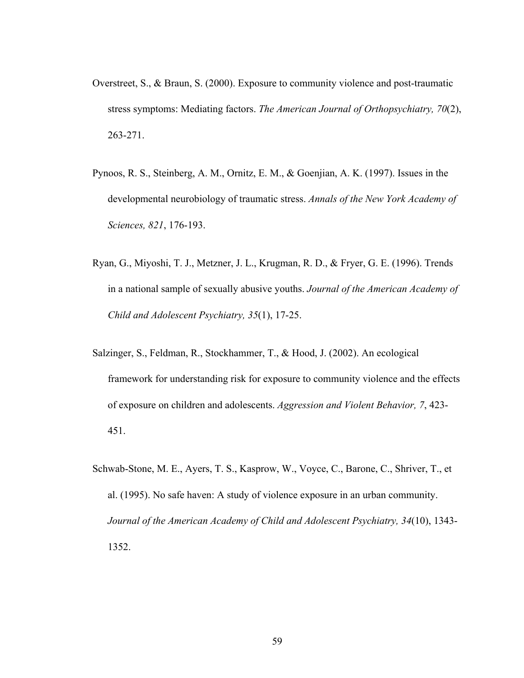- Overstreet, S., & Braun, S. (2000). Exposure to community violence and post-traumatic stress symptoms: Mediating factors. *The American Journal of Orthopsychiatry, 70*(2), 263-271.
- Pynoos, R. S., Steinberg, A. M., Ornitz, E. M., & Goenjian, A. K. (1997). Issues in the developmental neurobiology of traumatic stress. *Annals of the New York Academy of Sciences, 821*, 176-193.
- Ryan, G., Miyoshi, T. J., Metzner, J. L., Krugman, R. D., & Fryer, G. E. (1996). Trends in a national sample of sexually abusive youths. *Journal of the American Academy of Child and Adolescent Psychiatry, 35*(1), 17-25.
- Salzinger, S., Feldman, R., Stockhammer, T., & Hood, J. (2002). An ecological framework for understanding risk for exposure to community violence and the effects of exposure on children and adolescents. *Aggression and Violent Behavior, 7*, 423- 451.
- Schwab-Stone, M. E., Ayers, T. S., Kasprow, W., Voyce, C., Barone, C., Shriver, T., et al. (1995). No safe haven: A study of violence exposure in an urban community. *Journal of the American Academy of Child and Adolescent Psychiatry, 34*(10), 1343- 1352.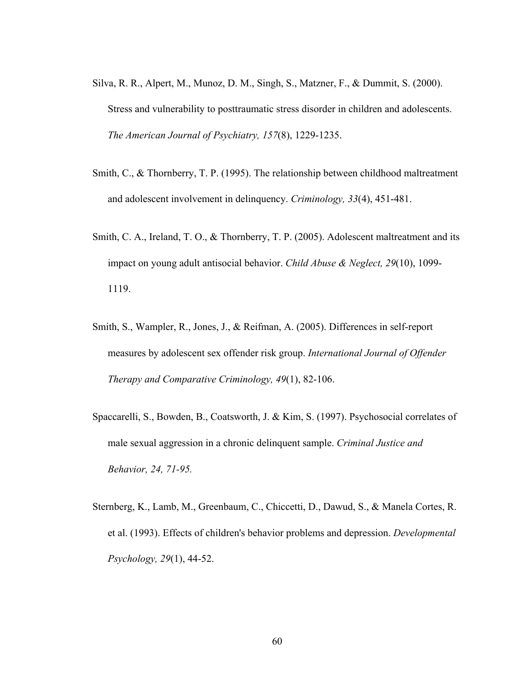- Silva, R. R., Alpert, M., Munoz, D. M., Singh, S., Matzner, F., & Dummit, S. (2000). Stress and vulnerability to posttraumatic stress disorder in children and adolescents. *The American Journal of Psychiatry, 157*(8), 1229-1235.
- Smith, C., & Thornberry, T. P. (1995). The relationship between childhood maltreatment and adolescent involvement in delinquency. *Criminology, 33*(4), 451-481.
- Smith, C. A., Ireland, T. O., & Thornberry, T. P. (2005). Adolescent maltreatment and its impact on young adult antisocial behavior. *Child Abuse & Neglect, 29*(10), 1099- 1119.
- Smith, S., Wampler, R., Jones, J., & Reifman, A. (2005). Differences in self-report measures by adolescent sex offender risk group. *International Journal of Offender Therapy and Comparative Criminology, 49*(1), 82-106.
- Spaccarelli, S., Bowden, B., Coatsworth, J. & Kim, S. (1997). Psychosocial correlates of male sexual aggression in a chronic delinquent sample. *Criminal Justice and Behavior, 24, 71-95.*
- Sternberg, K., Lamb, M., Greenbaum, C., Chiccetti, D., Dawud, S., & Manela Cortes, R. et al. (1993). Effects of children's behavior problems and depression. *Developmental Psychology, 29*(1), 44-52.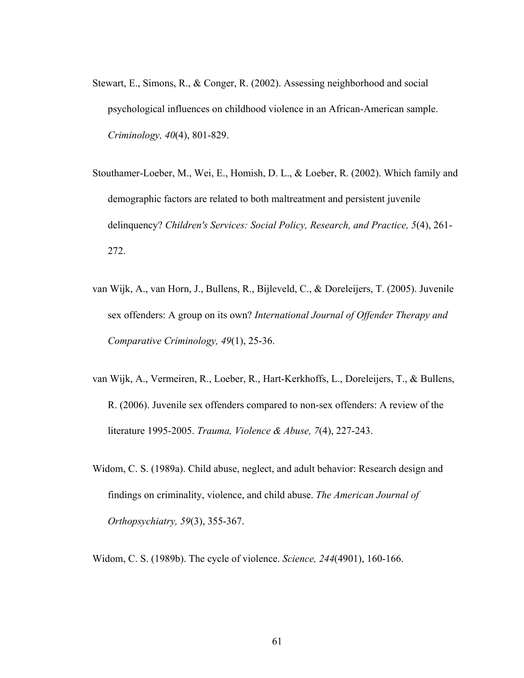- Stewart, E., Simons, R., & Conger, R. (2002). Assessing neighborhood and social psychological influences on childhood violence in an African-American sample. *Criminology, 40*(4), 801-829.
- Stouthamer-Loeber, M., Wei, E., Homish, D. L., & Loeber, R. (2002). Which family and demographic factors are related to both maltreatment and persistent juvenile delinquency? *Children's Services: Social Policy, Research, and Practice, 5*(4), 261- 272.
- van Wijk, A., van Horn, J., Bullens, R., Bijleveld, C., & Doreleijers, T. (2005). Juvenile sex offenders: A group on its own? *International Journal of Offender Therapy and Comparative Criminology, 49*(1), 25-36.
- van Wijk, A., Vermeiren, R., Loeber, R., Hart-Kerkhoffs, L., Doreleijers, T., & Bullens, R. (2006). Juvenile sex offenders compared to non-sex offenders: A review of the literature 1995-2005. *Trauma, Violence & Abuse, 7*(4), 227-243.
- Widom, C. S. (1989a). Child abuse, neglect, and adult behavior: Research design and findings on criminality, violence, and child abuse. *The American Journal of Orthopsychiatry, 59*(3), 355-367.
- Widom, C. S. (1989b). The cycle of violence. *Science, 244*(4901), 160-166.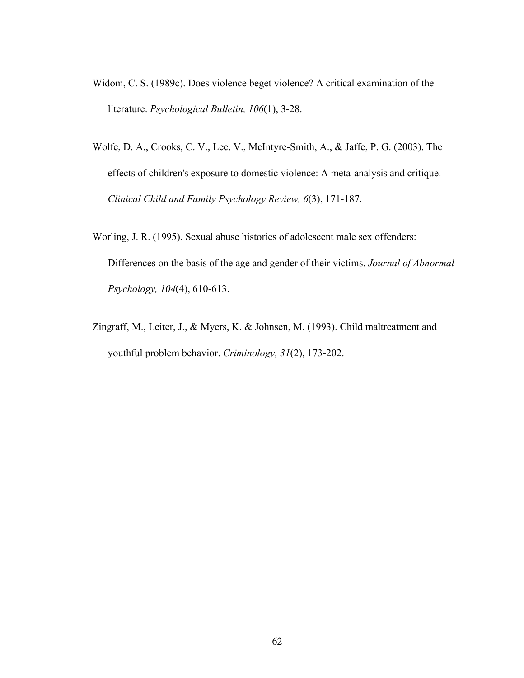- Widom, C. S. (1989c). Does violence beget violence? A critical examination of the literature. *Psychological Bulletin, 106*(1), 3-28.
- Wolfe, D. A., Crooks, C. V., Lee, V., McIntyre-Smith, A., & Jaffe, P. G. (2003). The effects of children's exposure to domestic violence: A meta-analysis and critique. *Clinical Child and Family Psychology Review, 6*(3), 171-187.
- Worling, J. R. (1995). Sexual abuse histories of adolescent male sex offenders: Differences on the basis of the age and gender of their victims. *Journal of Abnormal Psychology, 104*(4), 610-613.
- Zingraff, M., Leiter, J., & Myers, K. & Johnsen, M. (1993). Child maltreatment and youthful problem behavior. *Criminology, 31*(2), 173-202.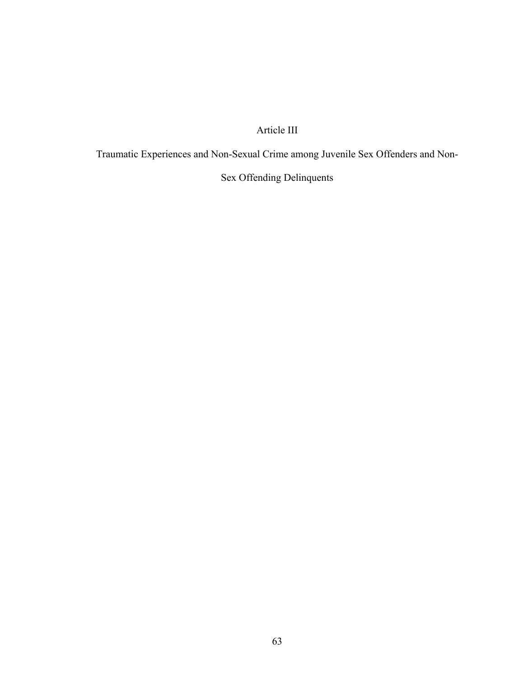# Article III

Traumatic Experiences and Non-Sexual Crime among Juvenile Sex Offenders and Non-

# Sex Offending Delinquents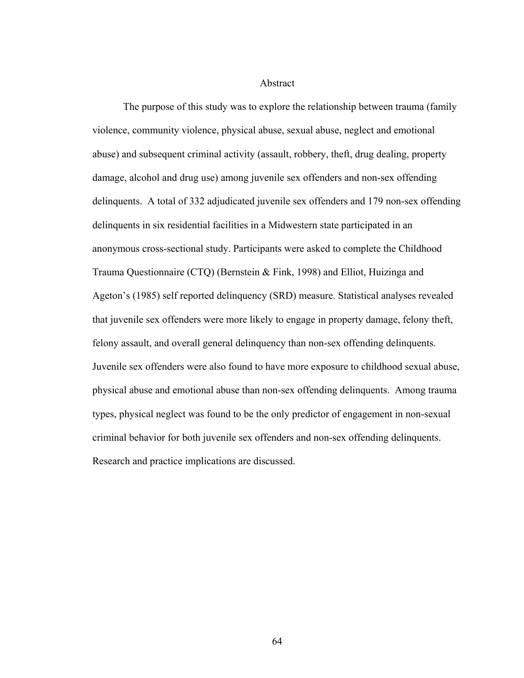Abstract

The purpose of this study was to explore the relationship between trauma (family violence, community violence, physical abuse, sexual abuse, neglect and emotional abuse) and subsequent criminal activity (assault, robbery, theft, drug dealing, property damage, alcohol and drug use) among juvenile sex offenders and non-sex offending delinquents. A total of 332 adjudicated juvenile sex offenders and 179 non-sex offending delinquents in six residential facilities in a Midwestern state participated in an anonymous cross-sectional study. Participants were asked to complete the Childhood Trauma Questionnaire (CTQ) (Bernstein & Fink, 1998) and Elliot, Huizinga and Ageton's (1985) self reported delinquency (SRD) measure. Statistical analyses revealed that juvenile sex offenders were more likely to engage in property damage, felony theft, felony assault, and overall general delinquency than non-sex offending delinquents. Juvenile sex offenders were also found to have more exposure to childhood sexual abuse, physical abuse and emotional abuse than non-sex offending delinquents. Among trauma types, physical neglect was found to be the only predictor of engagement in non-sexual criminal behavior for both juvenile sex offenders and non-sex offending delinquents. Research and practice implications are discussed.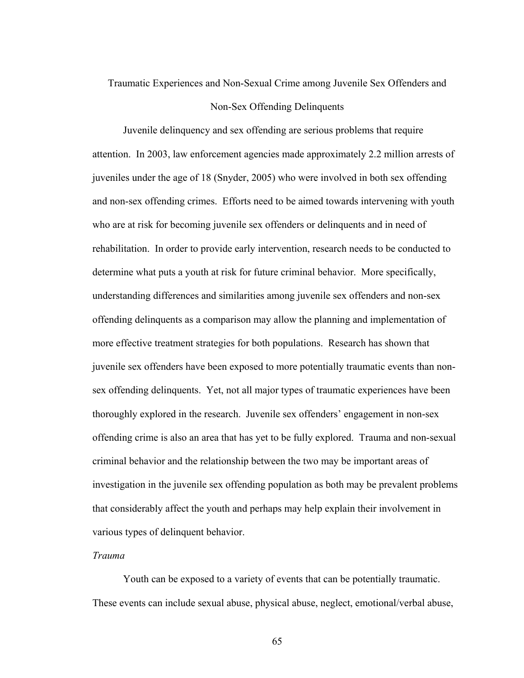# Traumatic Experiences and Non-Sexual Crime among Juvenile Sex Offenders and Non-Sex Offending Delinquents

Juvenile delinquency and sex offending are serious problems that require attention. In 2003, law enforcement agencies made approximately 2.2 million arrests of juveniles under the age of 18 (Snyder, 2005) who were involved in both sex offending and non-sex offending crimes. Efforts need to be aimed towards intervening with youth who are at risk for becoming juvenile sex offenders or delinquents and in need of rehabilitation. In order to provide early intervention, research needs to be conducted to determine what puts a youth at risk for future criminal behavior. More specifically, understanding differences and similarities among juvenile sex offenders and non-sex offending delinquents as a comparison may allow the planning and implementation of more effective treatment strategies for both populations. Research has shown that juvenile sex offenders have been exposed to more potentially traumatic events than nonsex offending delinquents. Yet, not all major types of traumatic experiences have been thoroughly explored in the research. Juvenile sex offenders' engagement in non-sex offending crime is also an area that has yet to be fully explored. Trauma and non-sexual criminal behavior and the relationship between the two may be important areas of investigation in the juvenile sex offending population as both may be prevalent problems that considerably affect the youth and perhaps may help explain their involvement in various types of delinquent behavior.

# *Trauma*

Youth can be exposed to a variety of events that can be potentially traumatic. These events can include sexual abuse, physical abuse, neglect, emotional/verbal abuse,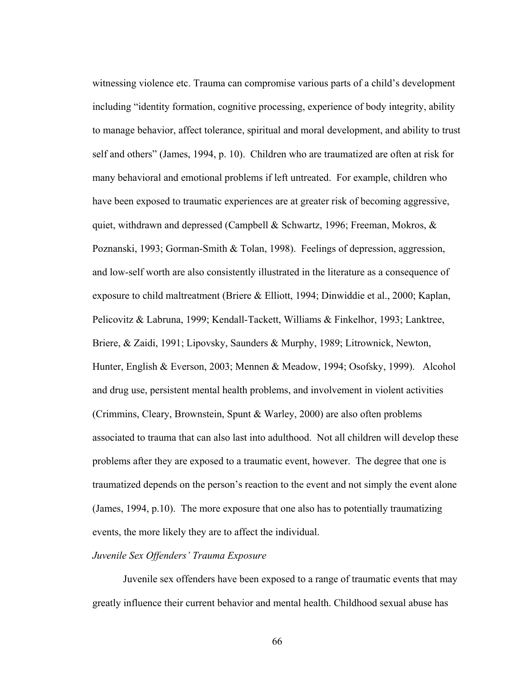witnessing violence etc. Trauma can compromise various parts of a child's development including "identity formation, cognitive processing, experience of body integrity, ability to manage behavior, affect tolerance, spiritual and moral development, and ability to trust self and others" (James, 1994, p. 10). Children who are traumatized are often at risk for many behavioral and emotional problems if left untreated. For example, children who have been exposed to traumatic experiences are at greater risk of becoming aggressive, quiet, withdrawn and depressed (Campbell & Schwartz, 1996; Freeman, Mokros,  $\&$ Poznanski, 1993; Gorman-Smith & Tolan, 1998). Feelings of depression, aggression, and low-self worth are also consistently illustrated in the literature as a consequence of exposure to child maltreatment (Briere & Elliott, 1994; Dinwiddie et al., 2000; Kaplan, Pelicovitz & Labruna, 1999; Kendall-Tackett, Williams & Finkelhor, 1993; Lanktree, Briere, & Zaidi, 1991; Lipovsky, Saunders & Murphy, 1989; Litrownick, Newton, Hunter, English & Everson, 2003; Mennen & Meadow, 1994; Osofsky, 1999). Alcohol and drug use, persistent mental health problems, and involvement in violent activities (Crimmins, Cleary, Brownstein, Spunt & Warley, 2000) are also often problems associated to trauma that can also last into adulthood. Not all children will develop these problems after they are exposed to a traumatic event, however. The degree that one is traumatized depends on the person's reaction to the event and not simply the event alone (James, 1994, p.10). The more exposure that one also has to potentially traumatizing events, the more likely they are to affect the individual.

# *Juvenile Sex Offenders' Trauma Exposure*

Juvenile sex offenders have been exposed to a range of traumatic events that may greatly influence their current behavior and mental health. Childhood sexual abuse has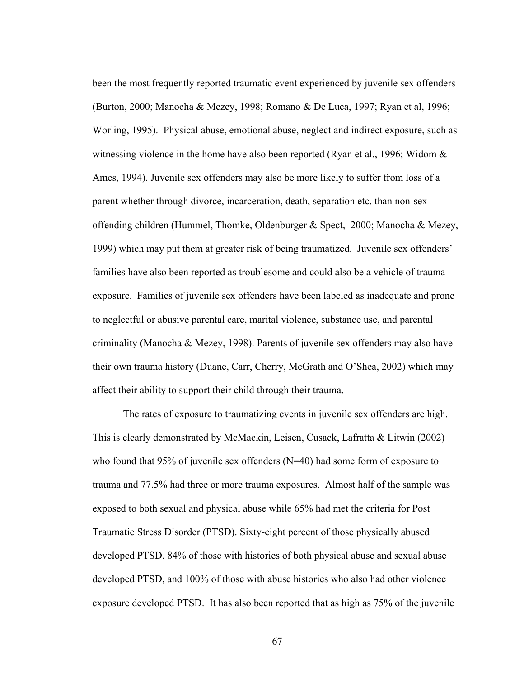been the most frequently reported traumatic event experienced by juvenile sex offenders (Burton, 2000; Manocha & Mezey, 1998; Romano & De Luca, 1997; Ryan et al, 1996; Worling, 1995). Physical abuse, emotional abuse, neglect and indirect exposure, such as witnessing violence in the home have also been reported (Ryan et al., 1996; Widom  $\&$ Ames, 1994). Juvenile sex offenders may also be more likely to suffer from loss of a parent whether through divorce, incarceration, death, separation etc. than non-sex offending children (Hummel, Thomke, Oldenburger & Spect, 2000; Manocha & Mezey, 1999) which may put them at greater risk of being traumatized. Juvenile sex offenders' families have also been reported as troublesome and could also be a vehicle of trauma exposure. Families of juvenile sex offenders have been labeled as inadequate and prone to neglectful or abusive parental care, marital violence, substance use, and parental criminality (Manocha & Mezey, 1998). Parents of juvenile sex offenders may also have their own trauma history (Duane, Carr, Cherry, McGrath and O'Shea, 2002) which may affect their ability to support their child through their trauma.

The rates of exposure to traumatizing events in juvenile sex offenders are high. This is clearly demonstrated by McMackin, Leisen, Cusack, Lafratta & Litwin (2002) who found that 95% of juvenile sex offenders (N=40) had some form of exposure to trauma and 77.5% had three or more trauma exposures. Almost half of the sample was exposed to both sexual and physical abuse while 65% had met the criteria for Post Traumatic Stress Disorder (PTSD). Sixty-eight percent of those physically abused developed PTSD, 84% of those with histories of both physical abuse and sexual abuse developed PTSD, and 100% of those with abuse histories who also had other violence exposure developed PTSD. It has also been reported that as high as 75% of the juvenile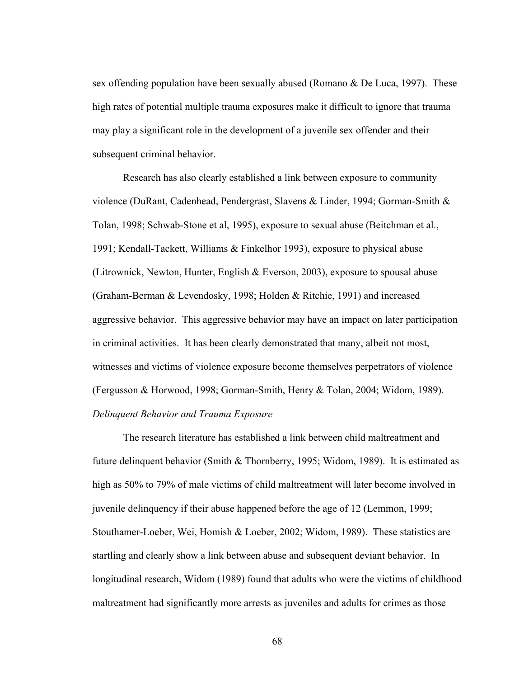sex offending population have been sexually abused (Romano & De Luca, 1997). These high rates of potential multiple trauma exposures make it difficult to ignore that trauma may play a significant role in the development of a juvenile sex offender and their subsequent criminal behavior.

Research has also clearly established a link between exposure to community violence (DuRant, Cadenhead, Pendergrast, Slavens & Linder, 1994; Gorman-Smith & Tolan, 1998; Schwab-Stone et al, 1995), exposure to sexual abuse (Beitchman et al., 1991; Kendall-Tackett, Williams & Finkelhor 1993), exposure to physical abuse (Litrownick, Newton, Hunter, English & Everson, 2003), exposure to spousal abuse (Graham-Berman & Levendosky, 1998; Holden & Ritchie, 1991) and increased aggressive behavior. This aggressive behavior may have an impact on later participation in criminal activities. It has been clearly demonstrated that many, albeit not most, witnesses and victims of violence exposure become themselves perpetrators of violence (Fergusson & Horwood, 1998; Gorman-Smith, Henry & Tolan, 2004; Widom, 1989). *Delinquent Behavior and Trauma Exposure* 

The research literature has established a link between child maltreatment and future delinquent behavior (Smith & Thornberry, 1995; Widom, 1989). It is estimated as high as 50% to 79% of male victims of child maltreatment will later become involved in juvenile delinquency if their abuse happened before the age of 12 (Lemmon, 1999; Stouthamer-Loeber, Wei, Homish & Loeber, 2002; Widom, 1989). These statistics are startling and clearly show a link between abuse and subsequent deviant behavior. In longitudinal research, Widom (1989) found that adults who were the victims of childhood maltreatment had significantly more arrests as juveniles and adults for crimes as those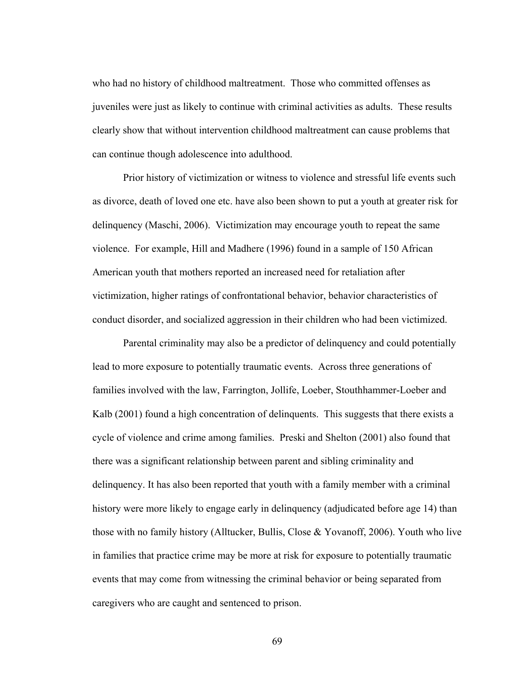who had no history of childhood maltreatment. Those who committed offenses as juveniles were just as likely to continue with criminal activities as adults. These results clearly show that without intervention childhood maltreatment can cause problems that can continue though adolescence into adulthood.

Prior history of victimization or witness to violence and stressful life events such as divorce, death of loved one etc. have also been shown to put a youth at greater risk for delinquency (Maschi, 2006). Victimization may encourage youth to repeat the same violence. For example, Hill and Madhere (1996) found in a sample of 150 African American youth that mothers reported an increased need for retaliation after victimization, higher ratings of confrontational behavior, behavior characteristics of conduct disorder, and socialized aggression in their children who had been victimized.

Parental criminality may also be a predictor of delinquency and could potentially lead to more exposure to potentially traumatic events. Across three generations of families involved with the law, Farrington, Jollife, Loeber, Stouthhammer-Loeber and Kalb (2001) found a high concentration of delinquents. This suggests that there exists a cycle of violence and crime among families. Preski and Shelton (2001) also found that there was a significant relationship between parent and sibling criminality and delinquency. It has also been reported that youth with a family member with a criminal history were more likely to engage early in delinquency (adjudicated before age 14) than those with no family history (Alltucker, Bullis, Close & Yovanoff, 2006). Youth who live in families that practice crime may be more at risk for exposure to potentially traumatic events that may come from witnessing the criminal behavior or being separated from caregivers who are caught and sentenced to prison.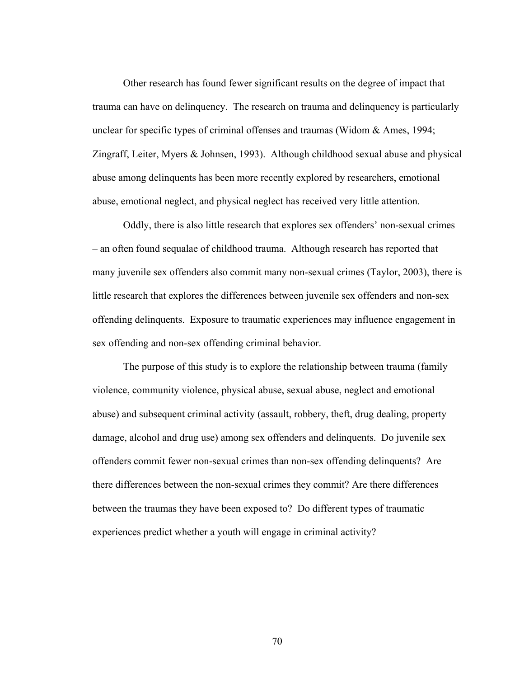Other research has found fewer significant results on the degree of impact that trauma can have on delinquency. The research on trauma and delinquency is particularly unclear for specific types of criminal offenses and traumas (Widom & Ames, 1994; Zingraff, Leiter, Myers & Johnsen, 1993). Although childhood sexual abuse and physical abuse among delinquents has been more recently explored by researchers, emotional abuse, emotional neglect, and physical neglect has received very little attention.

Oddly, there is also little research that explores sex offenders' non-sexual crimes – an often found sequalae of childhood trauma. Although research has reported that many juvenile sex offenders also commit many non-sexual crimes (Taylor, 2003), there is little research that explores the differences between juvenile sex offenders and non-sex offending delinquents. Exposure to traumatic experiences may influence engagement in sex offending and non-sex offending criminal behavior.

The purpose of this study is to explore the relationship between trauma (family violence, community violence, physical abuse, sexual abuse, neglect and emotional abuse) and subsequent criminal activity (assault, robbery, theft, drug dealing, property damage, alcohol and drug use) among sex offenders and delinquents. Do juvenile sex offenders commit fewer non-sexual crimes than non-sex offending delinquents? Are there differences between the non-sexual crimes they commit? Are there differences between the traumas they have been exposed to? Do different types of traumatic experiences predict whether a youth will engage in criminal activity?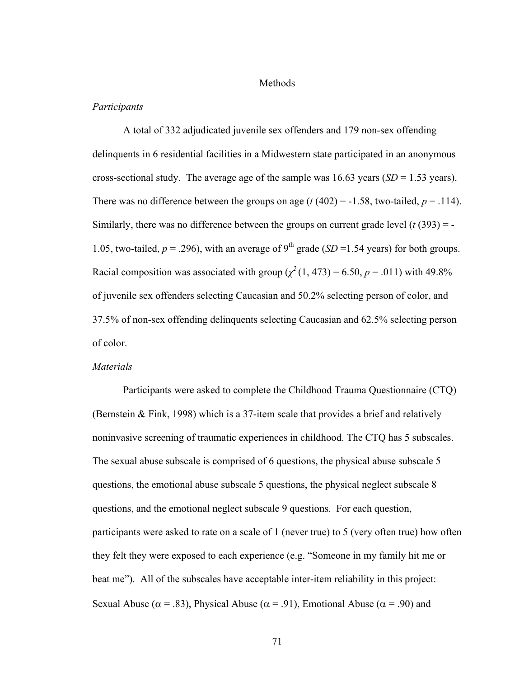#### Methods

#### *Participants*

A total of 332 adjudicated juvenile sex offenders and 179 non-sex offending delinquents in 6 residential facilities in a Midwestern state participated in an anonymous cross-sectional study. The average age of the sample was 16.63 years (*SD* = 1.53 years). There was no difference between the groups on age  $(t (402) = -1.58$ , two-tailed,  $p = .114$ ). Similarly, there was no difference between the groups on current grade level  $(t(393) = -$ 1.05, two-tailed,  $p = 0.296$ ), with an average of 9<sup>th</sup> grade (*SD* = 1.54 years) for both groups. Racial composition was associated with group  $(\chi^2(1, 473) = 6.50, p = .011)$  with 49.8% of juvenile sex offenders selecting Caucasian and 50.2% selecting person of color, and 37.5% of non-sex offending delinquents selecting Caucasian and 62.5% selecting person of color.

## *Materials*

Participants were asked to complete the Childhood Trauma Questionnaire (CTQ) (Bernstein & Fink, 1998) which is a 37-item scale that provides a brief and relatively noninvasive screening of traumatic experiences in childhood. The CTQ has 5 subscales. The sexual abuse subscale is comprised of 6 questions, the physical abuse subscale 5 questions, the emotional abuse subscale 5 questions, the physical neglect subscale 8 questions, and the emotional neglect subscale 9 questions. For each question, participants were asked to rate on a scale of 1 (never true) to 5 (very often true) how often they felt they were exposed to each experience (e.g. "Someone in my family hit me or beat me"). All of the subscales have acceptable inter-item reliability in this project: Sexual Abuse ( $\alpha$  = .83), Physical Abuse ( $\alpha$  = .91), Emotional Abuse ( $\alpha$  = .90) and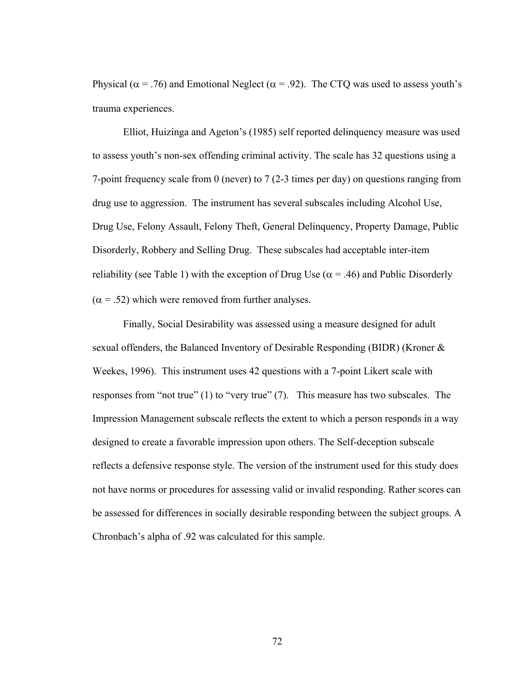Physical ( $\alpha$  = .76) and Emotional Neglect ( $\alpha$  = .92). The CTQ was used to assess youth's trauma experiences.

Elliot, Huizinga and Ageton's (1985) self reported delinquency measure was used to assess youth's non-sex offending criminal activity. The scale has 32 questions using a 7-point frequency scale from 0 (never) to 7 (2-3 times per day) on questions ranging from drug use to aggression. The instrument has several subscales including Alcohol Use, Drug Use, Felony Assault, Felony Theft, General Delinquency, Property Damage, Public Disorderly, Robbery and Selling Drug. These subscales had acceptable inter-item reliability (see Table 1) with the exception of Drug Use ( $\alpha$  = .46) and Public Disorderly  $(\alpha = .52)$  which were removed from further analyses.

 Finally, Social Desirability was assessed using a measure designed for adult sexual offenders, the Balanced Inventory of Desirable Responding (BIDR) (Kroner & Weekes, 1996). This instrument uses 42 questions with a 7-point Likert scale with responses from "not true" (1) to "very true" (7). This measure has two subscales. The Impression Management subscale reflects the extent to which a person responds in a way designed to create a favorable impression upon others. The Self-deception subscale reflects a defensive response style. The version of the instrument used for this study does not have norms or procedures for assessing valid or invalid responding. Rather scores can be assessed for differences in socially desirable responding between the subject groups. A Chronbach's alpha of .92 was calculated for this sample.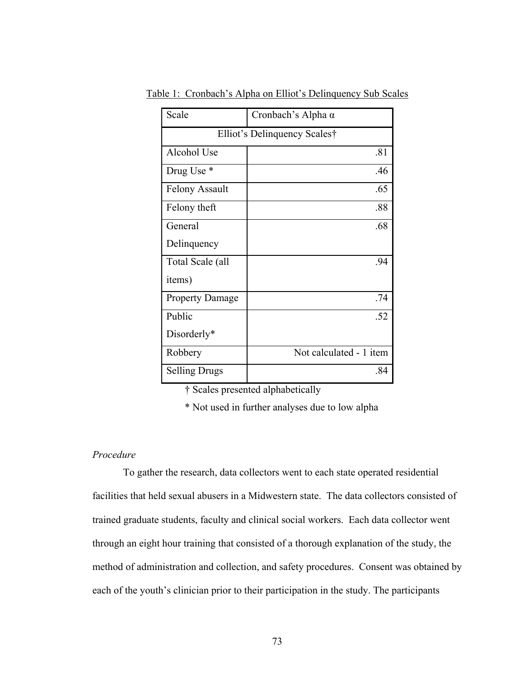| Scale                        | Cronbach's Alpha $\alpha$ |  |  |
|------------------------------|---------------------------|--|--|
| Elliot's Delinquency Scales† |                           |  |  |
| Alcohol Use                  | .81                       |  |  |
| Drug Use *                   | .46                       |  |  |
| <b>Felony Assault</b>        | .65                       |  |  |
| Felony theft                 | .88                       |  |  |
| General                      | .68                       |  |  |
| Delinquency                  |                           |  |  |
| Total Scale (all             | .94                       |  |  |
| items)                       |                           |  |  |
| <b>Property Damage</b>       | .74                       |  |  |
| Public                       | .52                       |  |  |
| Disorderly*                  |                           |  |  |
| Robbery                      | Not calculated - 1 item   |  |  |
| <b>Selling Drugs</b>         | .84                       |  |  |

Table 1: Cronbach's Alpha on Elliot's Delinquency Sub Scales

† Scales presented alphabetically

\* Not used in further analyses due to low alpha

## *Procedure*

 To gather the research, data collectors went to each state operated residential facilities that held sexual abusers in a Midwestern state. The data collectors consisted of trained graduate students, faculty and clinical social workers. Each data collector went through an eight hour training that consisted of a thorough explanation of the study, the method of administration and collection, and safety procedures. Consent was obtained by each of the youth's clinician prior to their participation in the study. The participants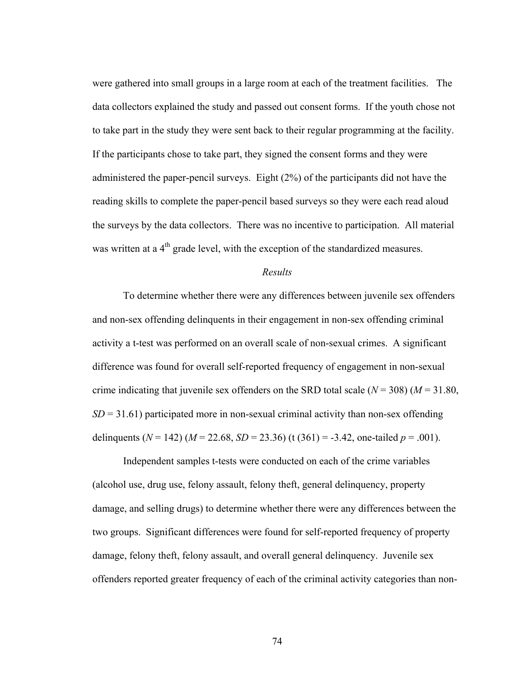were gathered into small groups in a large room at each of the treatment facilities. The data collectors explained the study and passed out consent forms. If the youth chose not to take part in the study they were sent back to their regular programming at the facility. If the participants chose to take part, they signed the consent forms and they were administered the paper-pencil surveys. Eight (2%) of the participants did not have the reading skills to complete the paper-pencil based surveys so they were each read aloud the surveys by the data collectors. There was no incentive to participation. All material was written at a  $4<sup>th</sup>$  grade level, with the exception of the standardized measures.

### *Results*

To determine whether there were any differences between juvenile sex offenders and non-sex offending delinquents in their engagement in non-sex offending criminal activity a t-test was performed on an overall scale of non-sexual crimes. A significant difference was found for overall self-reported frequency of engagement in non-sexual crime indicating that juvenile sex offenders on the SRD total scale  $(N = 308)$   $(M = 31.80)$ ,  $SD = 31.61$ ) participated more in non-sexual criminal activity than non-sex offending delinquents ( $N = 142$ ) ( $M = 22.68$ ,  $SD = 23.36$ ) (t (361) = -3.42, one-tailed  $p = .001$ ).

Independent samples t-tests were conducted on each of the crime variables (alcohol use, drug use, felony assault, felony theft, general delinquency, property damage, and selling drugs) to determine whether there were any differences between the two groups. Significant differences were found for self-reported frequency of property damage, felony theft, felony assault, and overall general delinquency. Juvenile sex offenders reported greater frequency of each of the criminal activity categories than non-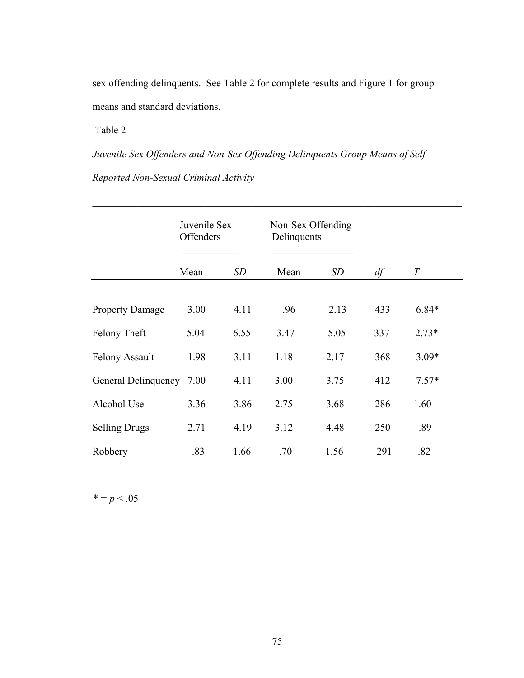sex offending delinquents. See Table 2 for complete results and Figure 1 for group means and standard deviations.

Table 2

*Juvenile Sex Offenders and Non-Sex Offending Delinquents Group Means of Self-Reported Non-Sexual Criminal Activity* 

 $\mathcal{L}_\text{max}$  , and the contribution of the contribution of the contribution of the contribution of the contribution of the contribution of the contribution of the contribution of the contribution of the contribution of t

|                        | Juvenile Sex<br>Offenders |      | Non-Sex Offending<br>Delinquents |      |     |                  |
|------------------------|---------------------------|------|----------------------------------|------|-----|------------------|
|                        | Mean                      | SD   | Mean                             | SD   | df  | $\boldsymbol{T}$ |
| <b>Property Damage</b> | 3.00                      | 4.11 | .96                              | 2.13 | 433 | $6.84*$          |
| Felony Theft           | 5.04                      | 6.55 | 3.47                             | 5.05 | 337 | $2.73*$          |
| <b>Felony Assault</b>  | 1.98                      | 3.11 | 1.18                             | 2.17 | 368 | $3.09*$          |
| General Delinquency    | 7.00                      | 4.11 | 3.00                             | 3.75 | 412 | $7.57*$          |
| Alcohol Use            | 3.36                      | 3.86 | 2.75                             | 3.68 | 286 | 1.60             |
| <b>Selling Drugs</b>   | 2.71                      | 4.19 | 3.12                             | 4.48 | 250 | .89              |
| Robbery                | .83                       | 1.66 | .70                              | 1.56 | 291 | .82              |

 $* = p < .05$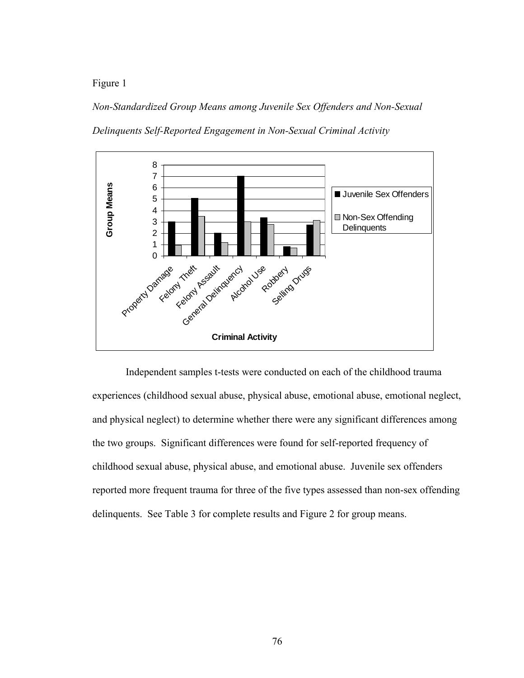Figure 1

*Non-Standardized Group Means among Juvenile Sex Offenders and Non-Sexual Delinquents Self-Reported Engagement in Non-Sexual Criminal Activity* 



 Independent samples t-tests were conducted on each of the childhood trauma experiences (childhood sexual abuse, physical abuse, emotional abuse, emotional neglect, and physical neglect) to determine whether there were any significant differences among the two groups. Significant differences were found for self-reported frequency of childhood sexual abuse, physical abuse, and emotional abuse. Juvenile sex offenders reported more frequent trauma for three of the five types assessed than non-sex offending delinquents. See Table 3 for complete results and Figure 2 for group means.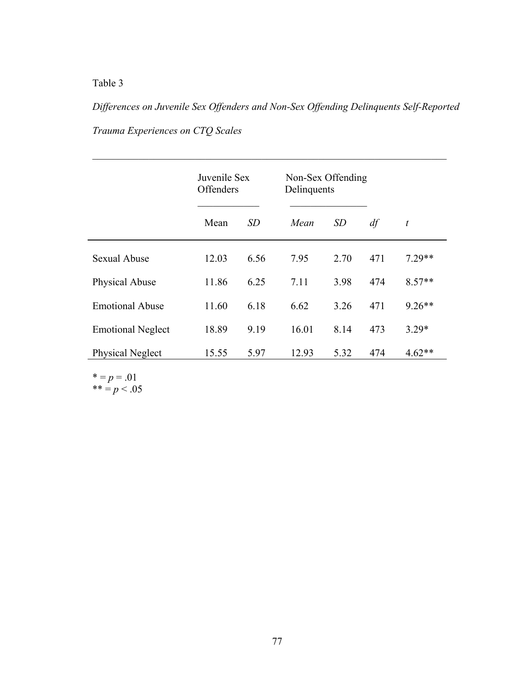# Table 3

*Differences on Juvenile Sex Offenders and Non-Sex Offending Delinquents Self-Reported Trauma Experiences on CTQ Scales* 

 $\mathcal{L}_\mathcal{L} = \mathcal{L}_\mathcal{L} = \mathcal{L}_\mathcal{L} = \mathcal{L}_\mathcal{L} = \mathcal{L}_\mathcal{L} = \mathcal{L}_\mathcal{L} = \mathcal{L}_\mathcal{L} = \mathcal{L}_\mathcal{L} = \mathcal{L}_\mathcal{L} = \mathcal{L}_\mathcal{L} = \mathcal{L}_\mathcal{L} = \mathcal{L}_\mathcal{L} = \mathcal{L}_\mathcal{L} = \mathcal{L}_\mathcal{L} = \mathcal{L}_\mathcal{L} = \mathcal{L}_\mathcal{L} = \mathcal{L}_\mathcal{L}$ 

|                          | Juvenile Sex<br>Offenders |      | Non-Sex Offending<br>Delinquents |      |     |                  |
|--------------------------|---------------------------|------|----------------------------------|------|-----|------------------|
|                          | Mean                      | SD   | Mean                             | SD   | df  | $\boldsymbol{t}$ |
| <b>Sexual Abuse</b>      | 12.03                     | 6.56 | 7.95                             | 2.70 | 471 | $7.29**$         |
| Physical Abuse           | 11.86                     | 6.25 | 7.11                             | 3.98 | 474 | $8.57**$         |
| <b>Emotional Abuse</b>   | 11.60                     | 6.18 | 6.62                             | 3.26 | 471 | $9.26**$         |
| <b>Emotional Neglect</b> | 18.89                     | 9.19 | 16.01                            | 8.14 | 473 | $3.29*$          |
| Physical Neglect         | 15.55                     | 5.97 | 12.93                            | 5.32 | 474 | $4.62**$         |

 $* = p = .01$  $*** = p < .05$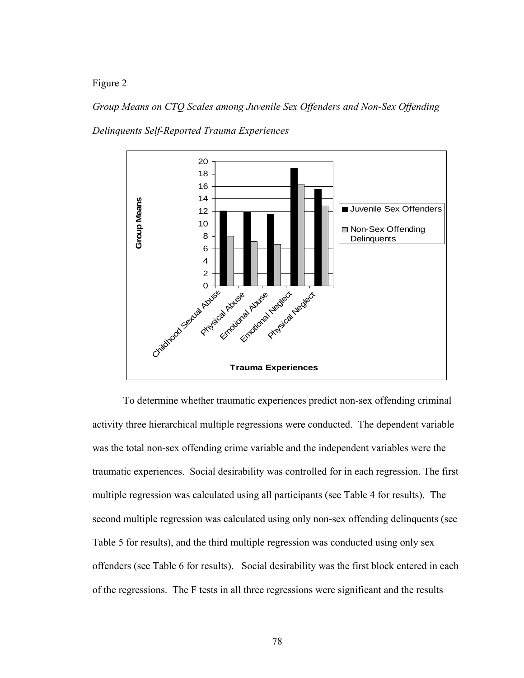Figure 2

*Group Means on CTQ Scales among Juvenile Sex Offenders and Non-Sex Offending Delinquents Self-Reported Trauma Experiences* 



To determine whether traumatic experiences predict non-sex offending criminal activity three hierarchical multiple regressions were conducted. The dependent variable was the total non-sex offending crime variable and the independent variables were the traumatic experiences. Social desirability was controlled for in each regression. The first multiple regression was calculated using all participants (see Table 4 for results). The second multiple regression was calculated using only non-sex offending delinquents (see Table 5 for results), and the third multiple regression was conducted using only sex offenders (see Table 6 for results). Social desirability was the first block entered in each of the regressions. The F tests in all three regressions were significant and the results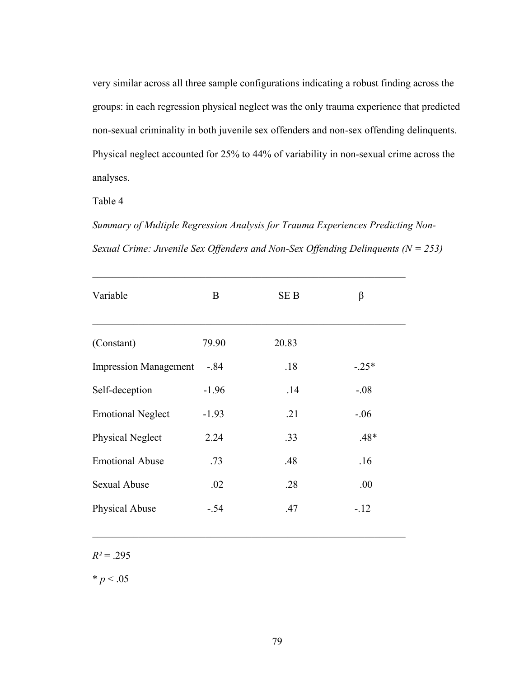very similar across all three sample configurations indicating a robust finding across the groups: in each regression physical neglect was the only trauma experience that predicted non-sexual criminality in both juvenile sex offenders and non-sex offending delinquents. Physical neglect accounted for 25% to 44% of variability in non-sexual crime across the analyses.

Table 4

*Summary of Multiple Regression Analysis for Trauma Experiences Predicting Non-Sexual Crime: Juvenile Sex Offenders and Non-Sex Offending Delinquents (N = 253)* 

 $\mathcal{L}_\text{max}$  , and the contract of the contract of the contract of the contract of the contract of the contract of

| Variable                     | B       | <b>SEB</b> | β       |
|------------------------------|---------|------------|---------|
| (Constant)                   | 79.90   | 20.83      |         |
| <b>Impression Management</b> | $-.84$  | .18        | $-.25*$ |
| Self-deception               | $-1.96$ | .14        | $-.08$  |
| <b>Emotional Neglect</b>     | $-1.93$ | .21        | $-0.06$ |
| <b>Physical Neglect</b>      | 2.24    | .33        | $.48*$  |
| <b>Emotional Abuse</b>       | .73     | .48        | .16     |
| <b>Sexual Abuse</b>          | .02     | .28        | .00.    |
| Physical Abuse               | $-.54$  | .47        | $-12$   |

 $\mathcal{L}_\text{max}$  and the contract of the contract of the contract of the contract of the contract of the contract of

 $R^2$  = .295

 $* p < .05$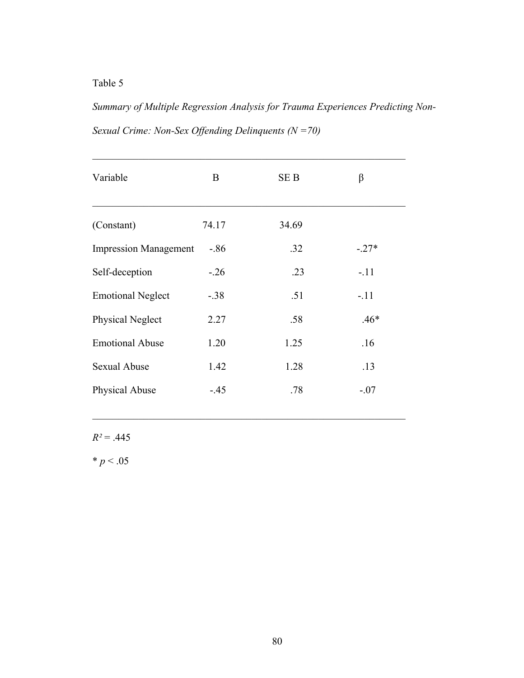Table 5

*Summary of Multiple Regression Analysis for Trauma Experiences Predicting Non-Sexual Crime: Non-Sex Offending Delinquents (N =70)* 

| Variable                     | B       | <b>SEB</b> | β       |
|------------------------------|---------|------------|---------|
| (Constant)                   | 74.17   | 34.69      |         |
| <b>Impression Management</b> | $-0.86$ | .32        | $-.27*$ |
| Self-deception               | $-26$   | .23        | $-.11$  |
| <b>Emotional Neglect</b>     | $-.38$  | .51        | $-.11$  |
| Physical Neglect             | 2.27    | .58        | $.46*$  |
| <b>Emotional Abuse</b>       | 1.20    | 1.25       | .16     |
| <b>Sexual Abuse</b>          | 1.42    | 1.28       | .13     |
| Physical Abuse               | $-.45$  | .78        | $-.07$  |
|                              |         |            |         |

 $\mathcal{L}_\text{max}$  and the contract of the contract of the contract of the contract of the contract of the contract of

 $R^2$  = .445

 $* p < .05$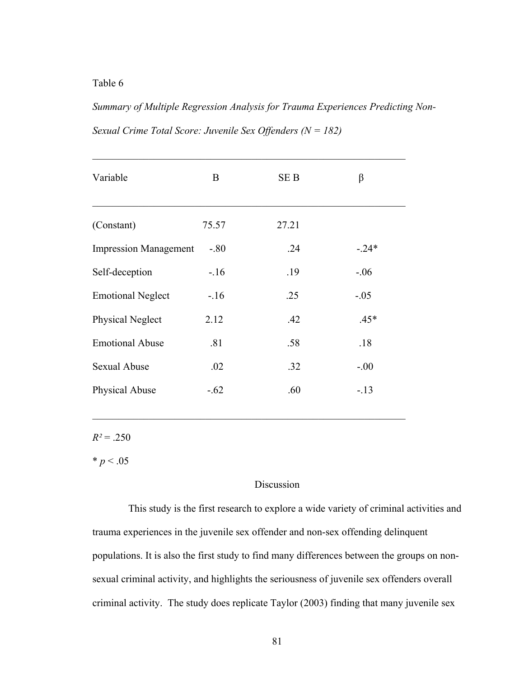Table 6

*Summary of Multiple Regression Analysis for Trauma Experiences Predicting Non-Sexual Crime Total Score: Juvenile Sex Offenders (N = 182)* 

 $\mathcal{L}_\text{max}$  , and the contract of the contract of the contract of the contract of the contract of the contract of

| Variable                     | B      | <b>SEB</b> | β       |
|------------------------------|--------|------------|---------|
| (Constant)                   | 75.57  | 27.21      |         |
| <b>Impression Management</b> | $-.80$ | .24        | $-.24*$ |
| Self-deception               | $-16$  | .19        | $-.06$  |
| <b>Emotional Neglect</b>     | $-16$  | .25        | $-.05$  |
| Physical Neglect             | 2.12   | .42        | $.45*$  |
| <b>Emotional Abuse</b>       | .81    | .58        | .18     |
| <b>Sexual Abuse</b>          | .02    | .32        | $-.00$  |
| Physical Abuse               | $-.62$ | .60        | $-.13$  |

 $\mathcal{L}_\text{max}$  and the contract of the contract of the contract of the contract of the contract of the contract of

 $R^2$  = .250

 $* p < .05$ 

## Discussion

 This study is the first research to explore a wide variety of criminal activities and trauma experiences in the juvenile sex offender and non-sex offending delinquent populations. It is also the first study to find many differences between the groups on nonsexual criminal activity, and highlights the seriousness of juvenile sex offenders overall criminal activity. The study does replicate Taylor (2003) finding that many juvenile sex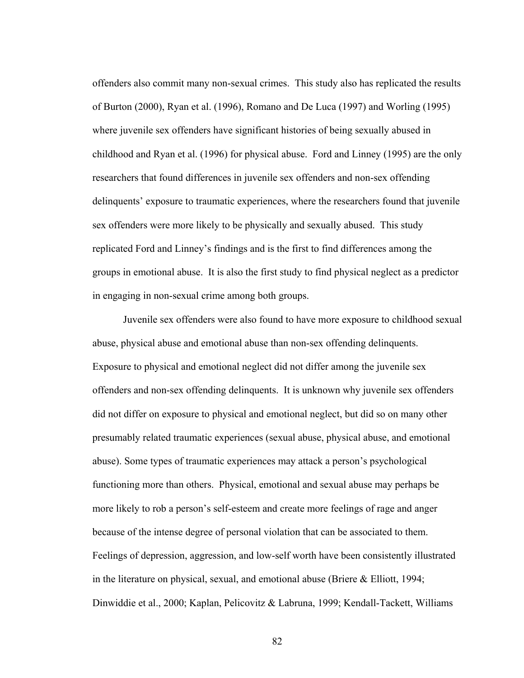offenders also commit many non-sexual crimes. This study also has replicated the results of Burton (2000), Ryan et al. (1996), Romano and De Luca (1997) and Worling (1995) where juvenile sex offenders have significant histories of being sexually abused in childhood and Ryan et al. (1996) for physical abuse. Ford and Linney (1995) are the only researchers that found differences in juvenile sex offenders and non-sex offending delinquents' exposure to traumatic experiences, where the researchers found that juvenile sex offenders were more likely to be physically and sexually abused. This study replicated Ford and Linney's findings and is the first to find differences among the groups in emotional abuse. It is also the first study to find physical neglect as a predictor in engaging in non-sexual crime among both groups.

Juvenile sex offenders were also found to have more exposure to childhood sexual abuse, physical abuse and emotional abuse than non-sex offending delinquents. Exposure to physical and emotional neglect did not differ among the juvenile sex offenders and non-sex offending delinquents. It is unknown why juvenile sex offenders did not differ on exposure to physical and emotional neglect, but did so on many other presumably related traumatic experiences (sexual abuse, physical abuse, and emotional abuse). Some types of traumatic experiences may attack a person's psychological functioning more than others. Physical, emotional and sexual abuse may perhaps be more likely to rob a person's self-esteem and create more feelings of rage and anger because of the intense degree of personal violation that can be associated to them. Feelings of depression, aggression, and low-self worth have been consistently illustrated in the literature on physical, sexual, and emotional abuse (Briere & Elliott, 1994; Dinwiddie et al., 2000; Kaplan, Pelicovitz & Labruna, 1999; Kendall-Tackett, Williams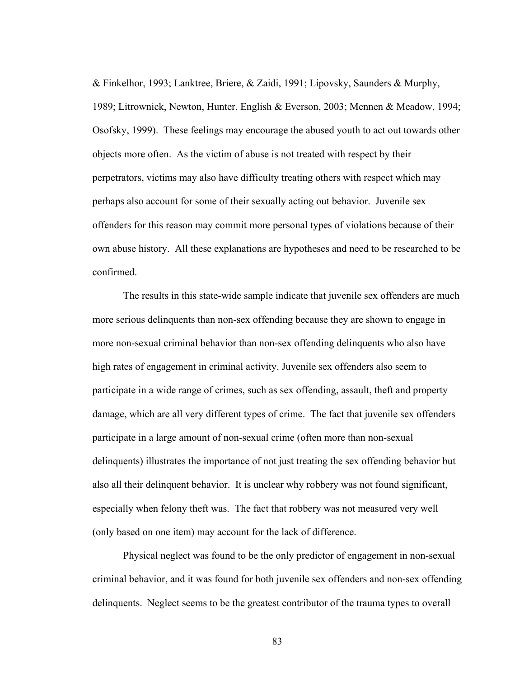& Finkelhor, 1993; Lanktree, Briere, & Zaidi, 1991; Lipovsky, Saunders & Murphy, 1989; Litrownick, Newton, Hunter, English & Everson, 2003; Mennen & Meadow, 1994; Osofsky, 1999). These feelings may encourage the abused youth to act out towards other objects more often. As the victim of abuse is not treated with respect by their perpetrators, victims may also have difficulty treating others with respect which may perhaps also account for some of their sexually acting out behavior. Juvenile sex offenders for this reason may commit more personal types of violations because of their own abuse history. All these explanations are hypotheses and need to be researched to be confirmed.

The results in this state-wide sample indicate that juvenile sex offenders are much more serious delinquents than non-sex offending because they are shown to engage in more non-sexual criminal behavior than non-sex offending delinquents who also have high rates of engagement in criminal activity. Juvenile sex offenders also seem to participate in a wide range of crimes, such as sex offending, assault, theft and property damage, which are all very different types of crime. The fact that juvenile sex offenders participate in a large amount of non-sexual crime (often more than non-sexual delinquents) illustrates the importance of not just treating the sex offending behavior but also all their delinquent behavior. It is unclear why robbery was not found significant, especially when felony theft was. The fact that robbery was not measured very well (only based on one item) may account for the lack of difference.

Physical neglect was found to be the only predictor of engagement in non-sexual criminal behavior, and it was found for both juvenile sex offenders and non-sex offending delinquents. Neglect seems to be the greatest contributor of the trauma types to overall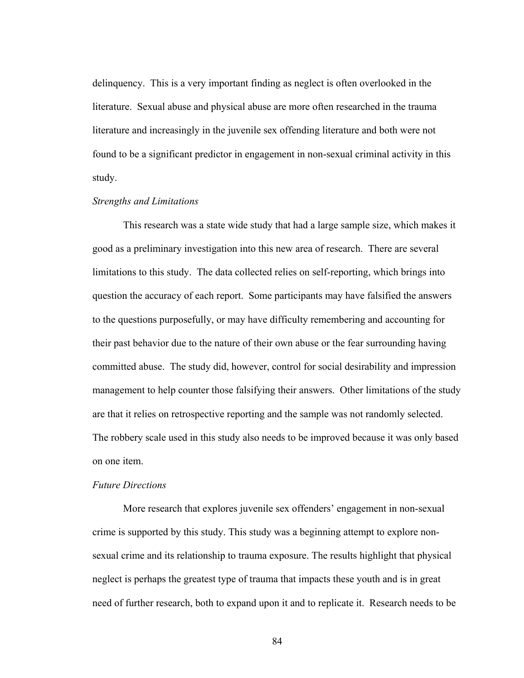delinquency. This is a very important finding as neglect is often overlooked in the literature. Sexual abuse and physical abuse are more often researched in the trauma literature and increasingly in the juvenile sex offending literature and both were not found to be a significant predictor in engagement in non-sexual criminal activity in this study.

#### *Strengths and Limitations*

This research was a state wide study that had a large sample size, which makes it good as a preliminary investigation into this new area of research. There are several limitations to this study. The data collected relies on self-reporting, which brings into question the accuracy of each report. Some participants may have falsified the answers to the questions purposefully, or may have difficulty remembering and accounting for their past behavior due to the nature of their own abuse or the fear surrounding having committed abuse. The study did, however, control for social desirability and impression management to help counter those falsifying their answers. Other limitations of the study are that it relies on retrospective reporting and the sample was not randomly selected. The robbery scale used in this study also needs to be improved because it was only based on one item.

### *Future Directions*

More research that explores juvenile sex offenders' engagement in non-sexual crime is supported by this study. This study was a beginning attempt to explore nonsexual crime and its relationship to trauma exposure. The results highlight that physical neglect is perhaps the greatest type of trauma that impacts these youth and is in great need of further research, both to expand upon it and to replicate it. Research needs to be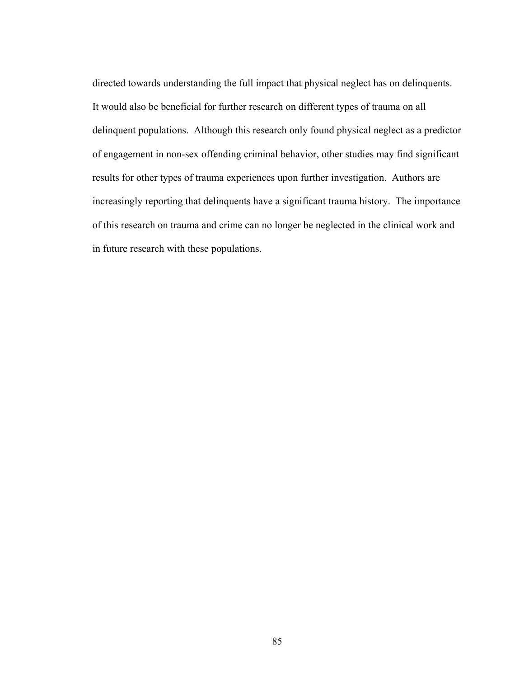directed towards understanding the full impact that physical neglect has on delinquents. It would also be beneficial for further research on different types of trauma on all delinquent populations. Although this research only found physical neglect as a predictor of engagement in non-sex offending criminal behavior, other studies may find significant results for other types of trauma experiences upon further investigation. Authors are increasingly reporting that delinquents have a significant trauma history. The importance of this research on trauma and crime can no longer be neglected in the clinical work and in future research with these populations.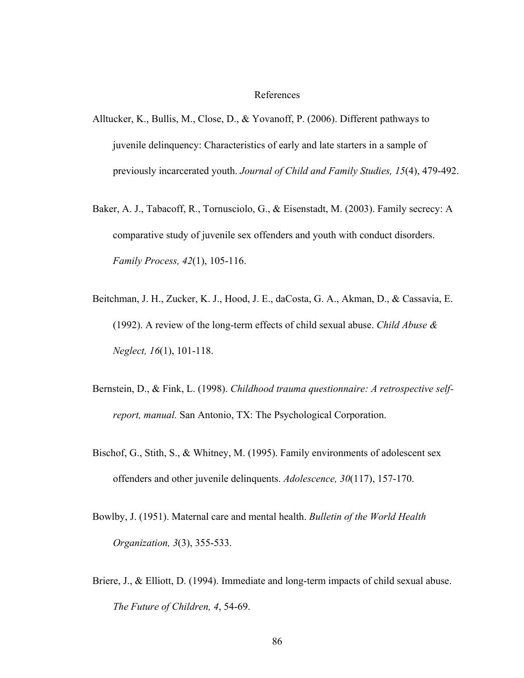### References

- Alltucker, K., Bullis, M., Close, D., & Yovanoff, P. (2006). Different pathways to juvenile delinquency: Characteristics of early and late starters in a sample of previously incarcerated youth. *Journal of Child and Family Studies, 15*(4), 479-492.
- Baker, A. J., Tabacoff, R., Tornusciolo, G., & Eisenstadt, M. (2003). Family secrecy: A comparative study of juvenile sex offenders and youth with conduct disorders. *Family Process, 42*(1), 105-116.
- Beitchman, J. H., Zucker, K. J., Hood, J. E., daCosta, G. A., Akman, D., & Cassavia, E. (1992). A review of the long-term effects of child sexual abuse. *Child Abuse & Neglect, 16*(1), 101-118.
- Bernstein, D., & Fink, L. (1998). *Childhood trauma questionnaire: A retrospective selfreport, manual.* San Antonio, TX: The Psychological Corporation.
- Bischof, G., Stith, S., & Whitney, M. (1995). Family environments of adolescent sex offenders and other juvenile delinquents. *Adolescence, 30*(117), 157-170.
- Bowlby, J. (1951). Maternal care and mental health. *Bulletin of the World Health Organization, 3*(3), 355-533.
- Briere, J., & Elliott, D. (1994). Immediate and long-term impacts of child sexual abuse. *The Future of Children, 4*, 54-69.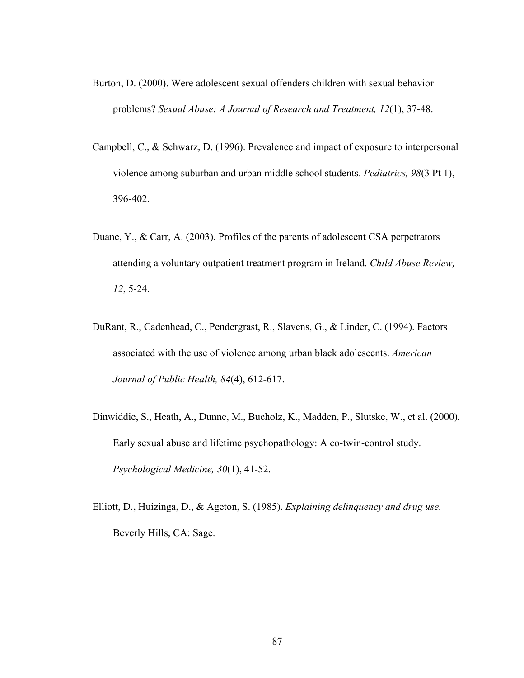- Burton, D. (2000). Were adolescent sexual offenders children with sexual behavior problems? *Sexual Abuse: A Journal of Research and Treatment, 12*(1), 37-48.
- Campbell, C., & Schwarz, D. (1996). Prevalence and impact of exposure to interpersonal violence among suburban and urban middle school students. *Pediatrics, 98*(3 Pt 1), 396-402.
- Duane, Y., & Carr, A. (2003). Profiles of the parents of adolescent CSA perpetrators attending a voluntary outpatient treatment program in Ireland. *Child Abuse Review, 12*, 5-24.
- DuRant, R., Cadenhead, C., Pendergrast, R., Slavens, G., & Linder, C. (1994). Factors associated with the use of violence among urban black adolescents. *American Journal of Public Health, 84*(4), 612-617.
- Dinwiddie, S., Heath, A., Dunne, M., Bucholz, K., Madden, P., Slutske, W., et al. (2000). Early sexual abuse and lifetime psychopathology: A co-twin-control study. *Psychological Medicine, 30*(1), 41-52.
- Elliott, D., Huizinga, D., & Ageton, S. (1985). *Explaining delinquency and drug use.* Beverly Hills, CA: Sage.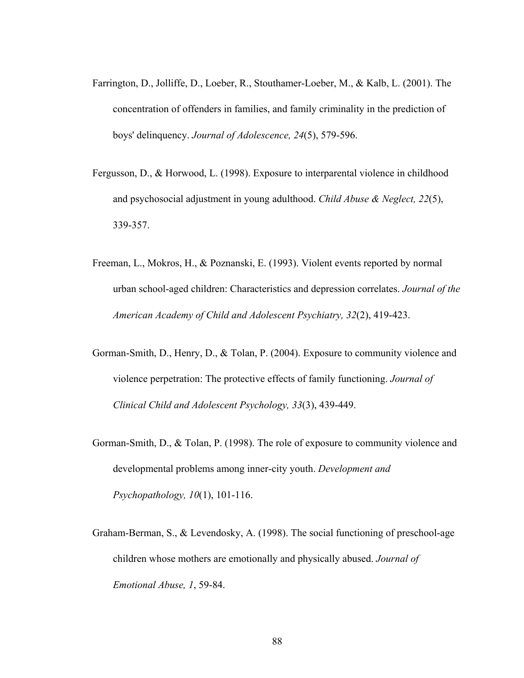- Farrington, D., Jolliffe, D., Loeber, R., Stouthamer-Loeber, M., & Kalb, L. (2001). The concentration of offenders in families, and family criminality in the prediction of boys' delinquency. *Journal of Adolescence, 24*(5), 579-596.
- Fergusson, D., & Horwood, L. (1998). Exposure to interparental violence in childhood and psychosocial adjustment in young adulthood. *Child Abuse & Neglect, 22*(5), 339-357.
- Freeman, L., Mokros, H., & Poznanski, E. (1993). Violent events reported by normal urban school-aged children: Characteristics and depression correlates. *Journal of the American Academy of Child and Adolescent Psychiatry, 32*(2), 419-423.
- Gorman-Smith, D., Henry, D., & Tolan, P. (2004). Exposure to community violence and violence perpetration: The protective effects of family functioning. *Journal of Clinical Child and Adolescent Psychology, 33*(3), 439-449.
- Gorman-Smith, D., & Tolan, P. (1998). The role of exposure to community violence and developmental problems among inner-city youth. *Development and Psychopathology, 10*(1), 101-116.
- Graham-Berman, S., & Levendosky, A. (1998). The social functioning of preschool-age children whose mothers are emotionally and physically abused. *Journal of Emotional Abuse, 1*, 59-84.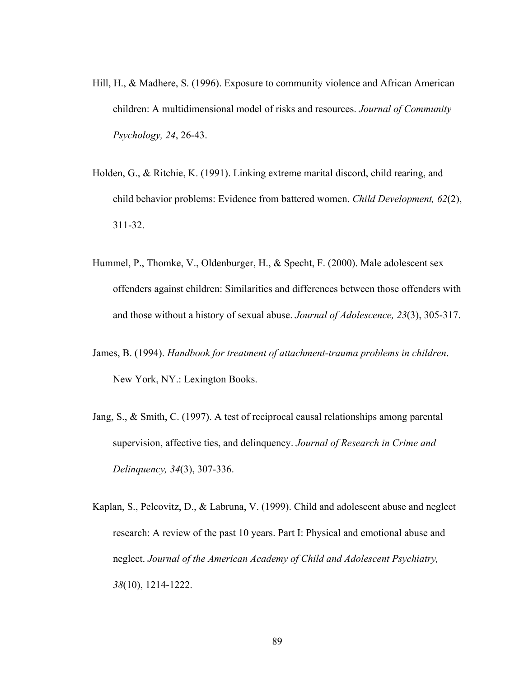- Hill, H., & Madhere, S. (1996). Exposure to community violence and African American children: A multidimensional model of risks and resources. *Journal of Community Psychology, 24*, 26-43.
- Holden, G., & Ritchie, K. (1991). Linking extreme marital discord, child rearing, and child behavior problems: Evidence from battered women. *Child Development, 62*(2), 311-32.
- Hummel, P., Thomke, V., Oldenburger, H., & Specht, F. (2000). Male adolescent sex offenders against children: Similarities and differences between those offenders with and those without a history of sexual abuse. *Journal of Adolescence, 23*(3), 305-317.
- James, B. (1994). *Handbook for treatment of attachment-trauma problems in children*. New York, NY.: Lexington Books.
- Jang, S., & Smith, C. (1997). A test of reciprocal causal relationships among parental supervision, affective ties, and delinquency. *Journal of Research in Crime and Delinquency, 34*(3), 307-336.
- Kaplan, S., Pelcovitz, D., & Labruna, V. (1999). Child and adolescent abuse and neglect research: A review of the past 10 years. Part I: Physical and emotional abuse and neglect. *Journal of the American Academy of Child and Adolescent Psychiatry, 38*(10), 1214-1222.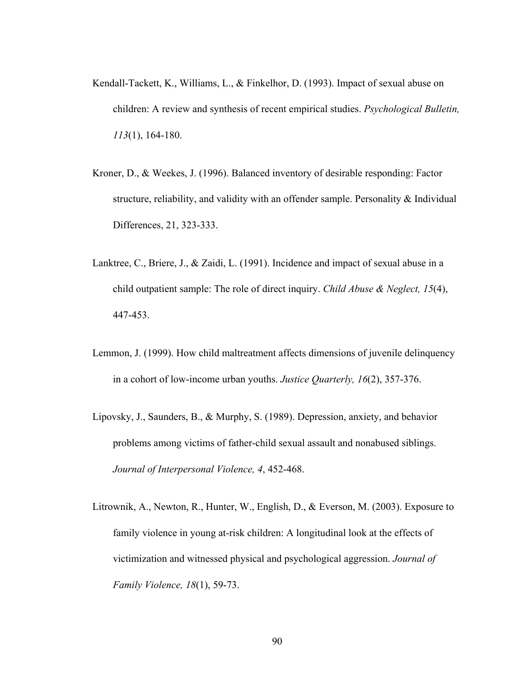- Kendall-Tackett, K., Williams, L., & Finkelhor, D. (1993). Impact of sexual abuse on children: A review and synthesis of recent empirical studies. *Psychological Bulletin, 113*(1), 164-180.
- Kroner, D., & Weekes, J. (1996). Balanced inventory of desirable responding: Factor structure, reliability, and validity with an offender sample. Personality & Individual Differences, 21, 323-333.
- Lanktree, C., Briere, J., & Zaidi, L. (1991). Incidence and impact of sexual abuse in a child outpatient sample: The role of direct inquiry. *Child Abuse & Neglect, 15*(4), 447-453.
- Lemmon, J. (1999). How child maltreatment affects dimensions of juvenile delinquency in a cohort of low-income urban youths. *Justice Quarterly, 16*(2), 357-376.
- Lipovsky, J., Saunders, B., & Murphy, S. (1989). Depression, anxiety, and behavior problems among victims of father-child sexual assault and nonabused siblings. *Journal of Interpersonal Violence, 4*, 452-468.
- Litrownik, A., Newton, R., Hunter, W., English, D., & Everson, M. (2003). Exposure to family violence in young at-risk children: A longitudinal look at the effects of victimization and witnessed physical and psychological aggression. *Journal of Family Violence, 18*(1), 59-73.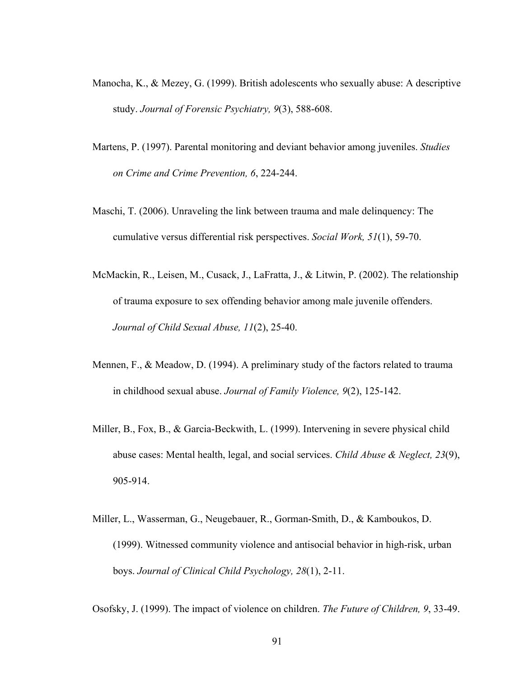- Manocha, K., & Mezey, G. (1999). British adolescents who sexually abuse: A descriptive study. *Journal of Forensic Psychiatry, 9*(3), 588-608.
- Martens, P. (1997). Parental monitoring and deviant behavior among juveniles. *Studies on Crime and Crime Prevention, 6*, 224-244.
- Maschi, T. (2006). Unraveling the link between trauma and male delinquency: The cumulative versus differential risk perspectives. *Social Work, 51*(1), 59-70.
- McMackin, R., Leisen, M., Cusack, J., LaFratta, J., & Litwin, P. (2002). The relationship of trauma exposure to sex offending behavior among male juvenile offenders. *Journal of Child Sexual Abuse, 11*(2), 25-40.
- Mennen, F., & Meadow, D. (1994). A preliminary study of the factors related to trauma in childhood sexual abuse. *Journal of Family Violence, 9*(2), 125-142.
- Miller, B., Fox, B., & Garcia-Beckwith, L. (1999). Intervening in severe physical child abuse cases: Mental health, legal, and social services. *Child Abuse & Neglect, 23*(9), 905-914.
- Miller, L., Wasserman, G., Neugebauer, R., Gorman-Smith, D., & Kamboukos, D. (1999). Witnessed community violence and antisocial behavior in high-risk, urban boys. *Journal of Clinical Child Psychology, 28*(1), 2-11.

Osofsky, J. (1999). The impact of violence on children. *The Future of Children, 9*, 33-49.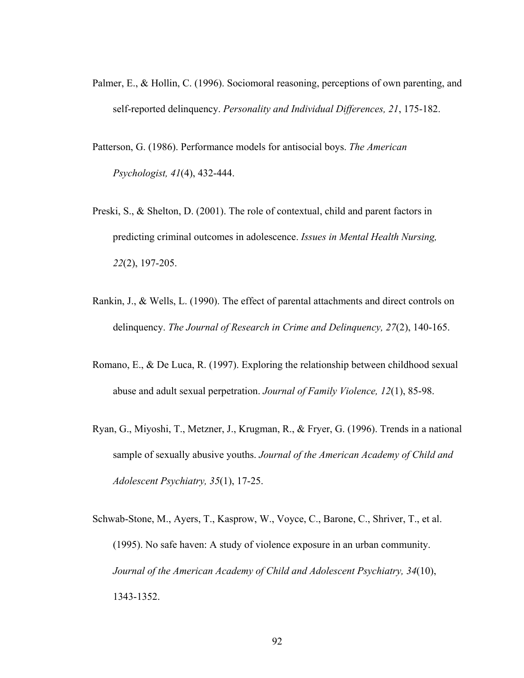- Palmer, E., & Hollin, C. (1996). Sociomoral reasoning, perceptions of own parenting, and self-reported delinquency. *Personality and Individual Differences, 21*, 175-182.
- Patterson, G. (1986). Performance models for antisocial boys. *The American Psychologist, 41*(4), 432-444.
- Preski, S., & Shelton, D. (2001). The role of contextual, child and parent factors in predicting criminal outcomes in adolescence. *Issues in Mental Health Nursing, 22*(2), 197-205.
- Rankin, J., & Wells, L. (1990). The effect of parental attachments and direct controls on delinquency. *The Journal of Research in Crime and Delinquency, 27*(2), 140-165.
- Romano, E., & De Luca, R. (1997). Exploring the relationship between childhood sexual abuse and adult sexual perpetration. *Journal of Family Violence, 12*(1), 85-98.
- Ryan, G., Miyoshi, T., Metzner, J., Krugman, R., & Fryer, G. (1996). Trends in a national sample of sexually abusive youths. *Journal of the American Academy of Child and Adolescent Psychiatry, 35*(1), 17-25.
- Schwab-Stone, M., Ayers, T., Kasprow, W., Voyce, C., Barone, C., Shriver, T., et al. (1995). No safe haven: A study of violence exposure in an urban community. *Journal of the American Academy of Child and Adolescent Psychiatry, 34*(10), 1343-1352.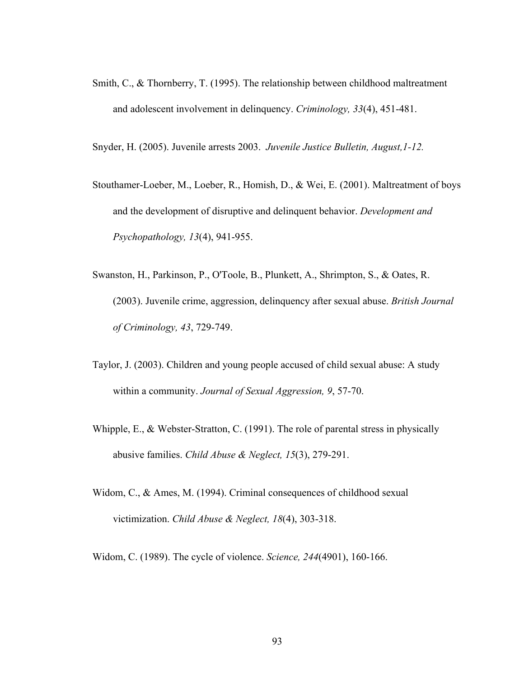Smith, C., & Thornberry, T. (1995). The relationship between childhood maltreatment and adolescent involvement in delinquency. *Criminology, 33*(4), 451-481.

Snyder, H. (2005). Juvenile arrests 2003. *Juvenile Justice Bulletin, August,1-12.*

- Stouthamer-Loeber, M., Loeber, R., Homish, D., & Wei, E. (2001). Maltreatment of boys and the development of disruptive and delinquent behavior. *Development and Psychopathology, 13*(4), 941-955.
- Swanston, H., Parkinson, P., O'Toole, B., Plunkett, A., Shrimpton, S., & Oates, R. (2003). Juvenile crime, aggression, delinquency after sexual abuse. *British Journal of Criminology, 43*, 729-749.
- Taylor, J. (2003). Children and young people accused of child sexual abuse: A study within a community. *Journal of Sexual Aggression, 9*, 57-70.
- Whipple, E., & Webster-Stratton, C. (1991). The role of parental stress in physically abusive families. *Child Abuse & Neglect, 15*(3), 279-291.
- Widom, C., & Ames, M. (1994). Criminal consequences of childhood sexual victimization. *Child Abuse & Neglect, 18*(4), 303-318.

Widom, C. (1989). The cycle of violence. *Science, 244*(4901), 160-166.